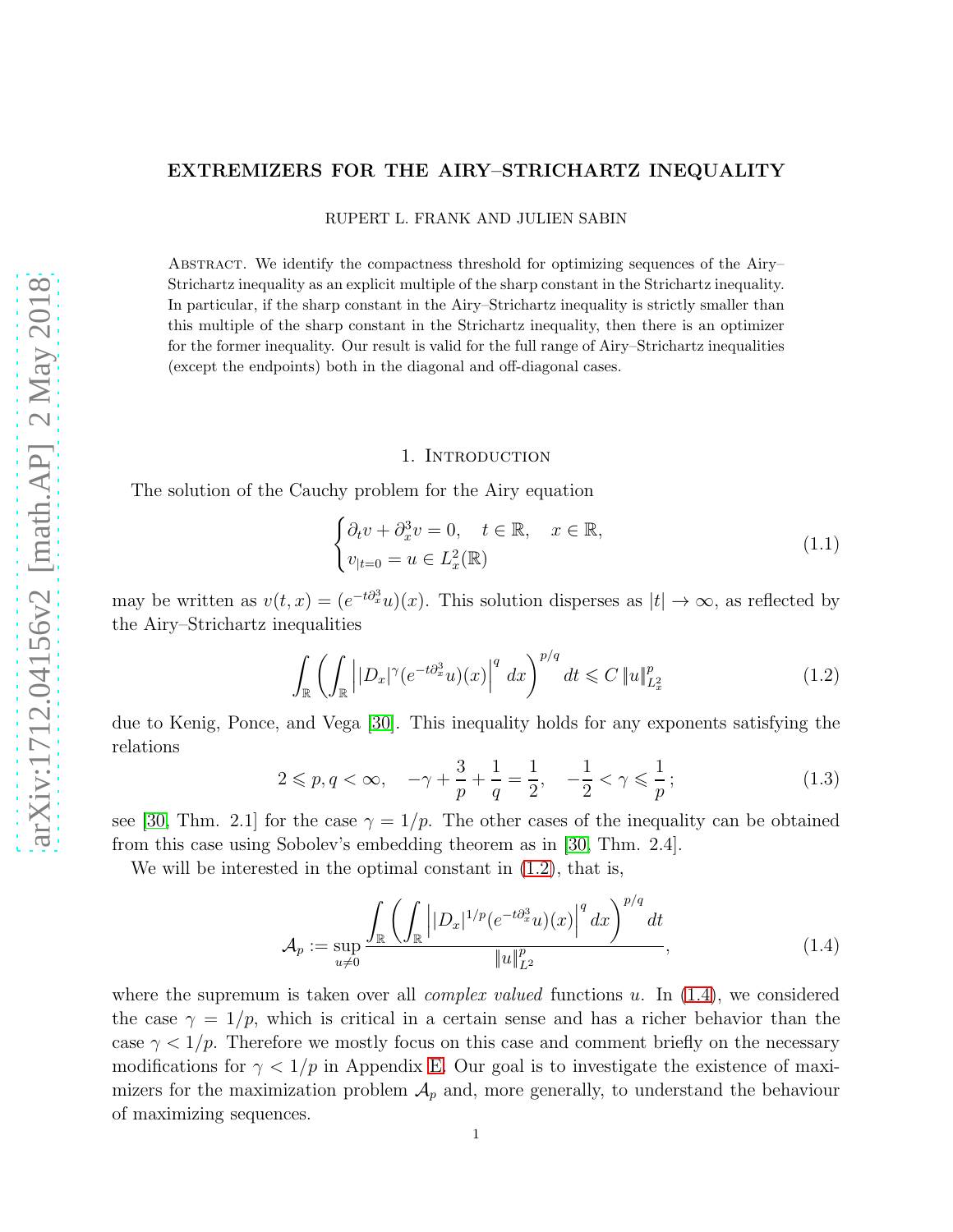# EXTREMIZERS FOR THE AIRY–STRICHARTZ INEQUALITY

RUPERT L. FRANK AND JULIEN SABIN

Abstract. We identify the compactness threshold for optimizing sequences of the Airy– Strichartz inequality as an explicit multiple of the sharp constant in the Strichartz inequality. In particular, if the sharp constant in the Airy–Strichartz inequality is strictly smaller than this multiple of the sharp constant in the Strichartz inequality, then there is an optimizer for the former inequality. Our result is valid for the full range of Airy–Strichartz inequalities (except the endpoints) both in the diagonal and off-diagonal cases.

#### 1. INTRODUCTION

The solution of the Cauchy problem for the Airy equation

<span id="page-0-3"></span>
$$
\begin{cases} \partial_t v + \partial_x^3 v = 0, \quad t \in \mathbb{R}, \quad x \in \mathbb{R}, \\ v_{|t=0} = u \in L_x^2(\mathbb{R}) \end{cases}
$$
 (1.1)

may be written as  $v(t, x) = (e^{-t\partial_x^3}u)(x)$ . This solution disperses as  $|t| \to \infty$ , as reflected by the Airy–Strichartz inequalities

<span id="page-0-0"></span>
$$
\int_{\mathbb{R}} \left( \int_{\mathbb{R}} \left| |D_x|^{\gamma} (e^{-t \partial_x^3} u)(x) \right|^q dx \right)^{p/q} dt \leqslant C \|u\|_{L^2_x}^p \tag{1.2}
$$

due to Kenig, Ponce, and Vega [\[30\]](#page-36-0). This inequality holds for any exponents satisfying the relations

<span id="page-0-2"></span>
$$
2 \leqslant p, q < \infty, \quad -\gamma + \frac{3}{p} + \frac{1}{q} = \frac{1}{2}, \quad -\frac{1}{2} < \gamma \leqslant \frac{1}{p};\tag{1.3}
$$

see [\[30,](#page-36-0) Thm. 2.1] for the case  $\gamma = 1/p$ . The other cases of the inequality can be obtained from this case using Sobolev's embedding theorem as in [\[30,](#page-36-0) Thm. 2.4].

We will be interested in the optimal constant in  $(1.2)$ , that is,

<span id="page-0-1"></span>
$$
\mathcal{A}_{p} := \sup_{u \neq 0} \frac{\int_{\mathbb{R}} \left( \int_{\mathbb{R}} \left| |D_{x}|^{1/p} (e^{-t \partial_{x}^{3}} u)(x) \right|^{q} dx \right)^{p/q} dt}{\|u\|_{L^{2}}^{p}}, \tag{1.4}
$$

where the supremum is taken over all *complex valued* functions u. In  $(1.4)$ , we considered the case  $\gamma = 1/p$ , which is critical in a certain sense and has a richer behavior than the case  $\gamma < 1/p$ . Therefore we mostly focus on this case and comment briefly on the necessary modifications for  $\gamma < 1/p$  in Appendix [E.](#page-32-0) Our goal is to investigate the existence of maximizers for the maximization problem  $\mathcal{A}_p$  and, more generally, to understand the behaviour of maximizing sequences.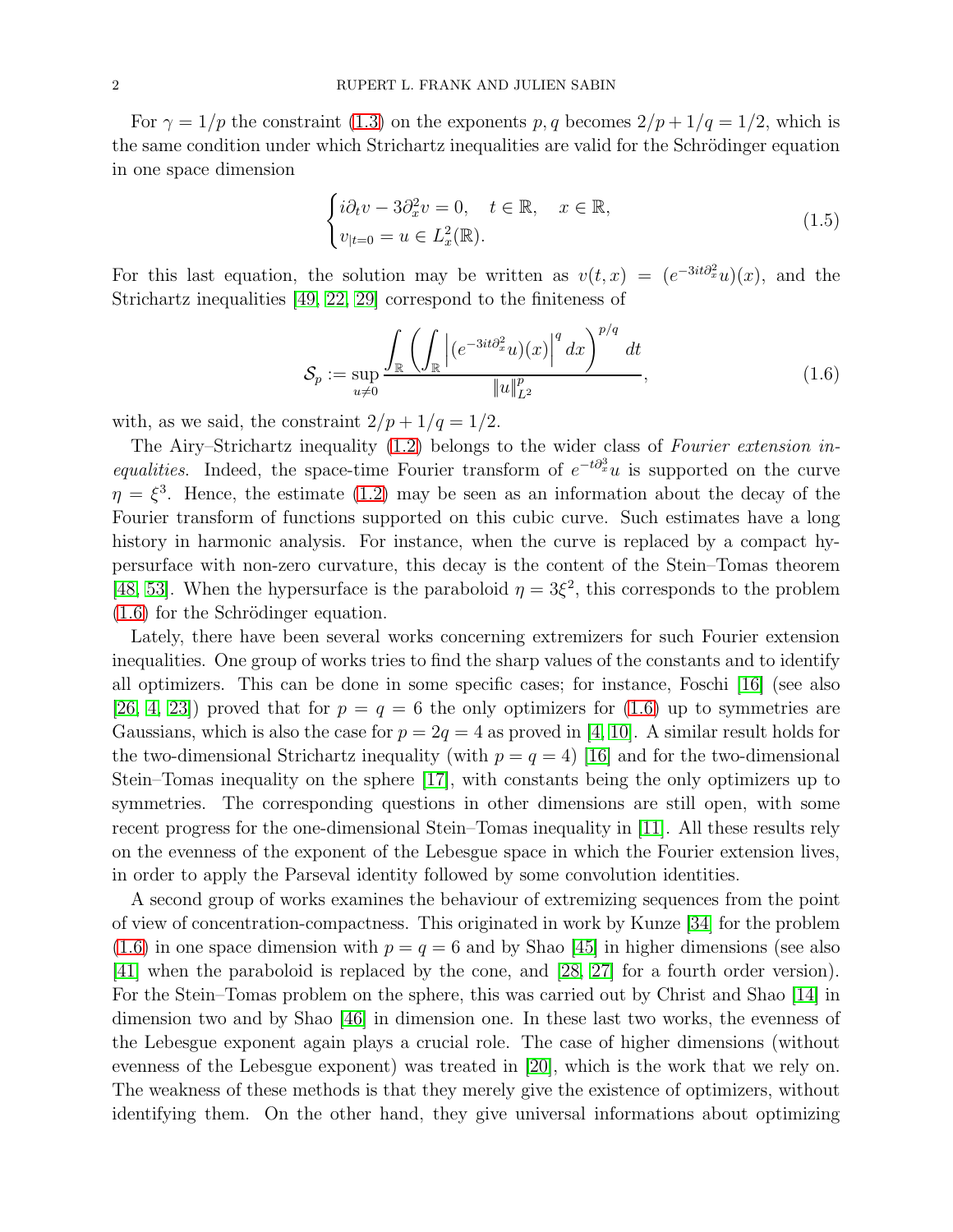For  $\gamma = 1/p$  the constraint [\(1.3\)](#page-0-2) on the exponents p, q becomes  $2/p + 1/q = 1/2$ , which is the same condition under which Strichartz inequalities are valid for the Schrödinger equation in one space dimension

$$
\begin{cases}\ni\partial_t v - 3\partial_x^2 v = 0, & t \in \mathbb{R}, \quad x \in \mathbb{R}, \\
v_{|t=0} = u \in L_x^2(\mathbb{R}).\n\end{cases}
$$
\n(1.5)

For this last equation, the solution may be written as  $v(t,x) = (e^{-3it\partial_x^2}u)(x)$ , and the Strichartz inequalities [\[49,](#page-37-0) [22,](#page-35-0) [29\]](#page-36-1) correspond to the finiteness of

<span id="page-1-0"></span>
$$
\mathcal{S}_p := \sup_{u \neq 0} \frac{\int_{\mathbb{R}} \left( \int_{\mathbb{R}} \left| (e^{-3it\partial_x^2} u)(x) \right|^q dx \right)^{p/q} dt}{\|u\|_{L^2}^p},\tag{1.6}
$$

with, as we said, the constraint  $2/p + 1/q = 1/2$ .

The Airy–Strichartz inequality [\(1.2\)](#page-0-0) belongs to the wider class of *Fourier extension inequalities*. Indeed, the space-time Fourier transform of  $e^{-t\partial_x^3}u$  is supported on the curve  $\eta = \xi^3$ . Hence, the estimate [\(1.2\)](#page-0-0) may be seen as an information about the decay of the Fourier transform of functions supported on this cubic curve. Such estimates have a long history in harmonic analysis. For instance, when the curve is replaced by a compact hypersurface with non-zero curvature, this decay is the content of the Stein–Tomas theorem [\[48,](#page-37-1) [53\]](#page-37-2). When the hypersurface is the paraboloid  $\eta = 3\xi^2$ , this corresponds to the problem  $(1.6)$  for the Schrödinger equation.

Lately, there have been several works concerning extremizers for such Fourier extension inequalities. One group of works tries to find the sharp values of the constants and to identify all optimizers. This can be done in some specific cases; for instance, Foschi [\[16\]](#page-35-1) (see also [\[26,](#page-36-2) [4,](#page-35-2) [23\]](#page-35-3)) proved that for  $p = q = 6$  the only optimizers for [\(1.6\)](#page-1-0) up to symmetries are Gaussians, which is also the case for  $p = 2q = 4$  as proved in [\[4,](#page-35-2) [10\]](#page-35-4). A similar result holds for the two-dimensional Strichartz inequality (with  $p = q = 4$ ) [\[16\]](#page-35-1) and for the two-dimensional Stein–Tomas inequality on the sphere [\[17\]](#page-35-5), with constants being the only optimizers up to symmetries. The corresponding questions in other dimensions are still open, with some recent progress for the one-dimensional Stein–Tomas inequality in [\[11\]](#page-35-6). All these results rely on the evenness of the exponent of the Lebesgue space in which the Fourier extension lives, in order to apply the Parseval identity followed by some convolution identities.

A second group of works examines the behaviour of extremizing sequences from the point of view of concentration-compactness. This originated in work by Kunze [\[34\]](#page-36-3) for the problem [\(1.6\)](#page-1-0) in one space dimension with  $p = q = 6$  and by Shao [\[45\]](#page-36-4) in higher dimensions (see also [\[41\]](#page-36-5) when the paraboloid is replaced by the cone, and [\[28,](#page-36-6) [27\]](#page-36-7) for a fourth order version). For the Stein–Tomas problem on the sphere, this was carried out by Christ and Shao [\[14\]](#page-35-7) in dimension two and by Shao [\[46\]](#page-36-8) in dimension one. In these last two works, the evenness of the Lebesgue exponent again plays a crucial role. The case of higher dimensions (without evenness of the Lebesgue exponent) was treated in [\[20\]](#page-35-8), which is the work that we rely on. The weakness of these methods is that they merely give the existence of optimizers, without identifying them. On the other hand, they give universal informations about optimizing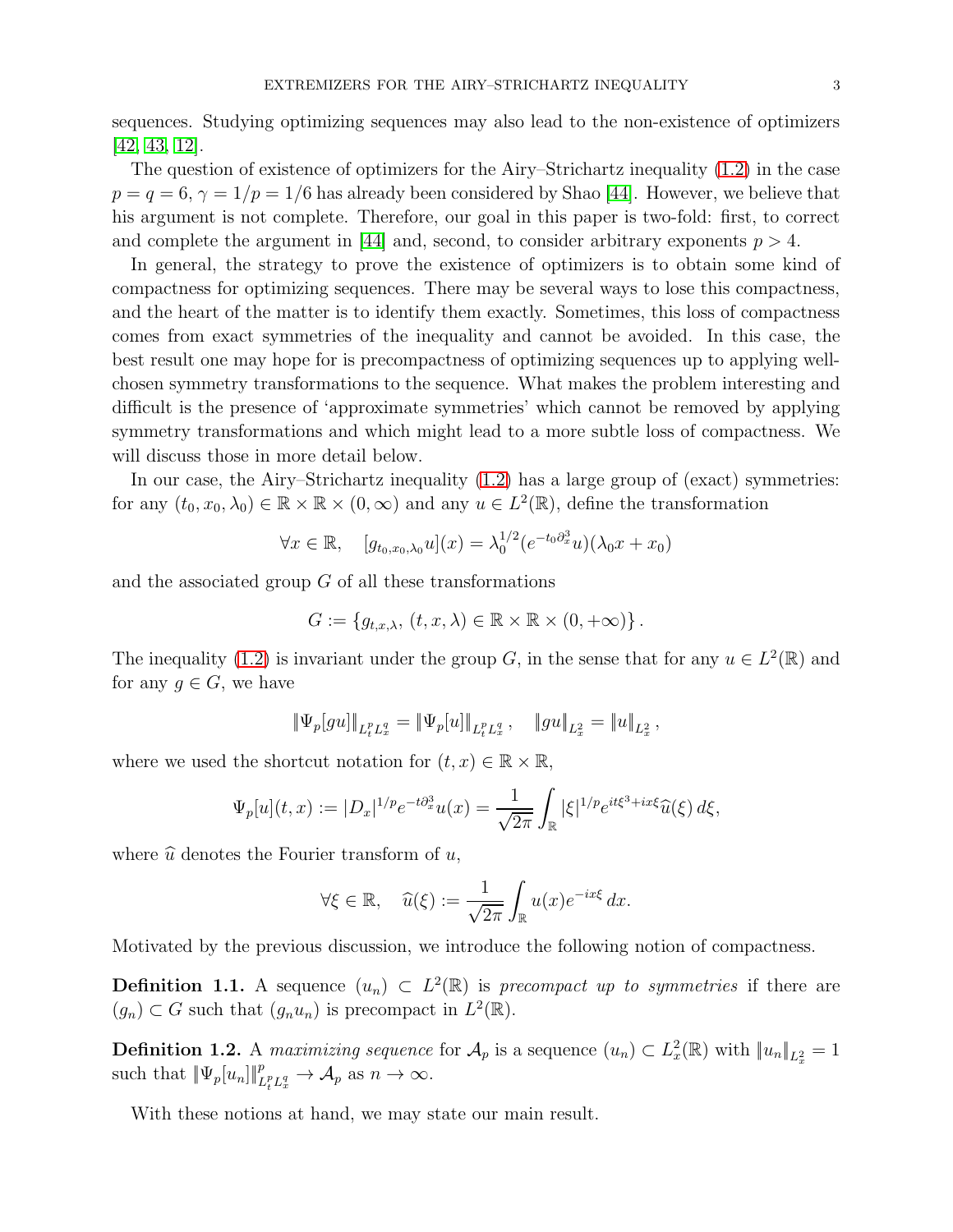sequences. Studying optimizing sequences may also lead to the non-existence of optimizers [\[42,](#page-36-9) [43,](#page-36-10) [12\]](#page-35-9).

The question of existence of optimizers for the Airy–Strichartz inequality [\(1.2\)](#page-0-0) in the case  $p = q = 6, \gamma = 1/p = 1/6$  has already been considered by Shao [\[44\]](#page-36-11). However, we believe that his argument is not complete. Therefore, our goal in this paper is two-fold: first, to correct and complete the argument in [\[44\]](#page-36-11) and, second, to consider arbitrary exponents  $p > 4$ .

In general, the strategy to prove the existence of optimizers is to obtain some kind of compactness for optimizing sequences. There may be several ways to lose this compactness, and the heart of the matter is to identify them exactly. Sometimes, this loss of compactness comes from exact symmetries of the inequality and cannot be avoided. In this case, the best result one may hope for is precompactness of optimizing sequences up to applying wellchosen symmetry transformations to the sequence. What makes the problem interesting and difficult is the presence of 'approximate symmetries' which cannot be removed by applying symmetry transformations and which might lead to a more subtle loss of compactness. We will discuss those in more detail below.

In our case, the Airy–Strichartz inequality [\(1.2\)](#page-0-0) has a large group of (exact) symmetries: for any  $(t_0, x_0, \lambda_0) \in \mathbb{R} \times \mathbb{R} \times (0, \infty)$  and any  $u \in L^2(\mathbb{R})$ , define the transformation

$$
\forall x \in \mathbb{R}, \quad [g_{t_0,x_0,\lambda_0}u](x) = \lambda_0^{1/2} (e^{-t_0 \partial_x^3} u)(\lambda_0 x + x_0)
$$

and the associated group G of all these transformations

$$
G := \{g_{t,x,\lambda}, (t,x,\lambda) \in \mathbb{R} \times \mathbb{R} \times (0,+\infty) \}.
$$

The inequality [\(1.2\)](#page-0-0) is invariant under the group G, in the sense that for any  $u \in L^2(\mathbb{R})$  and for any  $g \in G$ , we have

$$
\|\Psi_p[gu]\|_{L^p_tL^q_x}=\|\Psi_p[u]\|_{L^p_tL^q_x}\,,\quad \|gu\|_{L^2_x}=\|u\|_{L^2_x}\,,
$$

where we used the shortcut notation for  $(t, x) \in \mathbb{R} \times \mathbb{R}$ ,

$$
\Psi_p[u](t,x) := |D_x|^{1/p} e^{-t\partial_x^3} u(x) = \frac{1}{\sqrt{2\pi}} \int_{\mathbb{R}} |\xi|^{1/p} e^{it\xi^3 + ix\xi} \widehat{u}(\xi) d\xi,
$$

where  $\hat{u}$  denotes the Fourier transform of u,

$$
\forall \xi \in \mathbb{R}, \quad \widehat{u}(\xi) := \frac{1}{\sqrt{2\pi}} \int_{\mathbb{R}} u(x) e^{-ix\xi} dx.
$$

Motivated by the previous discussion, we introduce the following notion of compactness.

**Definition 1.1.** A sequence  $(u_n) \subset L^2(\mathbb{R})$  is *precompact up to symmetries* if there are  $(g_n) \subset G$  such that  $(g_n u_n)$  is precompact in  $L^2(\mathbb{R})$ .

**Definition 1.2.** A *maximizing sequence* for  $\mathcal{A}_p$  is a sequence  $(u_n) \subset L_x^2(\mathbb{R})$  with  $||u_n||_{L_x^2} = 1$ such that  $\|\Psi_p[u_n]\|_{L_t^p L_x^q}^p \to \mathcal{A}_p$  as  $n \to \infty$ .

With these notions at hand, we may state our main result.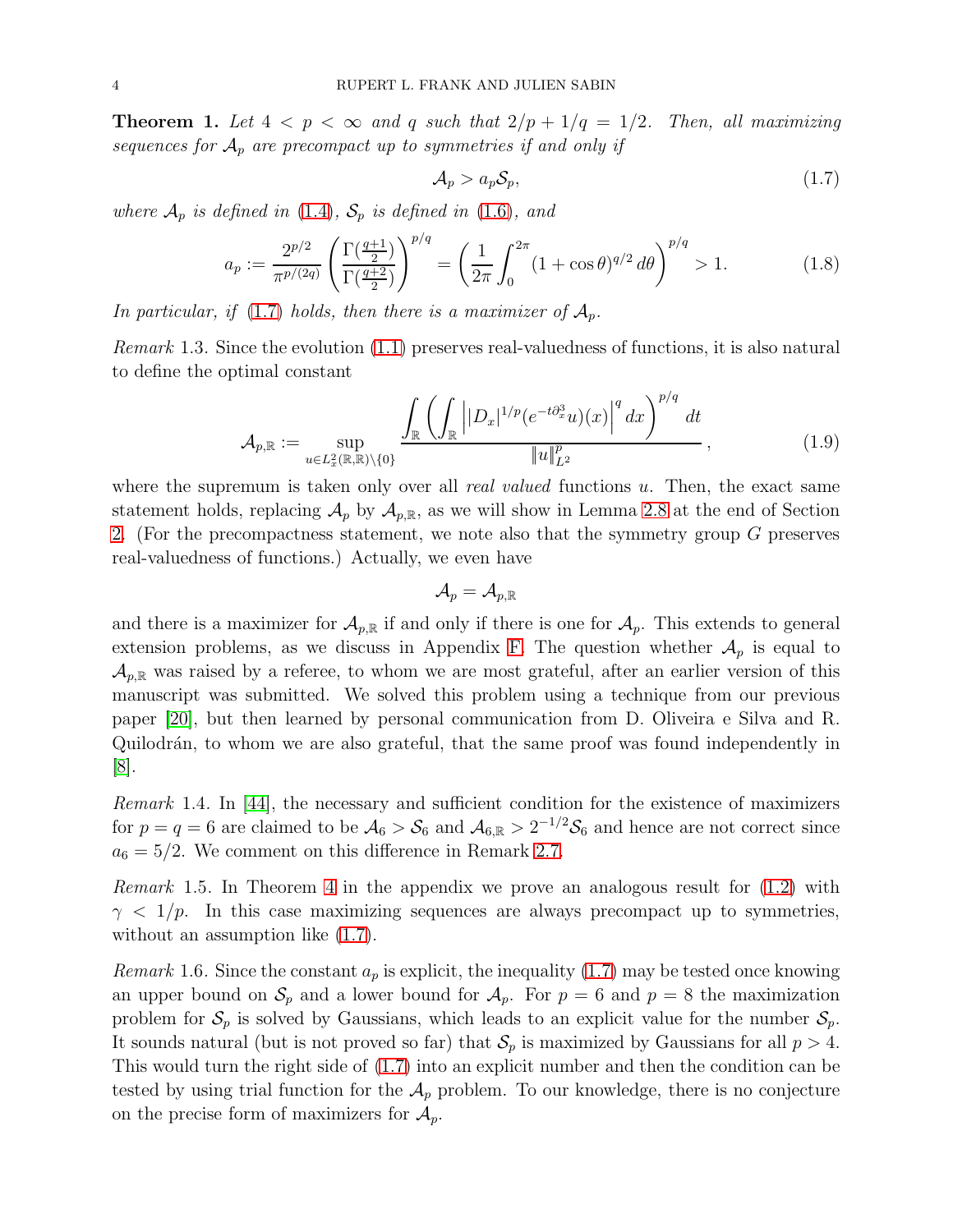<span id="page-3-1"></span>**Theorem 1.** Let  $4 < p < \infty$  and q such that  $2/p + 1/q = 1/2$ . Then, all maximizing *sequences for*  $A_p$  *are precompact up to symmetries if and only if* 

<span id="page-3-0"></span>
$$
\mathcal{A}_p > a_p \mathcal{S}_p,\tag{1.7}
$$

*where*  $\mathcal{A}_p$  *is defined in* [\(1.4\)](#page-0-1)*,*  $\mathcal{S}_p$  *is defined in* [\(1.6\)](#page-1-0)*, and* 

<span id="page-3-2"></span>
$$
a_p := \frac{2^{p/2}}{\pi^{p/(2q)}} \left( \frac{\Gamma(\frac{q+1}{2})}{\Gamma(\frac{q+2}{2})} \right)^{p/q} = \left( \frac{1}{2\pi} \int_0^{2\pi} (1 + \cos \theta)^{q/2} d\theta \right)^{p/q} > 1.
$$
 (1.8)

In particular, if  $(1.7)$  *holds, then there is a maximizer of*  $A_p$ .

*Remark* 1.3*.* Since the evolution [\(1.1\)](#page-0-3) preserves real-valuedness of functions, it is also natural to define the optimal constant

$$
\mathcal{A}_{p,\mathbb{R}} := \sup_{u \in L_x^2(\mathbb{R},\mathbb{R}) \setminus \{0\}} \frac{\int_{\mathbb{R}} \left( \int_{\mathbb{R}} \left| |D_x|^{1/p} (e^{-t\partial_x^3} u)(x) \right|^q dx \right)^{p/q} dt}{\|u\|_{L^2}^p},\tag{1.9}
$$

where the supremum is taken only over all *real valued* functions u. Then, the exact same statement holds, replacing  $\mathcal{A}_p$  by  $\mathcal{A}_{p,\mathbb{R}}$ , as we will show in Lemma [2.8](#page-13-0) at the end of Section [2.](#page-5-0) (For the precompactness statement, we note also that the symmetry group G preserves real-valuedness of functions.) Actually, we even have

$$
\mathcal{A}_p=\mathcal{A}_{p,\mathbb{R}}
$$

and there is a maximizer for  $\mathcal{A}_{p,\mathbb{R}}$  if and only if there is one for  $\mathcal{A}_p$ . This extends to general extension problems, as we discuss in Appendix [F.](#page-33-0) The question whether  $A_p$  is equal to  $\mathcal{A}_{p,\mathbb{R}}$  was raised by a referee, to whom we are most grateful, after an earlier version of this manuscript was submitted. We solved this problem using a technique from our previous paper [\[20\]](#page-35-8), but then learned by personal communication from D. Oliveira e Silva and R. Quilodrán, to whom we are also grateful, that the same proof was found independently in [\[8\]](#page-35-10).

*Remark* 1.4*.* In [\[44\]](#page-36-11), the necessary and sufficient condition for the existence of maximizers for  $p = q = 6$  are claimed to be  $A_6 > S_6$  and  $A_{6,\mathbb{R}} > 2^{-1/2}S_6$  and hence are not correct since  $a_6 = 5/2$ . We comment on this difference in Remark [2.7.](#page-8-0)

*Remark* 1.5*.* In Theorem [4](#page-32-1) in the appendix we prove an analogous result for [\(1.2\)](#page-0-0) with  $\gamma$  < 1/p. In this case maximizing sequences are always precompact up to symmetries, without an assumption like  $(1.7)$ .

*Remark* 1.6. Since the constant  $a_p$  is explicit, the inequality [\(1.7\)](#page-3-0) may be tested once knowing an upper bound on  $S_p$  and a lower bound for  $A_p$ . For  $p = 6$  and  $p = 8$  the maximization problem for  $S_p$  is solved by Gaussians, which leads to an explicit value for the number  $S_p$ . It sounds natural (but is not proved so far) that  $S_p$  is maximized by Gaussians for all  $p > 4$ . This would turn the right side of [\(1.7\)](#page-3-0) into an explicit number and then the condition can be tested by using trial function for the  $A_p$  problem. To our knowledge, there is no conjecture on the precise form of maximizers for  $\mathcal{A}_p$ .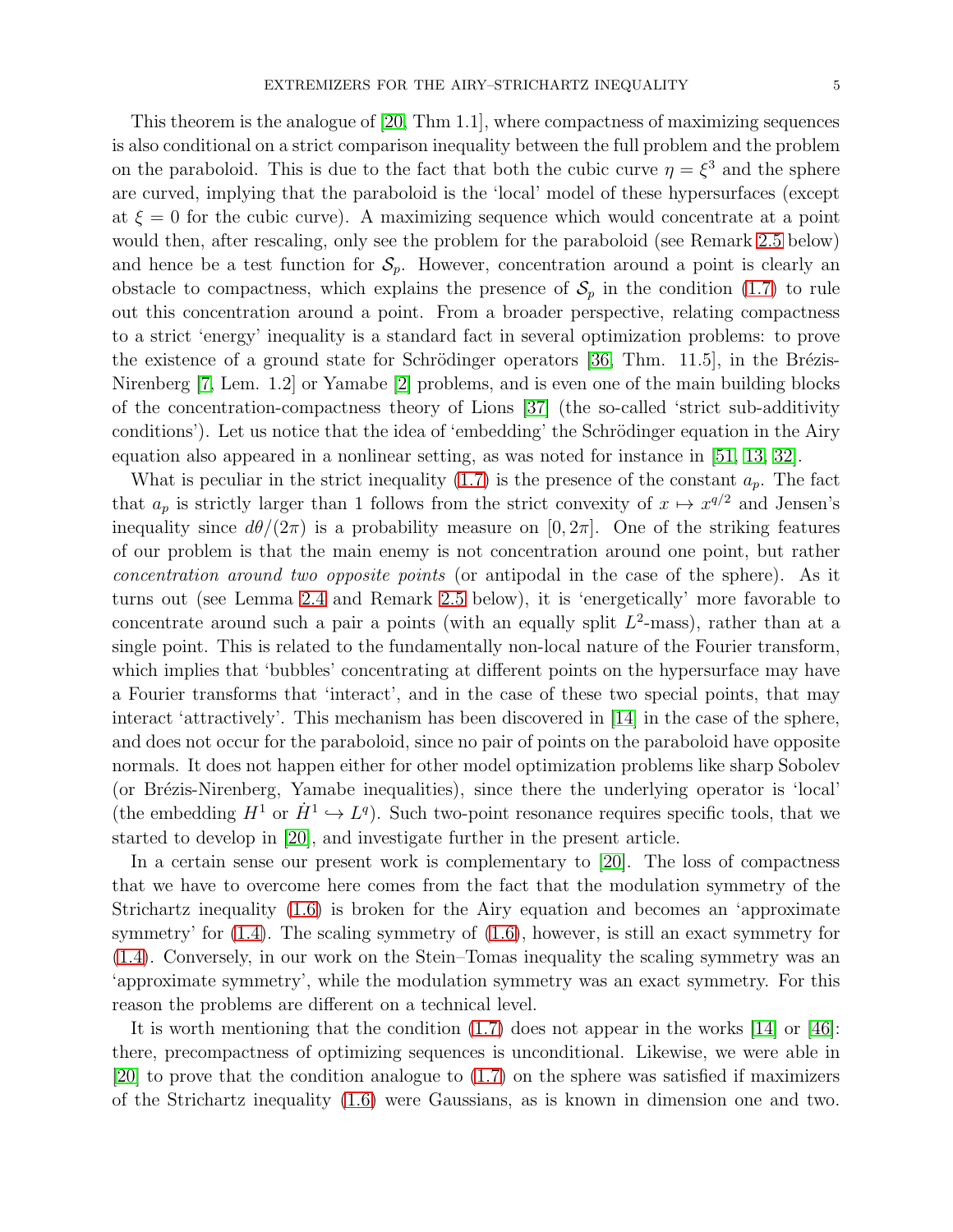This theorem is the analogue of [\[20,](#page-35-8) Thm 1.1], where compactness of maximizing sequences is also conditional on a strict comparison inequality between the full problem and the problem on the paraboloid. This is due to the fact that both the cubic curve  $\eta = \xi^3$  and the sphere are curved, implying that the paraboloid is the 'local' model of these hypersurfaces (except at  $\xi = 0$  for the cubic curve). A maximizing sequence which would concentrate at a point would then, after rescaling, only see the problem for the paraboloid (see Remark [2.5](#page-7-0) below) and hence be a test function for  $S_p$ . However, concentration around a point is clearly an obstacle to compactness, which explains the presence of  $S_p$  in the condition [\(1.7\)](#page-3-0) to rule out this concentration around a point. From a broader perspective, relating compactness to a strict 'energy' inequality is a standard fact in several optimization problems: to prove the existence of a ground state for Schrödinger operators  $[36, Thm. 11.5]$ , in the Brézis-Nirenberg [\[7,](#page-35-11) Lem. 1.2] or Yamabe [\[2\]](#page-35-12) problems, and is even one of the main building blocks of the concentration-compactness theory of Lions [\[37\]](#page-36-13) (the so-called 'strict sub-additivity conditions'). Let us notice that the idea of 'embedding' the Schrödinger equation in the Airy equation also appeared in a nonlinear setting, as was noted for instance in [\[51,](#page-37-3) [13,](#page-35-13) [32\]](#page-36-14).

What is peculiar in the strict inequality [\(1.7\)](#page-3-0) is the presence of the constant  $a_p$ . The fact that  $a_p$  is strictly larger than 1 follows from the strict convexity of  $x \mapsto x^{q/2}$  and Jensen's inequality since  $d\theta/(2\pi)$  is a probability measure on [0, 2π]. One of the striking features of our problem is that the main enemy is not concentration around one point, but rather *concentration around two opposite points* (or antipodal in the case of the sphere). As it turns out (see Lemma [2.4](#page-7-1) and Remark [2.5](#page-7-0) below), it is 'energetically' more favorable to concentrate around such a pair a points (with an equally split  $L^2$ -mass), rather than at a single point. This is related to the fundamentally non-local nature of the Fourier transform, which implies that 'bubbles' concentrating at different points on the hypersurface may have a Fourier transforms that 'interact', and in the case of these two special points, that may interact 'attractively'. This mechanism has been discovered in [\[14\]](#page-35-7) in the case of the sphere, and does not occur for the paraboloid, since no pair of points on the paraboloid have opposite normals. It does not happen either for other model optimization problems like sharp Sobolev (or Brézis-Nirenberg, Yamabe inequalities), since there the underlying operator is 'local' (the embedding  $H^1$  or  $\dot{H}^1 \hookrightarrow L^q$ ). Such two-point resonance requires specific tools, that we started to develop in [\[20\]](#page-35-8), and investigate further in the present article.

In a certain sense our present work is complementary to [\[20\]](#page-35-8). The loss of compactness that we have to overcome here comes from the fact that the modulation symmetry of the Strichartz inequality [\(1.6\)](#page-1-0) is broken for the Airy equation and becomes an 'approximate symmetry' for  $(1.4)$ . The scaling symmetry of  $(1.6)$ , however, is still an exact symmetry for [\(1.4\)](#page-0-1). Conversely, in our work on the Stein–Tomas inequality the scaling symmetry was an 'approximate symmetry', while the modulation symmetry was an exact symmetry. For this reason the problems are different on a technical level.

It is worth mentioning that the condition  $(1.7)$  does not appear in the works  $[14]$  or  $[46]$ : there, precompactness of optimizing sequences is unconditional. Likewise, we were able in [\[20\]](#page-35-8) to prove that the condition analogue to [\(1.7\)](#page-3-0) on the sphere was satisfied if maximizers of the Strichartz inequality [\(1.6\)](#page-1-0) were Gaussians, as is known in dimension one and two.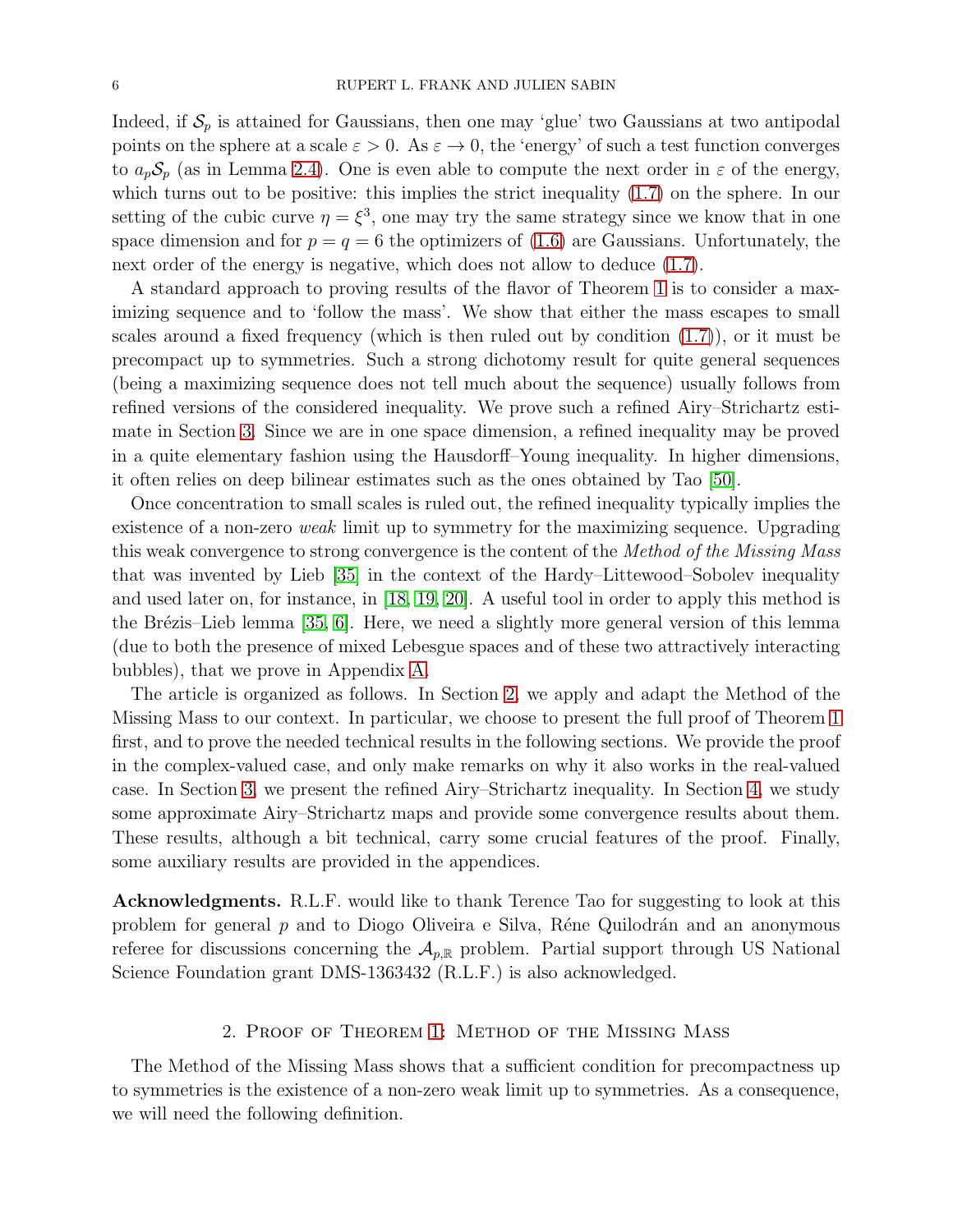Indeed, if  $S_p$  is attained for Gaussians, then one may 'glue' two Gaussians at two antipodal points on the sphere at a scale  $\varepsilon > 0$ . As  $\varepsilon \to 0$ , the 'energy' of such a test function converges to  $a_p S_p$  (as in Lemma [2.4\)](#page-7-1). One is even able to compute the next order in  $\varepsilon$  of the energy, which turns out to be positive: this implies the strict inequality  $(1.7)$  on the sphere. In our setting of the cubic curve  $\eta = \xi^3$ , one may try the same strategy since we know that in one space dimension and for  $p = q = 6$  the optimizers of [\(1.6\)](#page-1-0) are Gaussians. Unfortunately, the next order of the energy is negative, which does not allow to deduce  $(1.7)$ .

A standard approach to proving results of the flavor of Theorem [1](#page-3-1) is to consider a maximizing sequence and to 'follow the mass'. We show that either the mass escapes to small scales around a fixed frequency (which is then ruled out by condition [\(1.7\)](#page-3-0)), or it must be precompact up to symmetries. Such a strong dichotomy result for quite general sequences (being a maximizing sequence does not tell much about the sequence) usually follows from refined versions of the considered inequality. We prove such a refined Airy–Strichartz estimate in Section [3.](#page-14-0) Since we are in one space dimension, a refined inequality may be proved in a quite elementary fashion using the Hausdorff–Young inequality. In higher dimensions, it often relies on deep bilinear estimates such as the ones obtained by Tao [\[50\]](#page-37-4).

Once concentration to small scales is ruled out, the refined inequality typically implies the existence of a non-zero *weak* limit up to symmetry for the maximizing sequence. Upgrading this weak convergence to strong convergence is the content of the *Method of the Missing Mass* that was invented by Lieb [\[35\]](#page-36-15) in the context of the Hardy–Littewood–Sobolev inequality and used later on, for instance, in [\[18,](#page-35-14) [19,](#page-35-15) [20\]](#page-35-8). A useful tool in order to apply this method is the Brézis–Lieb lemma [\[35,](#page-36-15) [6\]](#page-35-16). Here, we need a slightly more general version of this lemma (due to both the presence of mixed Lebesgue spaces and of these two attractively interacting bubbles), that we prove in Appendix [A.](#page-23-0)

The article is organized as follows. In Section [2,](#page-5-0) we apply and adapt the Method of the Missing Mass to our context. In particular, we choose to present the full proof of Theorem [1](#page-3-1) first, and to prove the needed technical results in the following sections. We provide the proof in the complex-valued case, and only make remarks on why it also works in the real-valued case. In Section [3,](#page-14-0) we present the refined Airy–Strichartz inequality. In Section [4,](#page-20-0) we study some approximate Airy–Strichartz maps and provide some convergence results about them. These results, although a bit technical, carry some crucial features of the proof. Finally, some auxiliary results are provided in the appendices.

Acknowledgments. R.L.F. would like to thank Terence Tao for suggesting to look at this problem for general  $p$  and to Diogo Oliveira e Silva, Réne Quilodrán and an anonymous referee for discussions concerning the  $A_{p,\mathbb{R}}$  problem. Partial support through US National Science Foundation grant DMS-1363432 (R.L.F.) is also acknowledged.

### 2. Proof of Theorem [1:](#page-3-1) Method of the Missing Mass

<span id="page-5-0"></span>The Method of the Missing Mass shows that a sufficient condition for precompactness up to symmetries is the existence of a non-zero weak limit up to symmetries. As a consequence, we will need the following definition.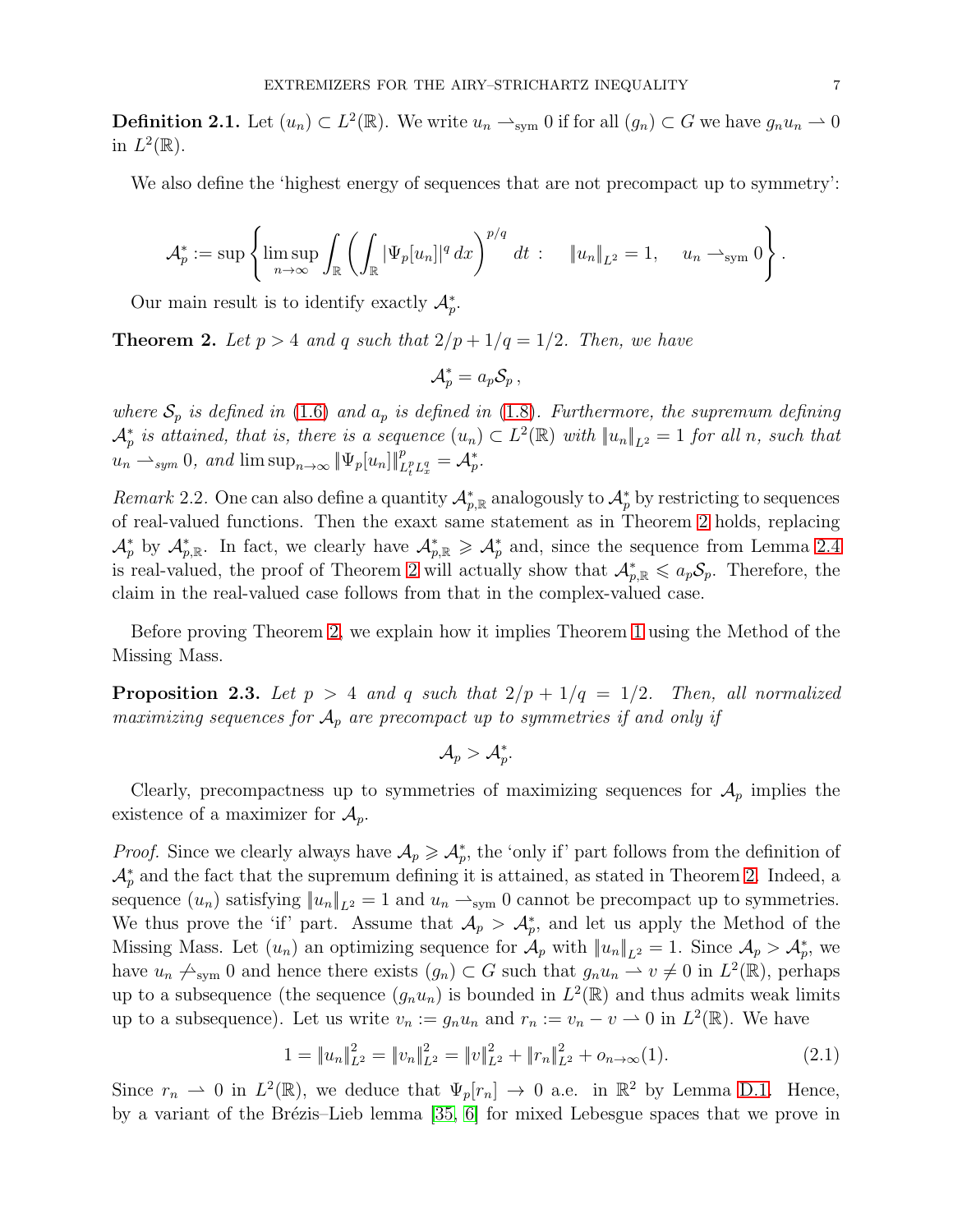**Definition 2.1.** Let  $(u_n) \subset L^2(\mathbb{R})$ . We write  $u_n \rightharpoonup_{sym} 0$  if for all  $(g_n) \subset G$  we have  $g_n u_n \rightharpoonup 0$ in  $L^2(\mathbb{R})$ .

We also define the 'highest energy of sequences that are not precompact up to symmetry':

$$
\mathcal{A}_p^* := \sup \left\{ \limsup_{n \to \infty} \int_{\mathbb{R}} \left( \int_{\mathbb{R}} |\Psi_p[u_n]|^q dx \right)^{p/q} dt \; : \quad \|u_n\|_{L^2} = 1, \quad u_n \to_{\text{sym}} 0 \right\}.
$$

Our main result is to identify exactly  $\mathcal{A}_{p}^{*}$ .

<span id="page-6-0"></span>**Theorem 2.** Let  $p > 4$  and q such that  $2/p + 1/q = 1/2$ . Then, we have

$$
\mathcal{A}_p^* = a_p \mathcal{S}_p \,,
$$

*where*  $S_p$  *is defined in* [\(1.6\)](#page-1-0) *and*  $a_p$  *is defined in* [\(1.8\)](#page-3-2)*. Furthermore, the supremum defining*  $\mathcal{A}_p^*$  is attained, that is, there is a sequence  $(u_n) \subset L^2(\mathbb{R})$  with  $||u_n||_{L^2} = 1$  for all n, such that  $u_n \rightharpoonup_{sym} 0$ , and  $\limsup_{n \to \infty} \|\Psi_p[u_n]\|_{L_t^p L_x^q}^p = \mathcal{A}_p^*$ .

*Remark* 2.2. One can also define a quantity  $\mathcal{A}_{p,\mathbb{R}}^*$  analogously to  $\mathcal{A}_p^*$  by restricting to sequences of real-valued functions. Then the exaxt same statement as in Theorem [2](#page-6-0) holds, replacing  $\mathcal{A}_p^*$  by  $\mathcal{A}_{p,\mathbb{R}}^*$ . In fact, we clearly have  $\mathcal{A}_{p,\mathbb{R}}^* \geq \mathcal{A}_p^*$  and, since the sequence from Lemma [2.4](#page-7-1) is real-valued, the proof of Theorem [2](#page-6-0) will actually show that  $\mathcal{A}_{p,\mathbb{R}}^* \leqslant a_p \mathcal{S}_p$ . Therefore, the claim in the real-valued case follows from that in the complex-valued case.

Before proving Theorem [2,](#page-6-0) we explain how it implies Theorem [1](#page-3-1) using the Method of the Missing Mass.

<span id="page-6-2"></span>**Proposition 2.3.** Let  $p > 4$  and q such that  $2/p + 1/q = 1/2$ . Then, all normalized *maximizing sequences for*  $A_p$  *are precompact up to symmetries if and only if* 

 $\mathcal{A}_p > \mathcal{A}^*_p.$ 

Clearly, precompactness up to symmetries of maximizing sequences for  $A_p$  implies the existence of a maximizer for  $\mathcal{A}_p$ .

*Proof.* Since we clearly always have  $\mathcal{A}_p \geq \mathcal{A}_p^*$ , the 'only if' part follows from the definition of  $\mathcal{A}_p^*$  and the fact that the supremum defining it is attained, as stated in Theorem [2.](#page-6-0) Indeed, a sequence  $(u_n)$  satisfying  $||u_n||_{L^2} = 1$  and  $u_n \rightharpoonup_{sym} 0$  cannot be precompact up to symmetries. We thus prove the 'if' part. Assume that  $\mathcal{A}_p > \mathcal{A}_p^*$ , and let us apply the Method of the Missing Mass. Let  $(u_n)$  an optimizing sequence for  $\mathcal{A}_p$  with  $||u_n||_{L^2} = 1$ . Since  $\mathcal{A}_p > \mathcal{A}_p^*$ , we have  $u_n \nightharpoonup_{sym} 0$  and hence there exists  $(g_n) \subset G$  such that  $g_n u_n \rightharpoonup v \neq 0$  in  $L^2(\mathbb{R})$ , perhaps up to a subsequence (the sequence  $(g_n u_n)$  is bounded in  $L^2(\mathbb{R})$  and thus admits weak limits up to a subsequence). Let us write  $v_n := g_n u_n$  and  $r_n := v_n - v \to 0$  in  $L^2(\mathbb{R})$ . We have

<span id="page-6-1"></span>
$$
1 = \|u_n\|_{L^2}^2 = \|v_n\|_{L^2}^2 = \|v\|_{L^2}^2 + \|r_n\|_{L^2}^2 + o_{n \to \infty}(1).
$$
 (2.1)

Since  $r_n \rightharpoonup 0$  in  $L^2(\mathbb{R})$ , we deduce that  $\Psi_p[r_n] \rightharpoonup 0$  a.e. in  $\mathbb{R}^2$  by Lemma [D.1.](#page-31-0) Hence, by a variant of the Brézis–Lieb lemma  $[35, 6]$  $[35, 6]$  for mixed Lebesgue spaces that we prove in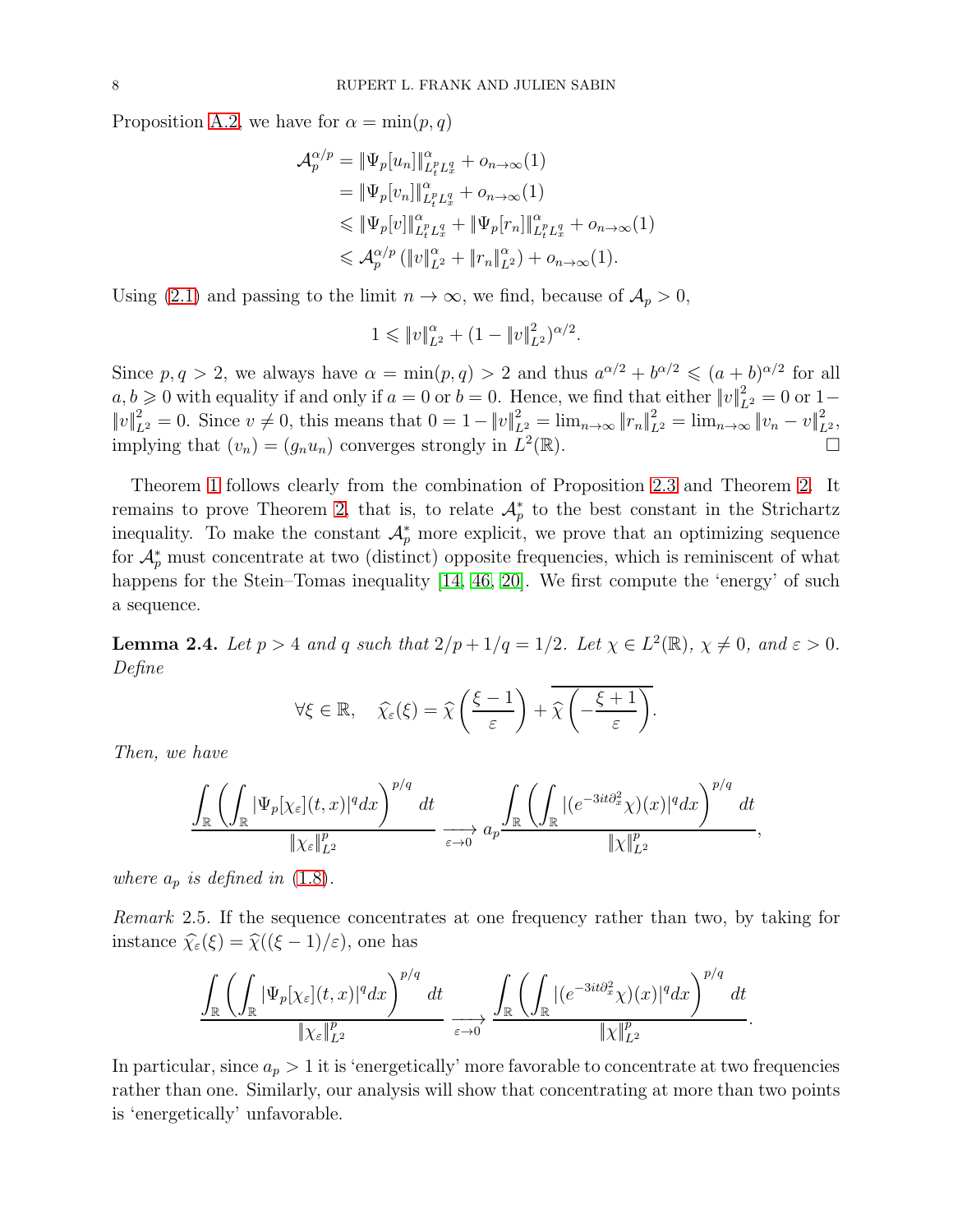Proposition [A.2,](#page-25-0) we have for  $\alpha = \min(p, q)$ 

$$
\mathcal{A}_{p}^{\alpha/p} = \|\Psi_{p}[u_{n}]\|_{L_{t}^{p}L_{x}^{q}}^{\alpha} + o_{n\to\infty}(1)
$$
\n
$$
= \|\Psi_{p}[v_{n}]\|_{L_{t}^{p}L_{x}^{q}}^{\alpha} + o_{n\to\infty}(1)
$$
\n
$$
\leq \|\Psi_{p}[v]\|_{L_{t}^{p}L_{x}^{q}}^{\alpha} + \|\Psi_{p}[r_{n}]\|_{L_{t}^{p}L_{x}^{q}}^{\alpha} + o_{n\to\infty}(1)
$$
\n
$$
\leq \mathcal{A}_{p}^{\alpha/p} (\|v\|_{L^{2}}^{\alpha} + \|r_{n}\|_{L^{2}}^{\alpha}) + o_{n\to\infty}(1).
$$

Using [\(2.1\)](#page-6-1) and passing to the limit  $n \to \infty$ , we find, because of  $\mathcal{A}_p > 0$ ,

$$
1 \leqslant \|v\|_{L^2}^{\alpha} + (1 - \|v\|_{L^2}^2)^{\alpha/2}.
$$

Since  $p, q > 2$ , we always have  $\alpha = \min(p, q) > 2$  and thus  $a^{\alpha/2} + b^{\alpha/2} \leq (a + b)^{\alpha/2}$  for all  $a, b \geqslant 0$  with equality if and only if  $a = 0$  or  $b = 0$ . Hence, we find that either  $||v||_{L^2}^2 = 0$  or  $1-\frac{1}{2}$  $||v||_{L^2}^2 = 0$ . Since  $v \neq 0$ , this means that  $0 = 1 - ||v||_{L^2}^2 = \lim_{n \to \infty} ||r_n||_{L^2}^2 = \lim_{n \to \infty} ||v_n - v||_{L^2}^2$ , implying that  $(v_n) = (g_n u_n)$  converges strongly in  $L^2$  $(\mathbb{R})$ .

Theorem [1](#page-3-1) follows clearly from the combination of Proposition [2.3](#page-6-2) and Theorem [2.](#page-6-0) It remains to prove Theorem [2,](#page-6-0) that is, to relate  $\mathcal{A}_p^*$  to the best constant in the Strichartz inequality. To make the constant  $\mathcal{A}_p^*$  more explicit, we prove that an optimizing sequence for  $\mathcal{A}_p^*$  must concentrate at two (distinct) opposite frequencies, which is reminiscent of what happens for the Stein–Tomas inequality [\[14,](#page-35-7) [46,](#page-36-8) [20\]](#page-35-8). We first compute the 'energy' of such a sequence.

<span id="page-7-1"></span>**Lemma 2.4.** Let  $p > 4$  and  $q$  such that  $2/p + 1/q = 1/2$ . Let  $\chi \in L^2(\mathbb{R})$ ,  $\chi \neq 0$ , and  $\varepsilon > 0$ . *Define*

$$
\forall \xi \in \mathbb{R}, \quad \widehat{\chi}_{\varepsilon}(\xi) = \widehat{\chi}\left(\frac{\xi - 1}{\varepsilon}\right) + \overline{\widehat{\chi}\left(-\frac{\xi + 1}{\varepsilon}\right)}.
$$

*Then, we have*

$$
\frac{\int_{\mathbb{R}} \left( \int_{\mathbb{R}} |\Psi_p[\chi_{\varepsilon}](t,x)|^q dx \right)^{p/q} dt}{\|\chi_{\varepsilon}\|_{L^2}^p} \xrightarrow[\varepsilon \to 0]{} a_p \frac{\int_{\mathbb{R}} \left( \int_{\mathbb{R}} |(e^{-3it\partial_x^2} \chi)(x)|^q dx \right)^{p/q} dt}{\|\chi\|_{L^2}^p},
$$

*where*  $a_p$  *is defined in* [\(1.8\)](#page-3-2)*.* 

<span id="page-7-0"></span>*Remark* 2.5*.* If the sequence concentrates at one frequency rather than two, by taking for instance  $\widehat{\chi}_{\varepsilon}(\xi) = \widehat{\chi}((\xi - 1)/\varepsilon)$ , one has

$$
\frac{\displaystyle\int_{\mathbb{R}}\left(\int_{\mathbb{R}}|\Psi_p[\chi_\varepsilon](t,x)|^qdx\right)^{p/q}\,dt}{\|\chi_\varepsilon\|_{L^2}^p}\xrightarrow[\varepsilon\to 0]{}\frac{\displaystyle\int_{\mathbb{R}}\left(\int_{\mathbb{R}}|(e^{-3it\partial_x^2}\chi)(x)|^qdx\right)^{p/q}\,dt}{\|\chi\|_{L^2}^p}.
$$

In particular, since  $a_p > 1$  it is 'energetically' more favorable to concentrate at two frequencies rather than one. Similarly, our analysis will show that concentrating at more than two points is 'energetically' unfavorable.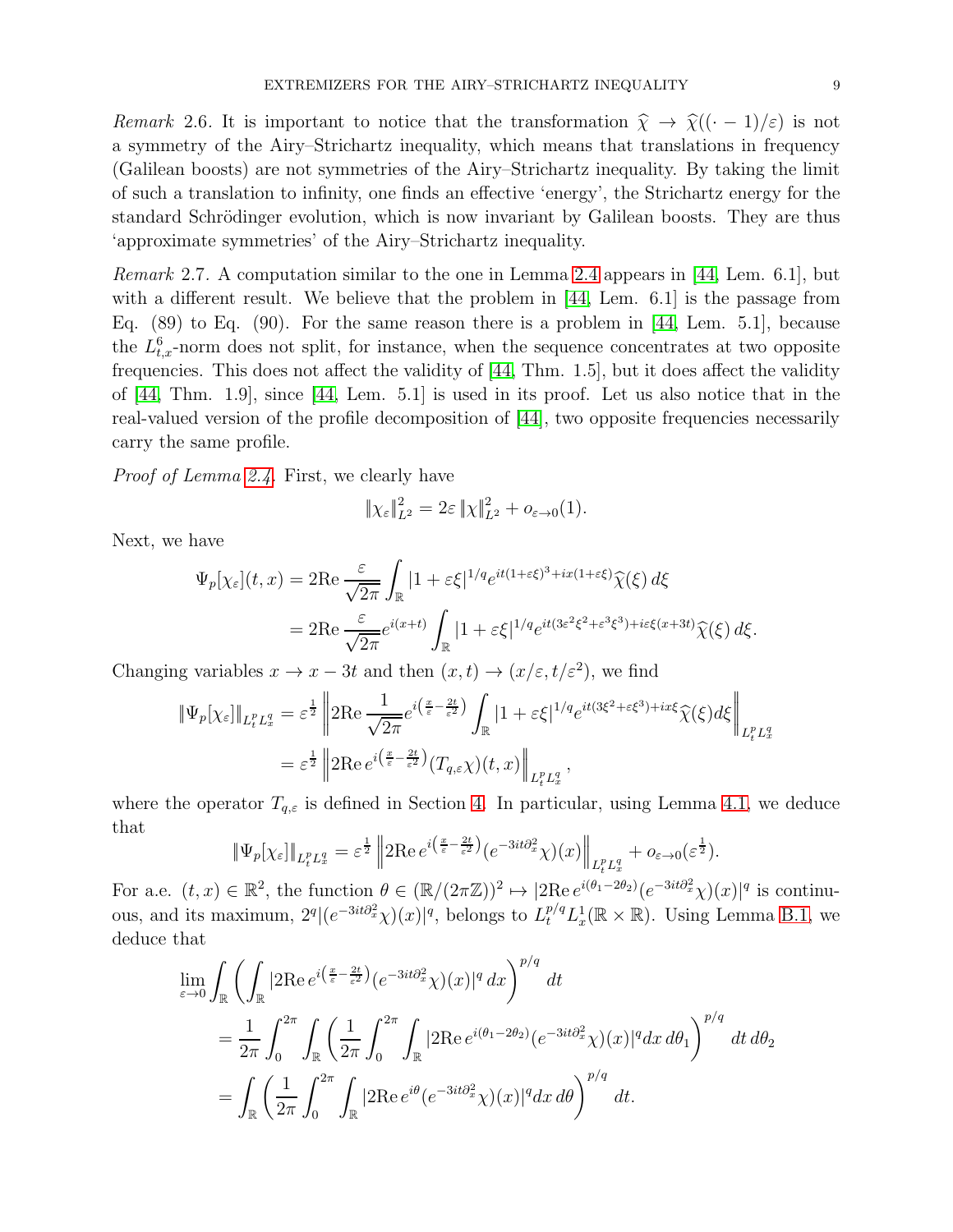*Remark* 2.6. It is important to notice that the transformation  $\hat{\chi} \to \hat{\chi}((\cdot - 1)/\varepsilon)$  is not a symmetry of the Airy–Strichartz inequality, which means that translations in frequency (Galilean boosts) are not symmetries of the Airy–Strichartz inequality. By taking the limit of such a translation to infinity, one finds an effective 'energy', the Strichartz energy for the standard Schrödinger evolution, which is now invariant by Galilean boosts. They are thus 'approximate symmetries' of the Airy–Strichartz inequality.

<span id="page-8-0"></span>*Remark* 2.7*.* A computation similar to the one in Lemma [2.4](#page-7-1) appears in [\[44,](#page-36-11) Lem. 6.1], but with a different result. We believe that the problem in [\[44,](#page-36-11) Lem. 6.1] is the passage from Eq. (89) to Eq. (90). For the same reason there is a problem in [\[44,](#page-36-11) Lem. 5.1], because the  $L_{t,x}^6$ -norm does not split, for instance, when the sequence concentrates at two opposite frequencies. This does not affect the validity of [\[44,](#page-36-11) Thm. 1.5], but it does affect the validity of [\[44,](#page-36-11) Thm. 1.9], since [\[44,](#page-36-11) Lem. 5.1] is used in its proof. Let us also notice that in the real-valued version of the profile decomposition of [\[44\]](#page-36-11), two opposite frequencies necessarily carry the same profile.

*Proof of Lemma [2.4.](#page-7-1)* First, we clearly have

$$
\|\chi_{\varepsilon}\|_{L^2}^2 = 2\varepsilon \|\chi\|_{L^2}^2 + o_{\varepsilon \to 0}(1).
$$

Next, we have

$$
\Psi_p[\chi_{\varepsilon}](t,x) = 2\mathrm{Re}\frac{\varepsilon}{\sqrt{2\pi}} \int_{\mathbb{R}} |1 + \varepsilon \xi|^{1/q} e^{it(1 + \varepsilon \xi)^3 + ix(1 + \varepsilon \xi)} \widehat{\chi}(\xi) d\xi
$$
  
= 
$$
2\mathrm{Re}\frac{\varepsilon}{\sqrt{2\pi}} e^{i(x + t)} \int_{\mathbb{R}} |1 + \varepsilon \xi|^{1/q} e^{it(3\varepsilon^2 \xi^2 + \varepsilon^3 \xi^3) + i\varepsilon \xi(x + 3t)} \widehat{\chi}(\xi) d\xi.
$$

Changing variables  $x \to x - 3t$  and then  $(x, t) \to (x/\varepsilon, t/\varepsilon^2)$ , we find

$$
\begin{split} \|\Psi_{p}[\chi_{\varepsilon}]\|_{L_{t}^{p}L_{x}^{q}} &= \varepsilon^{\frac{1}{2}} \left\| 2\mathrm{Re} \, \frac{1}{\sqrt{2\pi}} e^{i\left(\frac{x}{\varepsilon} - \frac{2t}{\varepsilon^{2}}\right)} \int_{\mathbb{R}} |1 + \varepsilon \xi|^{1/q} e^{it(3\xi^{2} + \varepsilon \xi^{3}) + ix\xi} \widehat{\chi}(\xi) d\xi \right\|_{L_{t}^{p}L_{x}^{q}} \\ &= \varepsilon^{\frac{1}{2}} \left\| 2\mathrm{Re} \, e^{i\left(\frac{x}{\varepsilon} - \frac{2t}{\varepsilon^{2}}\right)} (T_{q,\varepsilon}\chi)(t,x) \right\|_{L_{t}^{p}L_{x}^{q}}, \end{split}
$$

where the operator  $T_{q,\varepsilon}$  is defined in Section [4.](#page-20-0) In particular, using Lemma [4.1,](#page-21-0) we deduce that

$$
\|\Psi_p[\chi_{\varepsilon}]\|_{L_t^p L_x^q} = \varepsilon^{\frac{1}{2}} \left\| 2\text{Re}\, e^{i\left(\frac{x}{\varepsilon} - \frac{2t}{\varepsilon^2}\right)} (e^{-3it\partial_x^2} \chi)(x) \right\|_{L_t^p L_x^q} + o_{\varepsilon \to 0}(\varepsilon^{\frac{1}{2}}).
$$

For a.e.  $(t, x) \in \mathbb{R}^2$ , the function  $\theta \in (\mathbb{R}/(2\pi\mathbb{Z}))^2 \mapsto |2\text{Re } e^{i(\theta_1 - 2\theta_2)}(e^{-3it\partial_x^2}\chi)(x)|^q$  is continuous, and its maximum,  $2^q|(e^{-3it\partial_x^2}\chi)(x)|^q$ , belongs to  $L_t^{p/q}L_x^1(\mathbb{R}\times\mathbb{R})$ . Using Lemma [B.1,](#page-26-0) we deduce that

$$
\lim_{\varepsilon \to 0} \int_{\mathbb{R}} \left( \int_{\mathbb{R}} |2 \operatorname{Re} e^{i\left(\frac{x}{\varepsilon} - \frac{2t}{\varepsilon^2}\right)} (e^{-3it\partial_x^2} \chi)(x)|^q dx \right)^{p/q} dt
$$
\n
$$
= \frac{1}{2\pi} \int_0^{2\pi} \int_{\mathbb{R}} \left( \frac{1}{2\pi} \int_0^{2\pi} \int_{\mathbb{R}} |2 \operatorname{Re} e^{i(\theta_1 - 2\theta_2)} (e^{-3it\partial_x^2} \chi)(x)|^q dx d\theta_1 \right)^{p/q} dt d\theta_2
$$
\n
$$
= \int_{\mathbb{R}} \left( \frac{1}{2\pi} \int_0^{2\pi} \int_{\mathbb{R}} |2 \operatorname{Re} e^{i\theta} (e^{-3it\partial_x^2} \chi)(x)|^q dx d\theta \right)^{p/q} dt.
$$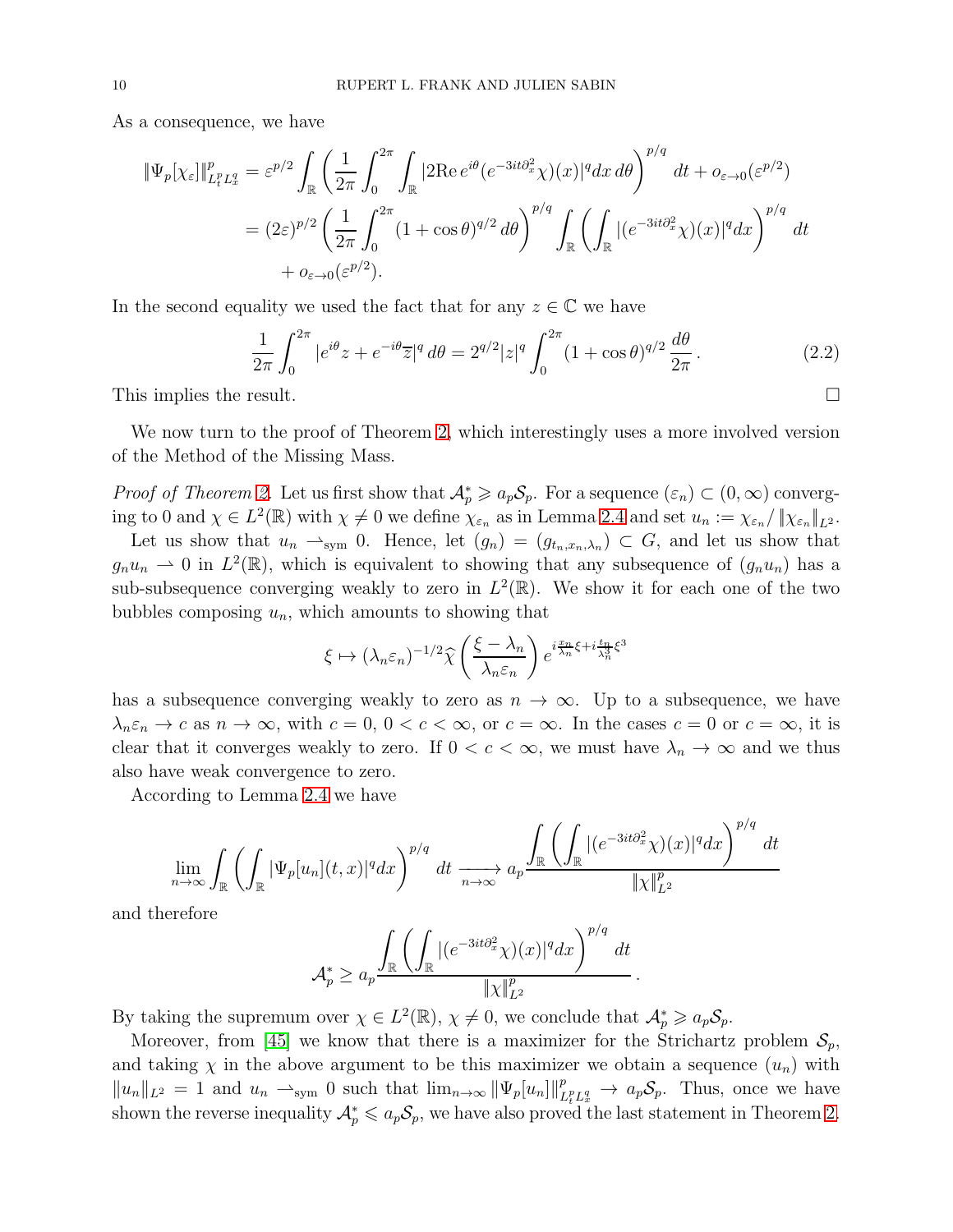As a consequence, we have

$$
\begin{split} \|\Psi_{p}[\chi_{\varepsilon}]\|_{L_{t}^{p}L_{x}^{q}}^{p} &= \varepsilon^{p/2} \int_{\mathbb{R}} \left( \frac{1}{2\pi} \int_{0}^{2\pi} \int_{\mathbb{R}} |2 \mathrm{Re} \, e^{i\theta} (e^{-3it\partial_{x}^{2}} \chi)(x)|^{q} dx \, d\theta \right)^{p/q} \, dt + o_{\varepsilon \to 0}(\varepsilon^{p/2}) \\ &= (2\varepsilon)^{p/2} \left( \frac{1}{2\pi} \int_{0}^{2\pi} (1 + \cos \theta)^{q/2} \, d\theta \right)^{p/q} \int_{\mathbb{R}} \left( \int_{\mathbb{R}} |(e^{-3it\partial_{x}^{2}} \chi)(x)|^{q} dx \right)^{p/q} \, dt \\ &+ o_{\varepsilon \to 0}(\varepsilon^{p/2}). \end{split}
$$

In the second equality we used the fact that for any  $z \in \mathbb{C}$  we have

<span id="page-9-0"></span>
$$
\frac{1}{2\pi} \int_0^{2\pi} |e^{i\theta} z + e^{-i\theta} \overline{z}|^q d\theta = 2^{q/2} |z|^q \int_0^{2\pi} (1 + \cos \theta)^{q/2} \frac{d\theta}{2\pi}.
$$
 (2.2)

This implies the result.

We now turn to the proof of Theorem [2,](#page-6-0) which interestingly uses a more involved version of the Method of the Missing Mass.

*Proof of Theorem [2.](#page-6-0)* Let us first show that  $\mathcal{A}_p^* \geq a_p \mathcal{S}_p$ . For a sequence  $(\varepsilon_n) \subset (0,\infty)$  converging to 0 and  $\chi \in L^2(\mathbb{R})$  with  $\chi \neq 0$  we define  $\chi_{\varepsilon_n}$  as in Lemma [2.4](#page-7-1) and set  $u_n := \chi_{\varepsilon_n}/\|\chi_{\varepsilon_n}\|_{L^2}$ .

Let us show that  $u_n \rightharpoonup_{sym} 0$ . Hence, let  $(g_n) = (g_{t_n,x_n,\lambda_n}) \subset G$ , and let us show that  $g_n u_n \rightharpoonup 0$  in  $L^2(\mathbb{R})$ , which is equivalent to showing that any subsequence of  $(g_n u_n)$  has a sub-subsequence converging weakly to zero in  $L^2(\mathbb{R})$ . We show it for each one of the two bubbles composing  $u_n$ , which amounts to showing that

$$
\xi \mapsto (\lambda_n \varepsilon_n)^{-1/2} \widehat{\chi} \left( \frac{\xi - \lambda_n}{\lambda_n \varepsilon_n} \right) e^{i \frac{\pi n}{\lambda_n} \xi + i \frac{t_n}{\lambda_n^2} \xi^3}
$$

has a subsequence converging weakly to zero as  $n \to \infty$ . Up to a subsequence, we have  $\lambda_n \varepsilon_n \to c$  as  $n \to \infty$ , with  $c = 0, 0 < c < \infty$ , or  $c = \infty$ . In the cases  $c = 0$  or  $c = \infty$ , it is clear that it converges weakly to zero. If  $0 < c < \infty$ , we must have  $\lambda_n \to \infty$  and we thus also have weak convergence to zero.

According to Lemma [2.4](#page-7-1) we have

$$
\lim_{n \to \infty} \int_{\mathbb{R}} \left( \int_{\mathbb{R}} |\Psi_p[u_n](t,x)|^q dx \right)^{p/q} dt \xrightarrow[n \to \infty]{} a_p \frac{\int_{\mathbb{R}} \left( \int_{\mathbb{R}} |(e^{-3it\partial_x^2} \chi)(x)|^q dx \right)^{p/q} dt}{\|\chi\|_{L^2}^p}
$$

and therefore

$$
\mathcal{A}_p^* \ge a_p \frac{\int_{\mathbb{R}} \left( \int_{\mathbb{R}} |(e^{-3it\partial_x^2} \chi)(x)|^q dx \right)^{p/q} dt}{\|\chi\|_{L^2}^p}
$$

.

By taking the supremum over  $\chi \in L^2(\mathbb{R}), \chi \neq 0$ , we conclude that  $\mathcal{A}_p^* \geq a_p \mathcal{S}_p$ .

Moreover, from [\[45\]](#page-36-4) we know that there is a maximizer for the Strichartz problem  $S_p$ , and taking  $\chi$  in the above argument to be this maximizer we obtain a sequence  $(u_n)$  with  $||u_n||_{L^2} = 1$  and  $u_n \rightharpoonup_{sym} 0$  such that  $\lim_{n\to\infty} ||\Psi_p[u_n]||_L^p$  $\frac{p_{p}}{L_{t}^{p}L_{x}^{q}} \rightarrow a_{p}S_{p}$ . Thus, once we have shown the reverse inequality  $\mathcal{A}_p^* \leq a_p \mathcal{S}_p$ , we have also proved the last statement in Theorem [2.](#page-6-0)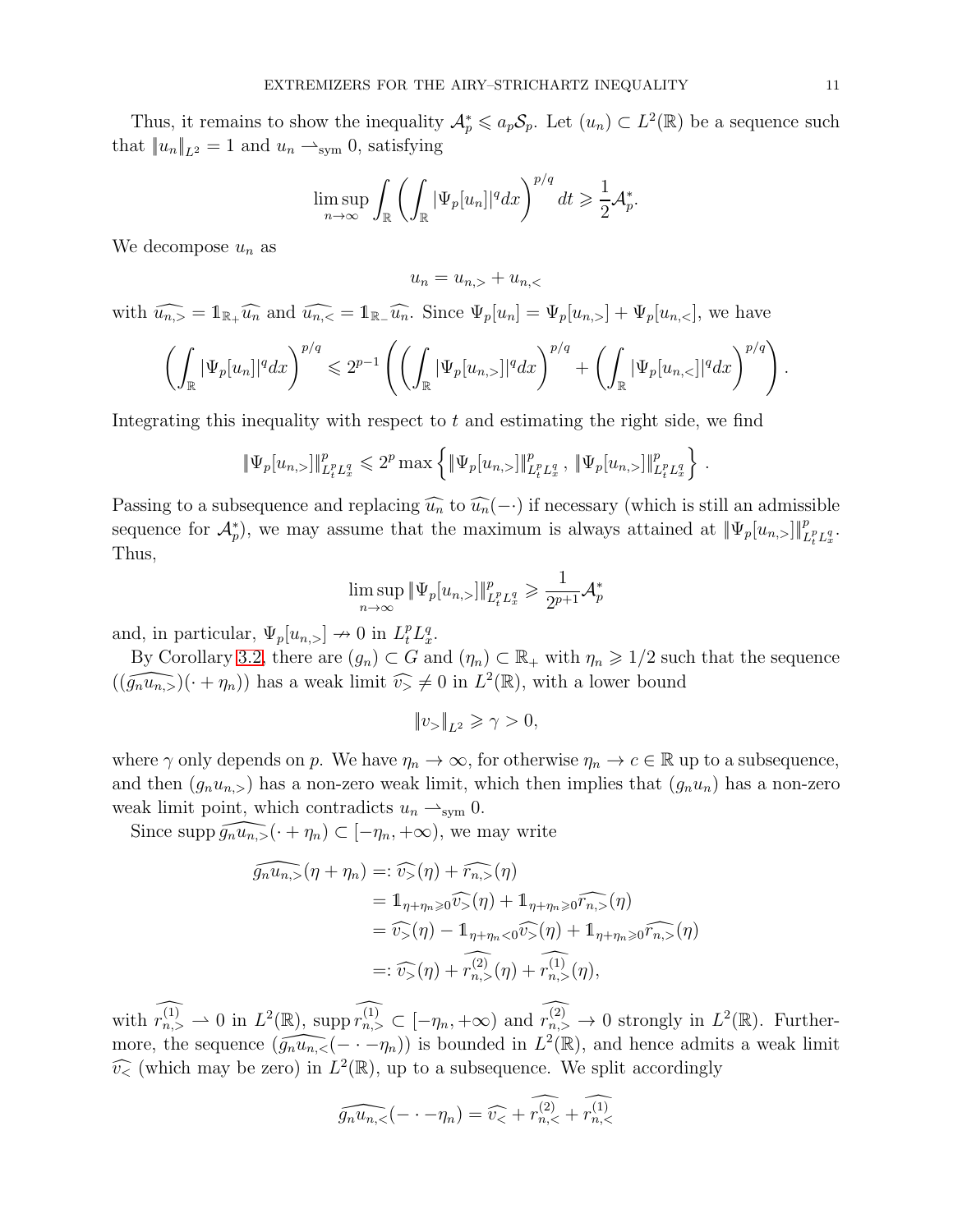Thus, it remains to show the inequality  $\mathcal{A}_p^* \leq a_p \mathcal{S}_p$ . Let  $(u_n) \subset L^2(\mathbb{R})$  be a sequence such that  $||u_n||_{L^2} = 1$  and  $u_n \rightharpoonup_{sym} 0$ , satisfying

$$
\limsup_{n\to\infty}\int_{\mathbb{R}}\left(\int_{\mathbb{R}}|\Psi_p[u_n]|^qdx\right)^{p/q}dt\geqslant\frac{1}{2}\mathcal{A}_p^*.
$$

We decompose  $u_n$  as

$$
u_n = u_{n,>} + u_{n,<}
$$

with  $\widehat{u_{n,>}} = \mathbb{1}_{\mathbb{R}_+} \widehat{u_n}$  and  $\widehat{u_{n,<}} = \mathbb{1}_{\mathbb{R}_-} \widehat{u_n}$ . Since  $\Psi_p[u_n] = \Psi_p[u_{n,<}] + \Psi_p[u_{n,<}]$ , we have

$$
\left(\int_{\mathbb{R}}|\Psi_p[u_n]|^q dx\right)^{p/q}\leqslant 2^{p-1}\left(\left(\int_{\mathbb{R}}|\Psi_p[u_{n,>}]|^q dx\right)^{p/q}+\left(\int_{\mathbb{R}}|\Psi_p[u_{n,<}]|^q dx\right)^{p/q}\right).
$$

Integrating this inequality with respect to  $t$  and estimating the right side, we find

$$
\|\Psi_p[u_{n,>}]\|_{L_t^p L_x^q}^p \leq 2^p \max \left\{ \|\Psi_p[u_{n,>}]\|_{L_t^p L_x^q}^p, \|\Psi_p[u_{n,>}]\|_{L_t^p L_x^q}^p \right\}.
$$

Passing to a subsequence and replacing  $\widehat{u_n}$  to  $\widehat{u_n}(-)$  if necessary (which is still an admissible sequence for  $\mathcal{A}_{p}^{*}$ , we may assume that the maximum is always attained at  $\|\Psi_{p}[u_{n,>}]\|_{L_{t}^{p}L_{x}^{q}}^{p}$ . Thus,

$$
\limsup_{n\to\infty} \|\Psi_p[u_{n,>}]\|_{L_t^p L_x^q}^p \geqslant \frac{1}{2^{p+1}}\mathcal{A}_p^*
$$

and, in particular,  $\Psi_p[u_{n,>}] \to 0$  in  $L_t^p L_x^q$ .

By Corollary [3.2,](#page-15-0) there are  $(g_n) \subset G$  and  $(\eta_n) \subset \mathbb{R}_+$  with  $\eta_n \geq 1/2$  such that the sequence  $((\widehat{g_n u_{n,>}})(\cdot + \eta_n))$  has a weak limit  $\widehat{v}_\geq \neq 0$  in  $L^2(\mathbb{R})$ , with a lower bound

$$
\|v_{>}\|_{L^2}\geqslant \gamma>0,
$$

where  $\gamma$  only depends on p. We have  $\eta_n \to \infty$ , for otherwise  $\eta_n \to c \in \mathbb{R}$  up to a subsequence, and then  $(g_nu_{n,>} )$  has a non-zero weak limit, which then implies that  $(g_nu_n )$  has a non-zero weak limit point, which contradicts  $u_n \rightharpoonup_{sym} 0$ .

Since supp  $\widehat{g_n u_{n,>}(\cdot + \eta_n)} \subset [-\eta_n, +\infty)$ , we may write

$$
\widehat{g_n u_{n,>}}(\eta + \eta_n) =: \widehat{v_>(\eta)} + \widehat{r_{n,>}}(\eta)
$$
  
\n
$$
= 1_{\eta + \eta_n \ge 0} \widehat{v_>(\eta)} + 1_{\eta + \eta_n \ge 0} \widehat{r_{n,>}}(\eta)
$$
  
\n
$$
= \widehat{v_>(\eta)} - 1_{\eta + \eta_n < 0} \widehat{v_>(\eta)} + 1_{\eta + \eta_n \ge 0} \widehat{r_{n,>}}(\eta)
$$
  
\n
$$
=: \widehat{v_>(\eta)} + \widehat{r_{n,>}^{(2)}}(\eta) + \widehat{r_{n,>}}(\eta),
$$

with  $r_{n,>}^{(1)} \rightharpoonup 0$  in  $L^2(\mathbb{R})$ , supp  $r_{n,>}^{(1)} \rightharpoonup [-\eta_n, +\infty)$  and  $r_{n,>}^{(2)} \rightharpoonup 0$  strongly in  $L^2(\mathbb{R})$ . Furthermore, the sequence  $(\widehat{g_n u_{n,<}}(- \cdot - \eta_n))$  is bounded in  $L^2(\mathbb{R})$ , and hence admits a weak limit  $\widehat{v}_{\le}$  (which may be zero) in  $L^2(\mathbb{R})$ , up to a subsequence. We split accordingly

$$
\widehat{g_n u_{n,<}}(-\cdot -\eta_n) = \widehat{v_{<}} + \widehat{r_{n,<}^{(2)}} + \widehat{r_{n,<}^{(1)}}
$$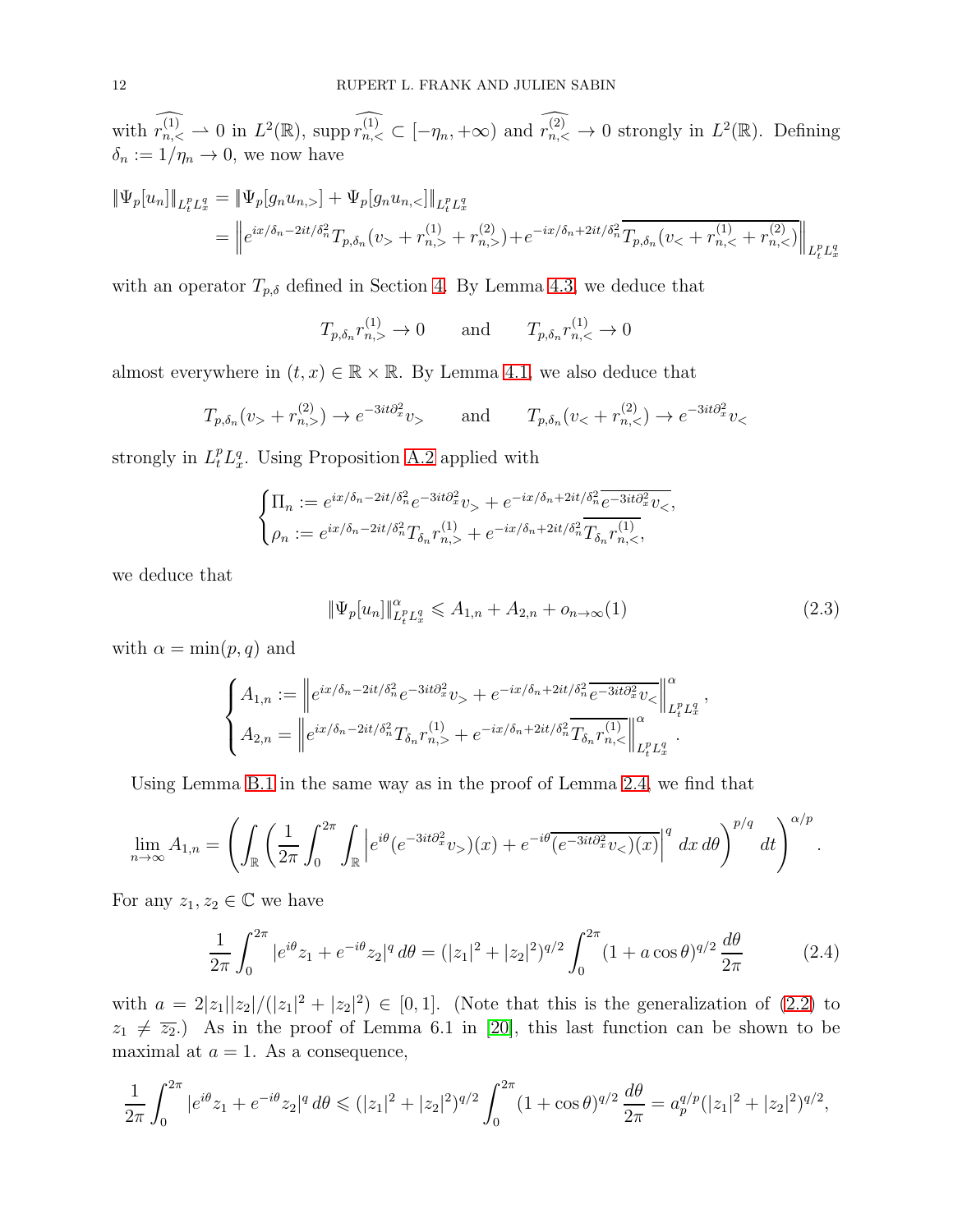with  $r_{n,<}^{(1)} \rightharpoonup 0$  in  $L^2(\mathbb{R})$ , supp  $r_{n,<}^{(1)} \rightharpoonup [-\eta_n, +\infty)$  and  $r_{n,<}^{(2)} \rightharpoonup 0$  strongly in  $L^2(\mathbb{R})$ . Defining  $\delta_n := 1/\eta_n \to 0$ , we now have

$$
\begin{aligned} \|\Psi_p[u_n]\|_{L_t^p L_x^q} &= \|\Psi_p[g_n u_{n,\cdot}] + \Psi_p[g_n u_{n,\cdot}] \|_{L_t^p L_x^q} \\ &= \left\| e^{ix/\delta_n - 2it/\delta_n^2} T_{p,\delta_n}(v_{\cdot} + r_{n,\cdot}^{(1)} + r_{n,\cdot}^{(2)}) + e^{-ix/\delta_n + 2it/\delta_n^2} \overline{T_{p,\delta_n}(v_{\cdot} + r_{n,\cdot}^{(1)} + r_{n,\cdot}^{(2)})} \right\|_{L_t^p L_x^q} \end{aligned}
$$

with an operator  $T_{p,\delta}$  defined in Section [4.](#page-20-0) By Lemma [4.3,](#page-23-1) we deduce that

 $T_{p,\delta_n} r_{n,\geq}^{(1)} \to 0$  and  $T_{p,\delta_n} r_{n,\leq}^{(1)} \to 0$ 

almost everywhere in  $(t, x) \in \mathbb{R} \times \mathbb{R}$ . By Lemma [4.1,](#page-21-0) we also deduce that

$$
T_{p,\delta_n}(v_+ + r_{n,>}^{(2)}) \to e^{-3it\partial_x^2}v_>
$$
 and  $T_{p,\delta_n}(v_+ + r_{n,<}^{(2)}) \to e^{-3it\partial_x^2}v_>$ 

strongly in  $L_t^p L_x^q$ . Using Proposition [A.2](#page-25-0) applied with

$$
\begin{cases} \Pi_n := e^{ix/\delta_n - 2it/\delta_n^2} e^{-3it\partial_x^2} v_+ + e^{-ix/\delta_n + 2it/\delta_n^2} \overline{e^{-3it\partial_x^2} v_-}, \\ \rho_n := e^{ix/\delta_n - 2it/\delta_n^2} T_{\delta_n} r_{n,>}^{(1)} + e^{-ix/\delta_n + 2it/\delta_n^2} \overline{T_{\delta_n} r_{n,>}^{(1)}}, \end{cases}
$$

we deduce that

<span id="page-11-0"></span>
$$
\|\Psi_p[u_n]\|_{L_t^p L_x^q}^{\alpha} \leq A_{1,n} + A_{2,n} + o_{n \to \infty}(1)
$$
\n(2.3)

with  $\alpha = \min(p, q)$  and

$$
\begin{cases} A_{1,n} := \left\| e^{ix/\delta_n - 2it/\delta_n^2} e^{-3it\partial_x^2} v_+ + e^{-ix/\delta_n + 2it/\delta_n^2} \overline{e^{-3it\partial_x^2} v_-} \right\|_{L_t^p L_x^q}^{\alpha}, \\ A_{2,n} = \left\| e^{ix/\delta_n - 2it/\delta_n^2} T_{\delta_n} r_{n,+}^{(1)} + e^{-ix/\delta_n + 2it/\delta_n^2} \overline{T_{\delta_n} r_{n,+}^{(1)}} \right\|_{L_t^p L_x^q}^{\alpha}. \end{cases}
$$

Using Lemma [B.1](#page-26-0) in the same way as in the proof of Lemma [2.4,](#page-7-1) we find that

$$
\lim_{n \to \infty} A_{1,n} = \left( \int_{\mathbb{R}} \left( \frac{1}{2\pi} \int_0^{2\pi} \int_{\mathbb{R}} \left| e^{i\theta} (e^{-3it\partial_x^2} v_>) (x) + e^{-i\theta} \overline{(e^{-3it\partial_x^2} v_*) (x)} \right|^q dx d\theta \right)^{p/q} dt \right)^{\alpha/p}.
$$

For any  $z_1, z_2 \in \mathbb{C}$  we have

$$
\frac{1}{2\pi} \int_0^{2\pi} |e^{i\theta} z_1 + e^{-i\theta} z_2|^q d\theta = (|z_1|^2 + |z_2|^2)^{q/2} \int_0^{2\pi} (1 + a\cos\theta)^{q/2} \frac{d\theta}{2\pi}
$$
(2.4)

with  $a = 2|z_1||z_2|/(|z_1|^2 + |z_2|^2) \in [0,1]$ . (Note that this is the generalization of [\(2.2\)](#page-9-0) to  $z_1 \neq \overline{z_2}$ .) As in the proof of Lemma 6.1 in [\[20\]](#page-35-8), this last function can be shown to be maximal at  $a = 1$ . As a consequence,

$$
\frac{1}{2\pi} \int_0^{2\pi} |e^{i\theta} z_1 + e^{-i\theta} z_2|^q d\theta \le (|z_1|^2 + |z_2|^2)^{q/2} \int_0^{2\pi} (1 + \cos \theta)^{q/2} \frac{d\theta}{2\pi} = a_p^{q/p} (|z_1|^2 + |z_2|^2)^{q/2},
$$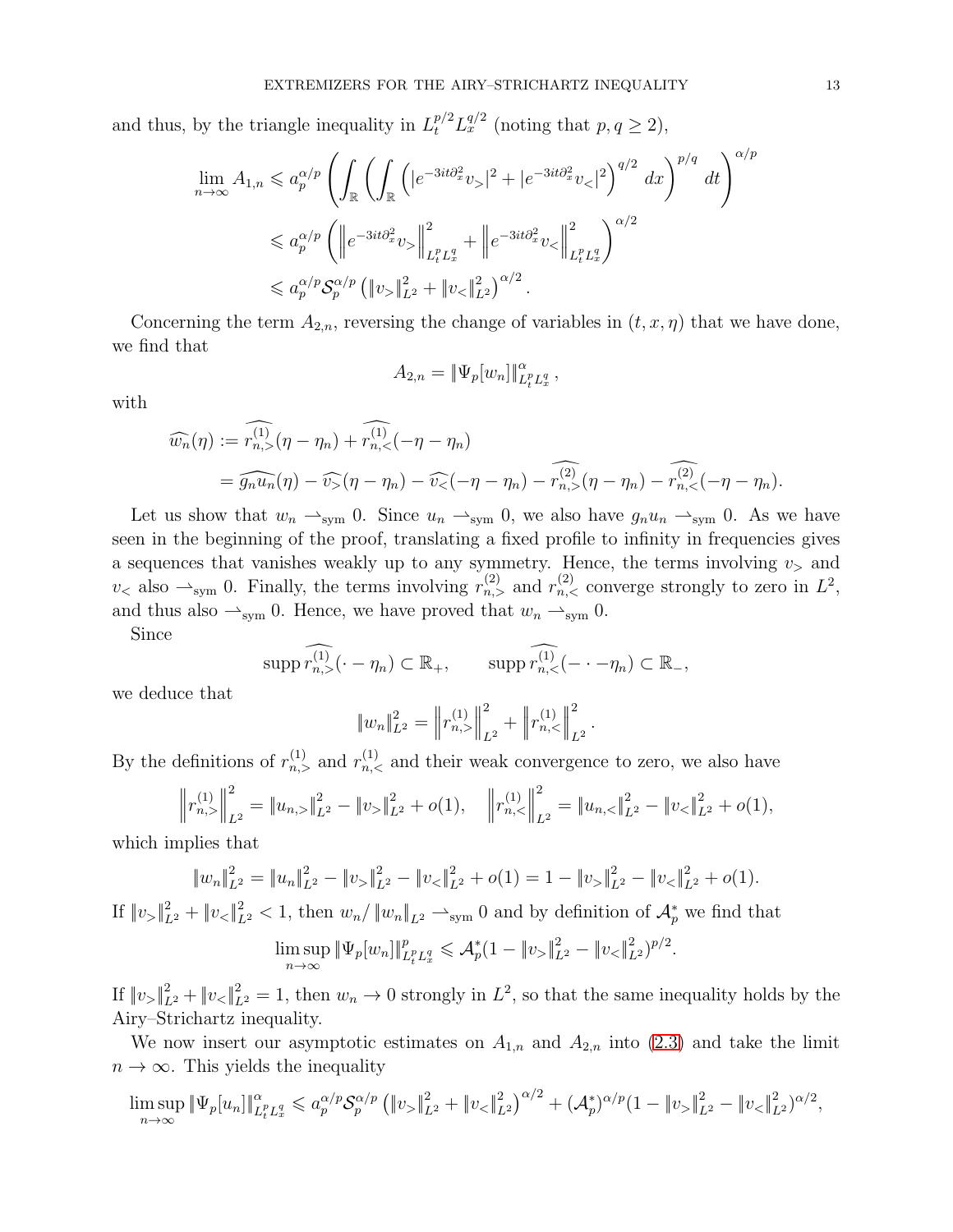and thus, by the triangle inequality in  $L_t^{p/2} L_x^{q/2}$  (noting that  $p, q \ge 2$ ),

$$
\lim_{n \to \infty} A_{1,n} \leq a_p^{\alpha/p} \left( \int_{\mathbb{R}} \left( \int_{\mathbb{R}} \left( |e^{-3it\partial_x^2} v_z|^2 + |e^{-3it\partial_x^2} v_z|^2 \right)^{q/2} dx \right)^{p/q} dt \right)^{\alpha/p} \n\leq a_p^{\alpha/p} \left( \left\| e^{-3it\partial_x^2} v_z \right\|_{L_t^p L_x^q}^2 + \left\| e^{-3it\partial_x^2} v_z \right\|_{L_t^p L_x^q}^2 \right)^{\alpha/2} \n\leq a_p^{\alpha/p} \mathcal{S}_p^{\alpha/p} \left( \left\| v_z \right\|_{L^2}^2 + \left\| v_z \right\|_{L^2}^2 \right)^{\alpha/2} .
$$

Concerning the term  $A_{2,n}$ , reversing the change of variables in  $(t, x, \eta)$  that we have done, we find that

$$
A_{2,n} = \|\Psi_p[w_n]\|_{L_t^p L_x^q}^{\alpha},
$$

with

$$
\widehat{w_n}(\eta) := \widehat{r_{n,>}^{(1)}}(\eta - \eta_n) + \widehat{r_{n,<}^{(1)}}(-\eta - \eta_n)
$$
  
= 
$$
\widehat{g_n u_n}(\eta) - \widehat{v}_> (\eta - \eta_n) - \widehat{v}_<(-\eta - \eta_n) - \widehat{r_{n,<}^{(2)}}(\eta - \eta_n) - \widehat{r_{n,<}^{(2)}}(-\eta - \eta_n).
$$

Let us show that  $w_n \rightharpoonup_{sym} 0$ . Since  $u_n \rightharpoonup_{sym} 0$ , we also have  $g_n u_n \rightharpoonup_{sym} 0$ . As we have seen in the beginning of the proof, translating a fixed profile to infinity in frequencies gives a sequences that vanishes weakly up to any symmetry. Hence, the terms involving  $v<sub>></sub>$  and  $v<sub>0</sub>$  also  $\rightharpoonup$ <sub>sym</sub> 0. Finally, the terms involving  $r_{n,>}^{(2)}$  and  $r_{n,<}^{(2)}$  converge strongly to zero in  $L^2$ , and thus also  $\rightarrow_{sym} 0$ . Hence, we have proved that  $w_n \rightarrow_{sym} 0$ .

Since

$$
\operatorname{supp}\widehat{r_{n,<}^{(1)}}(\cdot-\eta_n)\subset\mathbb{R}_+, \qquad \operatorname{supp}\widehat{r_{n,<}^{(1)}}(\cdot-\cdot-\eta_n)\subset\mathbb{R}_-,
$$

we deduce that

$$
||w_n||_{L^2}^2 = ||r_{n,>}^{(1)}||_{L^2}^2 + ||r_{n,<}^{(1)}||_{L^2}^2.
$$

By the definitions of  $r_{n,>}^{(1)}$  and  $r_{n,<}^{(1)}$  and their weak convergence to zero, we also have

$$
\left\|r_{n,>}^{(1)}\right\|_{L^2}^2 = \left\|u_{n,>} \right\|_{L^2}^2 - \left\|v_{>}\right\|_{L^2}^2 + o(1), \quad \left\|r_{n,<}^{(1)}\right\|_{L^2}^2 = \left\|u_{n,<} \right\|_{L^2}^2 - \left\|v_{<} \right\|_{L^2}^2 + o(1),
$$

which implies that

$$
||w_n||_{L^2}^2 = ||u_n||_{L^2}^2 - ||v_{\ge}||_{L^2}^2 - ||v_{\le}||_{L^2}^2 + o(1) = 1 - ||v_{\ge}||_{L^2}^2 - ||v_{\le}||_{L^2}^2 + o(1).
$$

If  $||v_{>}||_{L^2}^2 + ||v_{<}||_{L^2}^2 < 1$ , then  $w_n/||w_n||_{L^2} \longrightarrow_{sym} 0$  and by definition of  $\mathcal{A}_p^*$  we find that

$$
\limsup_{n \to \infty} \|\Psi_p[w_n]\|_{L_t^p L_x^q}^p \leq \mathcal{A}_p^*(1 - \|v_{>}\|_{L^2}^2 - \|v_{<}\|_{L^2}^2)^{p/2}
$$

.

If  $||v_{>}||_{L^2}^2 + ||v_{<}||_{L^2}^2 = 1$ , then  $w_n \to 0$  strongly in  $L^2$ , so that the same inequality holds by the Airy–Strichartz inequality.

We now insert our asymptotic estimates on  $A_{1,n}$  and  $A_{2,n}$  into [\(2.3\)](#page-11-0) and take the limit  $n \to \infty$ . This yields the inequality

$$
\limsup_{n\to\infty} \|\Psi_p[u_n]\|_{L_t^p L_x^q}^{\alpha} \leq a_p^{\alpha/p} \mathcal{S}_p^{\alpha/p} \left( \|v_{>}\|_{L^2}^2 + \|v_{<}\|_{L^2}^2 \right)^{\alpha/2} + (\mathcal{A}_p^*)^{\alpha/p} (1 - \|v_{>}\|_{L^2}^2 - \|v_{<}\|_{L^2}^2)^{\alpha/2},
$$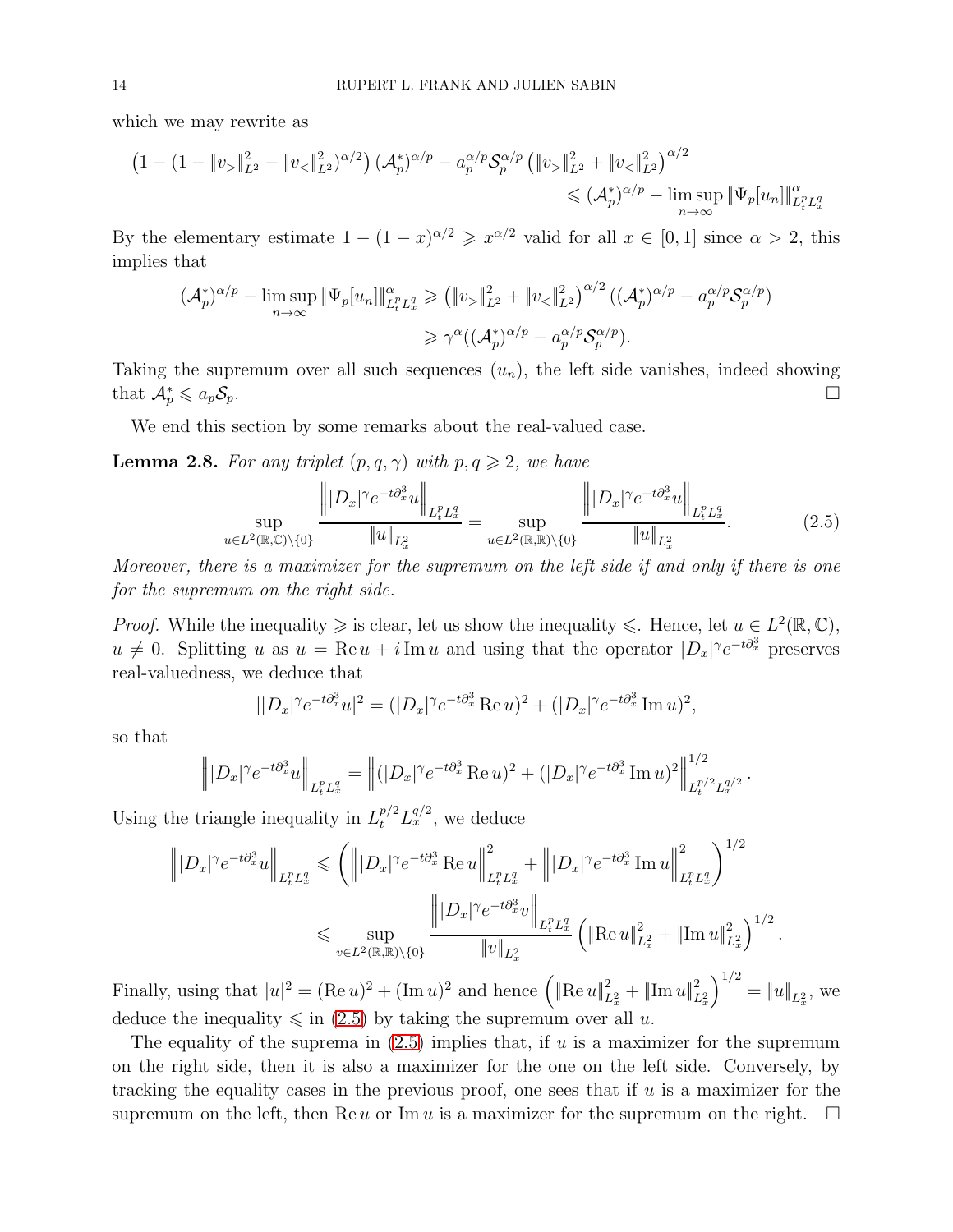which we may rewrite as

$$
\left(1 - (1 - \|v_{>}\|_{L^2}^2 - \|v_{<}\|_{L^2}^2)^{\alpha/2}\right) (\mathcal{A}_p^*)^{\alpha/p} - a_p^{\alpha/p} \mathcal{S}_p^{\alpha/p} \left(\|v_{>}\|_{L^2}^2 + \|v_{<}\|_{L^2}^2\right)^{\alpha/2} \leq (\mathcal{A}_p^*)^{\alpha/p} - \limsup_{n \to \infty} \|\Psi_p[u_n]\|_{L_t^p L_x^q}^{\alpha/p}
$$

By the elementary estimate  $1 - (1 - x)^{\alpha/2} \geq x^{\alpha/2}$  valid for all  $x \in [0, 1]$  since  $\alpha > 2$ , this implies that

$$
(\mathcal{A}_p^*)^{\alpha/p} - \limsup_{n \to \infty} \|\Psi_p[u_n]\|_{L_t^p L_x^q}^{\alpha} \ge (\|v_{>}\|_{L^2}^2 + \|v_{<}\|_{L^2}^2)^{\alpha/2} ((\mathcal{A}_p^*)^{\alpha/p} - a_p^{\alpha/p} \mathcal{S}_p^{\alpha/p})
$$
  

$$
\ge \gamma^{\alpha} ((\mathcal{A}_p^*)^{\alpha/p} - a_p^{\alpha/p} \mathcal{S}_p^{\alpha/p}).
$$

Taking the supremum over all such sequences  $(u_n)$ , the left side vanishes, indeed showing that  $\mathcal{A}_p^* \leqslant a_p \mathcal{S}_p$ .  $p_p^* \leqslant a_p \mathcal{S}_p.$ 

We end this section by some remarks about the real-valued case.

<span id="page-13-0"></span>**Lemma 2.8.** *For any triplet*  $(p, q, \gamma)$  *with*  $p, q \geq 2$ *, we have* 

<span id="page-13-1"></span>
$$
\sup_{u \in L^{2}(\mathbb{R}, \mathbb{C}) \backslash \{0\}} \frac{\left\| |D_{x}|^{\gamma} e^{-t \partial_{x}^{3} u} \right\|_{L_{t}^{p} L_{x}^{q}}}{\|u\|_{L_{x}^{2}}} = \sup_{u \in L^{2}(\mathbb{R}, \mathbb{R}) \backslash \{0\}} \frac{\left\| |D_{x}|^{\gamma} e^{-t \partial_{x}^{3} u} \right\|_{L_{t}^{p} L_{x}^{q}}}{\|u\|_{L_{x}^{2}}}.
$$
\n(2.5)

*Moreover, there is a maximizer for the supremum on the left side if and only if there is one for the supremum on the right side.*

*Proof.* While the inequality  $\geqslant$  is clear, let us show the inequality  $\leqslant$ . Hence, let  $u \in L^2(\mathbb{R}, \mathbb{C})$ ,  $u \neq 0$ . Splitting u as  $u = \text{Re } u + i \text{Im } u$  and using that the operator  $|D_x|^\gamma e^{-t \partial_x^3}$  preserves real-valuedness, we deduce that

$$
||D_x|^{\gamma} e^{-t\partial_x^3} u|^2 = (|D_x|^{\gamma} e^{-t\partial_x^3} \operatorname{Re} u)^2 + (|D_x|^{\gamma} e^{-t\partial_x^3} \operatorname{Im} u)^2,
$$

so that

$$
\left\| |D_x|^{\gamma} e^{-t \partial_x^3} u \right\|_{L_t^p L_x^q} = \left\| (|D_x|^{\gamma} e^{-t \partial_x^3} \operatorname{Re} u)^2 + (|D_x|^{\gamma} e^{-t \partial_x^3} \operatorname{Im} u)^2 \right\|_{L_t^{p/2} L_x^{q/2}}^{1/2}.
$$

Using the triangle inequality in  $L_t^{p/2} L_x^{q/2}$ , we deduce

$$
\| |D_x|^{\gamma} e^{-t \partial_x^3} u \|_{L_t^p L_x^q} \leqslant \left( \| |D_x|^{\gamma} e^{-t \partial_x^3} \operatorname{Re} u \right\|_{L_t^p L_x^q}^2 + \| |D_x|^{\gamma} e^{-t \partial_x^3} \operatorname{Im} u \Big\|_{L_t^p L_x^q}^2 \right)^{1/2}
$$
  

$$
\leqslant \sup_{v \in L^2(\mathbb{R}, \mathbb{R}) \backslash \{0\}} \frac{\left\| |D_x|^{\gamma} e^{-t \partial_x^3} v \right\|_{L_t^p L_x^q}}{\|v\|_{L_x^2}} \left( \|\operatorname{Re} u\|_{L_x^2}^2 + \|\operatorname{Im} u\|_{L_x^2}^2 \right)^{1/2}.
$$

Finally, using that  $|u|^2 = (\text{Re } u)^2 + (\text{Im } u)^2$  and hence  $\left(\|\text{Re } u\|_{L_x^2}^2 + \|\text{Im } u\|_{L_x^2}^2\right)$  $\int^{1/2} = \|u\|_{L_x^2}$ , we deduce the inequality  $\leq$  in [\(2.5\)](#page-13-1) by taking the supremum over all u.

The equality of the suprema in  $(2.5)$  implies that, if u is a maximizer for the supremum on the right side, then it is also a maximizer for the one on the left side. Conversely, by tracking the equality cases in the previous proof, one sees that if  $u$  is a maximizer for the supremum on the left, then Re u or Im u is a maximizer for the supremum on the right.  $\Box$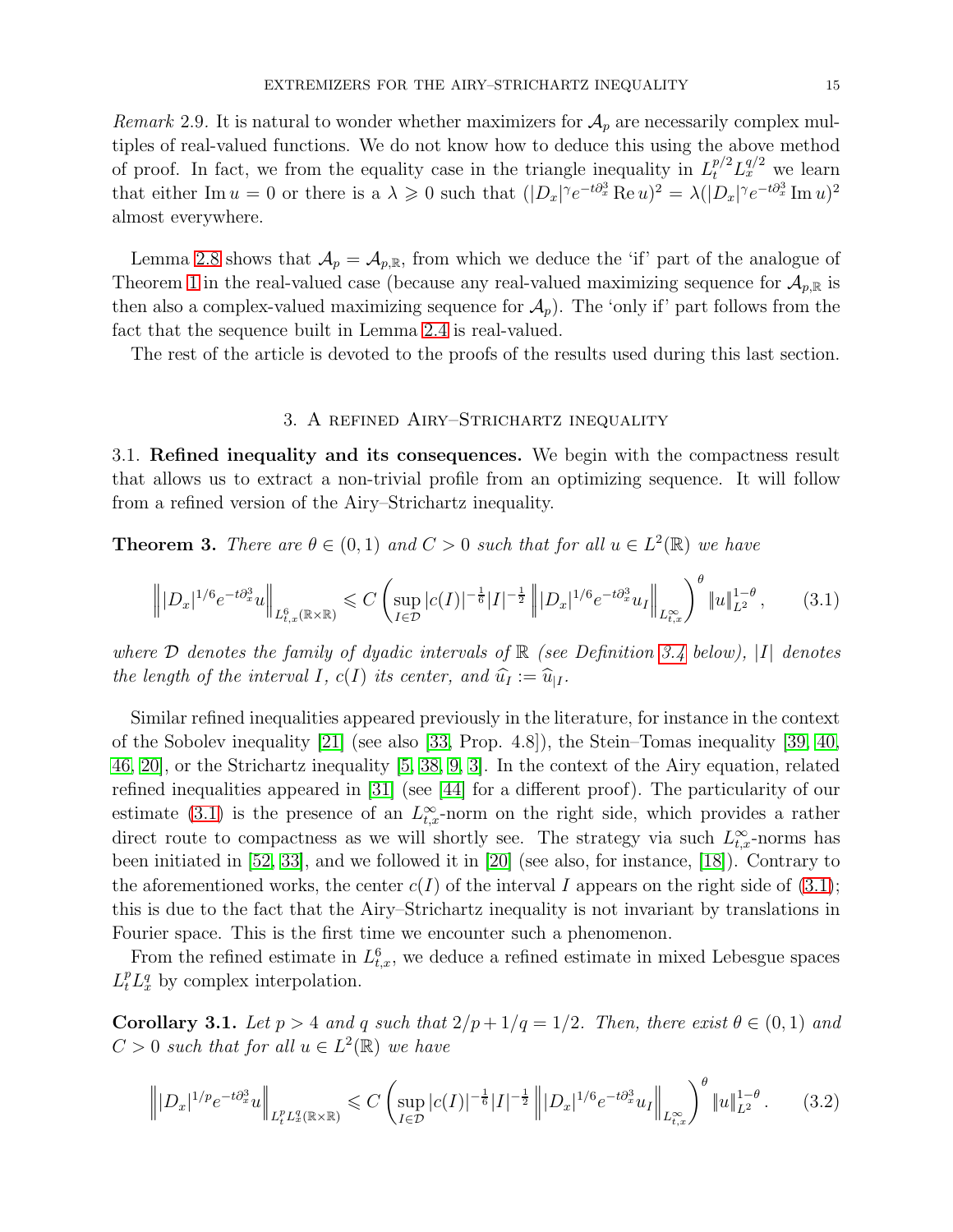*Remark* 2.9. It is natural to wonder whether maximizers for  $A_p$  are necessarily complex multiples of real-valued functions. We do not know how to deduce this using the above method of proof. In fact, we from the equality case in the triangle inequality in  $L_t^{p/2} L_x^{q/2}$  we learn that either Im  $u = 0$  or there is a  $\lambda \geq 0$  such that  $(|D_x|^{\gamma} e^{-t \partial_x^3} \text{Re } u)^2 = \lambda (|D_x|^{\gamma} e^{-t \partial_x^3} \text{Im } u)^2$ almost everywhere.

Lemma [2.8](#page-13-0) shows that  $\mathcal{A}_p = \mathcal{A}_{p,\mathbb{R}}$ , from which we deduce the 'if' part of the analogue of Theorem [1](#page-3-1) in the real-valued case (because any real-valued maximizing sequence for  $\mathcal{A}_{p,\mathbb{R}}$  is then also a complex-valued maximizing sequence for  $\mathcal{A}_p$ ). The 'only if' part follows from the fact that the sequence built in Lemma [2.4](#page-7-1) is real-valued.

<span id="page-14-0"></span>The rest of the article is devoted to the proofs of the results used during this last section.

## 3. A refined Airy–Strichartz inequality

3.1. Refined inequality and its consequences. We begin with the compactness result that allows us to extract a non-trivial profile from an optimizing sequence. It will follow from a refined version of the Airy–Strichartz inequality.

<span id="page-14-2"></span>**Theorem 3.** *There are*  $\theta \in (0,1)$  *and*  $C > 0$  *such that for all*  $u \in L^2(\mathbb{R})$  *we have* 

<span id="page-14-1"></span>
$$
\left\| |D_x|^{1/6} e^{-t \partial_x^3} u \right\|_{L^6_{t,x}(\mathbb{R} \times \mathbb{R})} \leq C \left( \sup_{I \in \mathcal{D}} |c(I)|^{-\frac{1}{6}} |I|^{-\frac{1}{2}} \left\| |D_x|^{1/6} e^{-t \partial_x^3} u_I \right\|_{L^\infty_{t,x}} \right)^\theta \|u\|_{L^2}^{1-\theta}, \tag{3.1}
$$

*where* <sup>D</sup> *denotes the family of dyadic intervals of* <sup>R</sup> *(see Definition [3.4](#page-16-0) below),* <sup>|</sup>I<sup>|</sup> *denotes the length of the interval I, c(I) its center, and*  $\hat{u}_I := \hat{u}_{I}$ .

Similar refined inequalities appeared previously in the literature, for instance in the context of the Sobolev inequality [\[21\]](#page-35-17) (see also [\[33,](#page-36-16) Prop. 4.8]), the Stein–Tomas inequality [\[39,](#page-36-17) [40,](#page-36-18) [46,](#page-36-8) [20\]](#page-35-8), or the Strichartz inequality [\[5,](#page-35-18) [38,](#page-36-19) [9,](#page-35-19) [3\]](#page-35-20). In the context of the Airy equation, related refined inequalities appeared in [\[31\]](#page-36-20) (see [\[44\]](#page-36-11) for a different proof). The particularity of our estimate [\(3.1\)](#page-14-1) is the presence of an  $L_{t,x}^{\infty}$ -norm on the right side, which provides a rather direct route to compactness as we will shortly see. The strategy via such  $L_{t,x}^{\infty}$ -norms has been initiated in [\[52,](#page-37-5) [33\]](#page-36-16), and we followed it in [\[20\]](#page-35-8) (see also, for instance, [\[18\]](#page-35-14)). Contrary to the aforementioned works, the center  $c(I)$  of the interval I appears on the right side of [\(3.1\)](#page-14-1); this is due to the fact that the Airy–Strichartz inequality is not invariant by translations in Fourier space. This is the first time we encounter such a phenomenon.

From the refined estimate in  $L_{t,x}^6$ , we deduce a refined estimate in mixed Lebesgue spaces  $L_t^p L_x^q$  by complex interpolation.

<span id="page-14-4"></span>Corollary 3.1. Let  $p > 4$  and q such that  $2/p + 1/q = 1/2$ . Then, there exist  $\theta \in (0,1)$  and  $C > 0$  such that for all  $u \in L^2(\mathbb{R})$  we have

<span id="page-14-3"></span>
$$
\left\| |D_x|^{1/p} e^{-t \partial_x^3} u \right\|_{L_t^p L_x^q(\mathbb{R} \times \mathbb{R})} \leq C \left( \sup_{I \in \mathcal{D}} |c(I)|^{-\frac{1}{6}} |I|^{-\frac{1}{2}} \left\| |D_x|^{1/6} e^{-t \partial_x^3} u_I \right\|_{L_{t,x}^\infty} \right)^{\theta} \|u\|_{L^2}^{1-\theta}.
$$
 (3.2)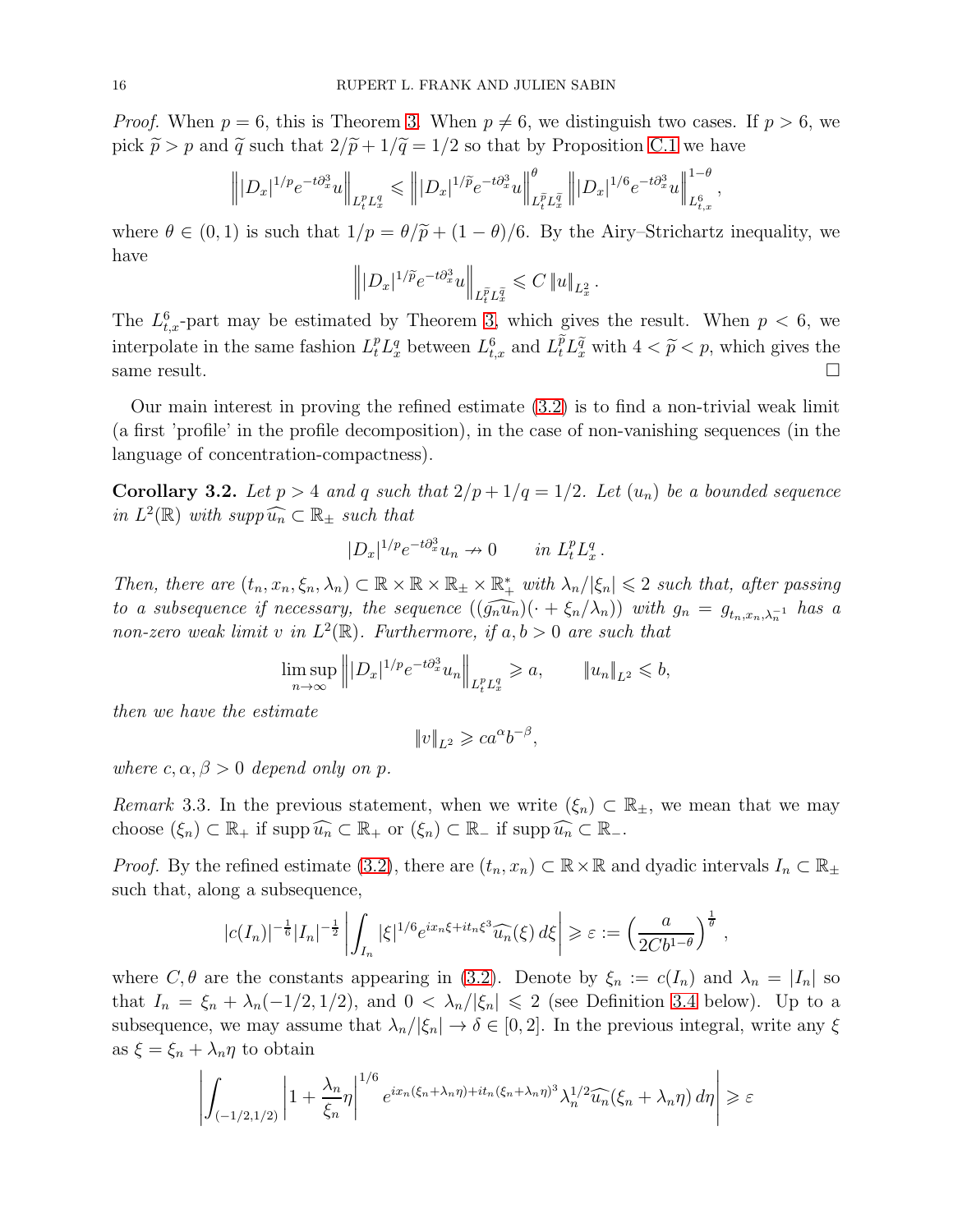*Proof.* When  $p = 6$ , this is Theorem [3.](#page-14-2) When  $p \neq 6$ , we distinguish two cases. If  $p > 6$ , we pick  $\tilde{p} > p$  and  $\tilde{q}$  such that  $2/\tilde{p} + 1/\tilde{q} = 1/2$  so that by Proposition [C.1](#page-29-0) we have

$$
\left\||D_x|^{1/p}e^{-t\partial_x^3}u\right\|_{L_t^pL_x^q}\leqslant \left\||D_x|^{1/\widetilde{p}}e^{-t\partial_x^3}u\right\|_{L_t^{\widetilde{p}}L_x^{\widetilde{q}}}\right\||D_x|^{1/6}e^{-t\partial_x^3}u\right\|_{L_{t,x}^6}^{1-\theta},
$$

where  $\theta \in (0, 1)$  is such that  $1/p = \theta/\tilde{p} + (1 - \theta)/6$ . By the Airy–Strichartz inequality, we have

$$
\left\||D_x|^{1/\widetilde{p}}e^{-t\partial_x^3}u\right\|_{L_t^{\widetilde{p}}L_x^{\widetilde{q}}}\leqslant C\left\|u\right\|_{L_x^2}.
$$

The  $L_{t,x}^6$ -part may be estimated by Theorem [3,](#page-14-2) which gives the result. When  $p < 6$ , we interpolate in the same fashion  $L_t^p L_x^q$  between  $L_{t,x}^6$  and  $L_t^{\tilde{p}} L_x^{\tilde{q}}$  with  $4 < \tilde{p} < p$ , which gives the same result.  $\Box$ 

Our main interest in proving the refined estimate [\(3.2\)](#page-14-3) is to find a non-trivial weak limit (a first 'profile' in the profile decomposition), in the case of non-vanishing sequences (in the language of concentration-compactness).

<span id="page-15-0"></span>**Corollary 3.2.** Let  $p > 4$  and  $q$  such that  $2/p + 1/q = 1/2$ . Let  $(u_n)$  be a bounded sequence *in*  $L^2(\mathbb{R})$  *with supp*  $\widehat{u_n} \subset \mathbb{R}_+$  *such that* 

$$
|D_x|^{1/p}e^{-t\partial_x^3}u_n \nrightarrow 0 \quad in \ L_t^p L_x^q.
$$

*Then, there are*  $(t_n, x_n, \xi_n, \lambda_n) \subset \mathbb{R} \times \mathbb{R} \times \mathbb{R}_+ \times \mathbb{R}_+^*$  *with*  $\lambda_n/|\xi_n| \leq 2$  *such that, after passing to a subsequence if necessary, the sequence*  $((\widehat{g_n u_n})(\cdot + \xi_n/\lambda_n))$  with  $g_n = g_{t_n, x_n, \lambda_n^{-1}}$  has a *non-zero weak limit* v in  $L^2(\mathbb{R})$ . Furthermore, if  $a, b > 0$  are such that

$$
\limsup_{n \to \infty} \| |D_x|^{1/p} e^{-t \partial_x^3} u_n \|_{L_t^p L_x^q} \geqslant a, \qquad \| u_n \|_{L^2} \leqslant b,
$$

*then we have the estimate*

$$
||v||_{L^2} \geqslant ca^{\alpha}b^{-\beta},
$$

*where*  $c, \alpha, \beta > 0$  *depend only on p.* 

*Remark* 3.3. In the previous statement, when we write  $(\xi_n) \subset \mathbb{R}_+$ , we mean that we may choose  $(\xi_n) \subset \mathbb{R}_+$  if supp  $\widehat{u_n} \subset \mathbb{R}_+$  or  $(\xi_n) \subset \mathbb{R}_-$  if supp  $\widehat{u_n} \subset \mathbb{R}_-$ .

*Proof.* By the refined estimate [\(3.2\)](#page-14-3), there are  $(t_n, x_n) \subset \mathbb{R} \times \mathbb{R}$  and dyadic intervals  $I_n \subset \mathbb{R}_+$ such that, along a subsequence,

$$
|c(I_n)|^{-\frac{1}{6}}|I_n|^{-\frac{1}{2}}\left|\int_{I_n}|\xi|^{1/6}e^{ix_n\xi+it_n\xi^3}\widehat{u_n}(\xi)\,d\xi\right|\geqslant \varepsilon:=\left(\frac{a}{2Cb^{1-\theta}}\right)^{\frac{1}{\theta}}
$$

,

where  $C, \theta$  are the constants appearing in [\(3.2\)](#page-14-3). Denote by  $\xi_n := c(I_n)$  and  $\lambda_n = |I_n|$  so that  $I_n = \xi_n + \lambda_n(-1/2, 1/2)$ , and  $0 < \lambda_n/|\xi_n| \leq 2$  (see Definition [3.4](#page-16-0) below). Up to a subsequence, we may assume that  $\lambda_n/|\xi_n| \to \delta \in [0,2]$ . In the previous integral, write any  $\xi$ as  $\xi = \xi_n + \lambda_n \eta$  to obtain

$$
\left| \int_{(-1/2,1/2)} \left| 1 + \frac{\lambda_n}{\xi_n} \eta \right|^{1/6} e^{ix_n(\xi_n + \lambda_n \eta) + it_n(\xi_n + \lambda_n \eta)^3} \lambda_n^{1/2} \widehat{u_n}(\xi_n + \lambda_n \eta) d\eta \right| \geq \varepsilon
$$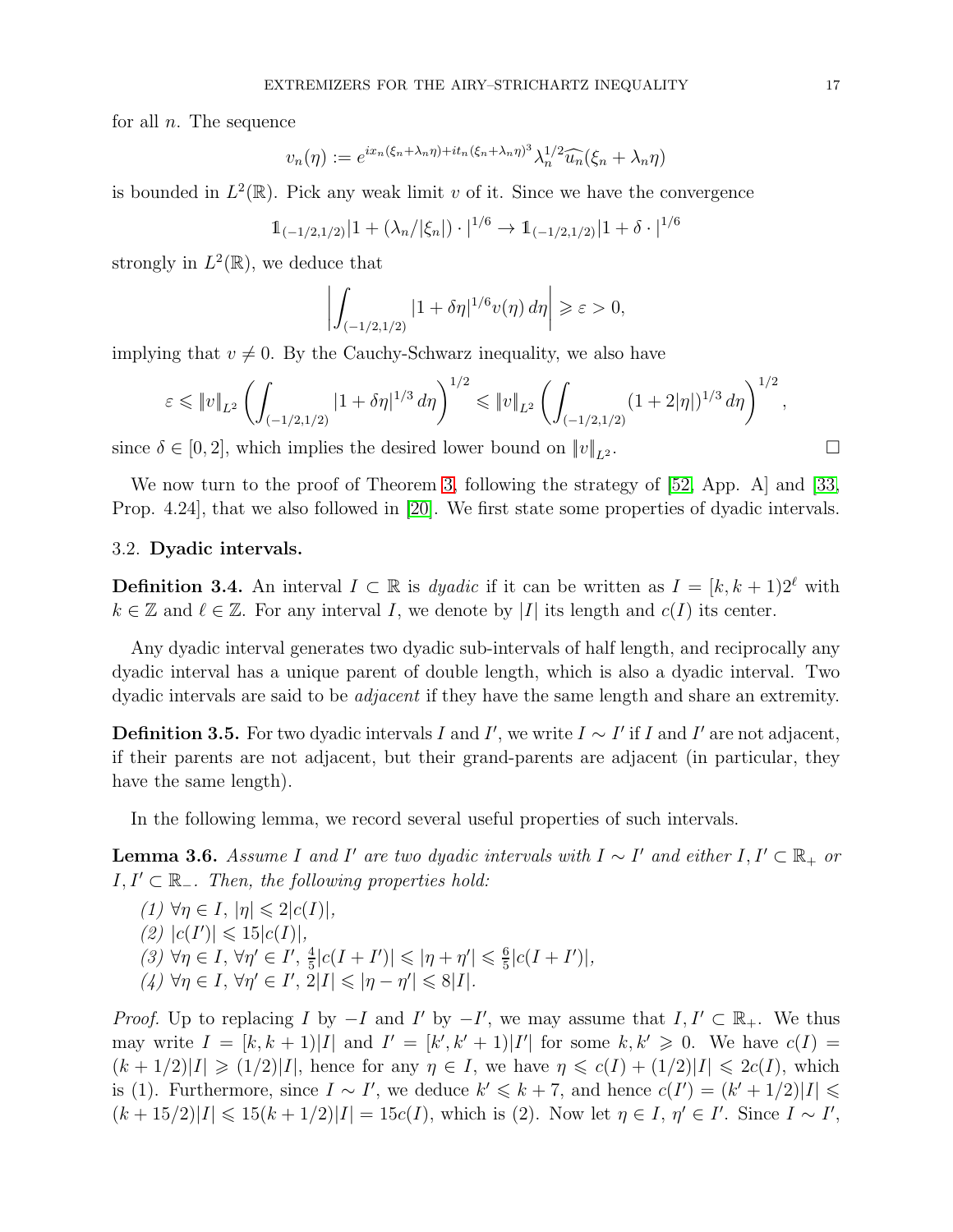for all  $n$ . The sequence

$$
v_n(\eta) := e^{ix_n(\xi_n + \lambda_n \eta) + it_n(\xi_n + \lambda_n \eta)^3} \lambda_n^{1/2} \widehat{u_n}(\xi_n + \lambda_n \eta)
$$

is bounded in  $L^2(\mathbb{R})$ . Pick any weak limit v of it. Since we have the convergence

$$
1_{(-1/2,1/2)}|1+(\lambda_n/|\xi_n|)\cdot|^{1/6}\to 1_{(-1/2,1/2)}|1+\delta\cdot|^{1/6}
$$

strongly in  $L^2(\mathbb{R})$ , we deduce that

$$
\left| \int_{(-1/2,1/2)} |1 + \delta \eta|^{1/6} v(\eta) d\eta \right| \geq \varepsilon > 0,
$$

implying that  $v \neq 0$ . By the Cauchy-Schwarz inequality, we also have

$$
\varepsilon \leqslant \|v\|_{L^2} \left( \int_{(-1/2,1/2)} |1+\delta \eta|^{1/3} d\eta \right)^{1/2} \leqslant \|v\|_{L^2} \left( \int_{(-1/2,1/2)} (1+2|\eta|)^{1/3} d\eta \right)^{1/2},
$$

since  $\delta \in [0, 2]$ , which implies the desired lower bound on  $||v||_{L^2}$ .

We now turn to the proof of Theorem [3,](#page-14-2) following the strategy of [\[52,](#page-37-5) App. A] and [\[33,](#page-36-16) Prop. 4.24], that we also followed in [\[20\]](#page-35-8). We first state some properties of dyadic intervals.

### 3.2. Dyadic intervals.

<span id="page-16-0"></span>**Definition 3.4.** An interval  $I \subset \mathbb{R}$  is *dyadic* if it can be written as  $I = [k, k + 1]2^{\ell}$  with  $k \in \mathbb{Z}$  and  $\ell \in \mathbb{Z}$ . For any interval I, we denote by |I| its length and  $c(I)$  its center.

Any dyadic interval generates two dyadic sub-intervals of half length, and reciprocally any dyadic interval has a unique parent of double length, which is also a dyadic interval. Two dyadic intervals are said to be *adjacent* if they have the same length and share an extremity.

**Definition 3.5.** For two dyadic intervals I and I', we write  $I \sim I'$  if I and I' are not adjacent, if their parents are not adjacent, but their grand-parents are adjacent (in particular, they have the same length).

In the following lemma, we record several useful properties of such intervals.

<span id="page-16-1"></span>**Lemma 3.6.** *Assume* I and I' are two dyadic intervals with  $I \sim I'$  and either  $I, I' \subset \mathbb{R}_+$  or  $I, I' ⊂ ℝ_$ *. Then, the following properties hold:* 

$$
(1) \ \forall \eta \in I, \ |\eta| \leq 2|c(I)|,
$$
  
\n
$$
(2) \ |c(I')| \leq 15|c(I)|,
$$
  
\n
$$
(3) \ \forall \eta \in I, \ \forall \eta' \in I', \ \frac{4}{5}|c(I+I')| \leq |\eta + \eta'| \leq \frac{6}{5}|c(I+I')|,
$$
  
\n
$$
(4) \ \forall \eta \in I, \ \forall \eta' \in I', \ 2|I| \leq |\eta - \eta'| \leq 8|I|.
$$

*Proof.* Up to replacing I by  $-I$  and I' by  $-I'$ , we may assume that  $I, I' \subset \mathbb{R}_+$ . We thus may write  $I = [k, k + 1) |I|$  and  $I' = [k', k' + 1) |I'|$  for some  $k, k' \geq 0$ . We have  $c(I) =$  $(k + 1/2)|I| \geq (1/2)|I|$ , hence for any  $\eta \in I$ , we have  $\eta \leq c(I) + (1/2)|I| \leq 2c(I)$ , which is (1). Furthermore, since  $I \sim I'$ , we deduce  $k' \leq k + 7$ , and hence  $c(I') = (k' + 1/2)|I| \leq$  $(k+15/2)|I| \leq 15(k+1/2)|I| = 15c(I)$ , which is (2). Now let  $\eta \in I$ ,  $\eta' \in I'$ . Since  $I \sim I'$ ,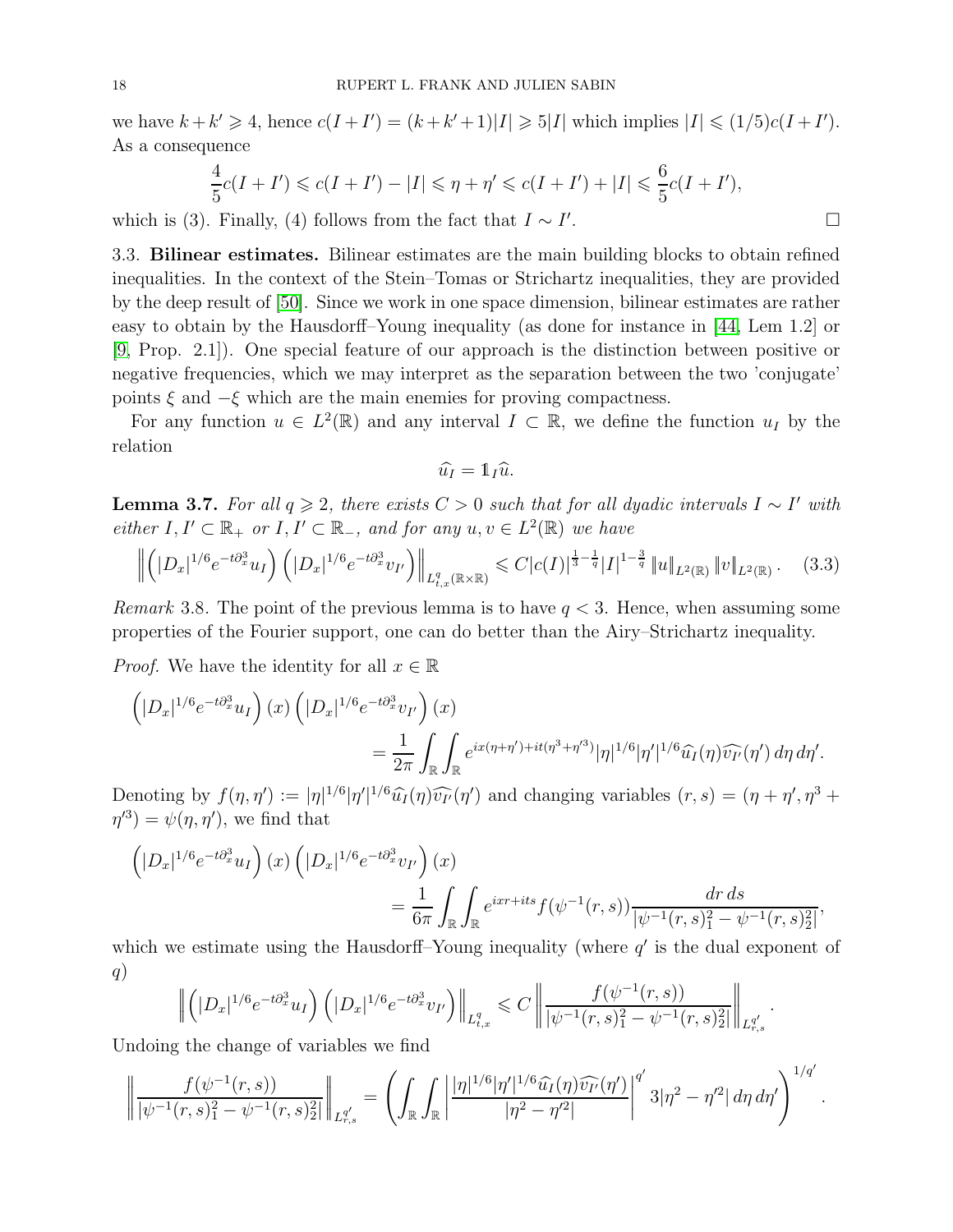we have  $k + k' \geq 4$ , hence  $c(I + I') = (k + k' + 1)|I| \geq 5|I|$  which implies  $|I| \leq (1/5)c(I + I')$ . As a consequence

$$
\frac{4}{5}c(I + I') \leq c(I + I') - |I| \leq \eta + \eta' \leq c(I + I') + |I| \leq \frac{6}{5}c(I + I'),
$$

which is (3). Finally, (4) follows from the fact that  $I \sim I'$ . — Первый процесс в получине и продавать на продавать в собстановки продавать в собстановки продавать на прос<br>В собстановки продавать на продавать на продавать на продавать на продавать на продавать на продавать на прода

3.3. Bilinear estimates. Bilinear estimates are the main building blocks to obtain refined inequalities. In the context of the Stein–Tomas or Strichartz inequalities, they are provided by the deep result of [\[50\]](#page-37-4). Since we work in one space dimension, bilinear estimates are rather easy to obtain by the Hausdorff–Young inequality (as done for instance in [\[44,](#page-36-11) Lem 1.2] or [\[9,](#page-35-19) Prop. 2.1]). One special feature of our approach is the distinction between positive or negative frequencies, which we may interpret as the separation between the two 'conjugate' points  $\xi$  and  $-\xi$  which are the main enemies for proving compactness.

For any function  $u \in L^2(\mathbb{R})$  and any interval  $I \subset \mathbb{R}$ , we define the function  $u_I$  by the relation

$$
\widehat{u_I} = \mathbb{1}_I \widehat{u}.
$$

<span id="page-17-0"></span>**Lemma 3.7.** *For all*  $q \geq 2$ , *there exists*  $C > 0$  *such that for all dyadic intervals*  $I \sim I'$  *with*  $either I, I' \subset \mathbb{R}_+$  *or*  $I, I' \subset \mathbb{R}_-$ *, and for any*  $u, v \in L^2(\mathbb{R})$  *we have* 

$$
\left\| \left( |D_x|^{1/6} e^{-t \partial_x^3} u_I \right) \left( |D_x|^{1/6} e^{-t \partial_x^3} v_{I'} \right) \right\|_{L^q_{t,x}(\mathbb{R} \times \mathbb{R})} \leqslant C |c(I)|^{\frac{1}{3} - \frac{1}{q}} |I|^{1 - \frac{3}{q}} \left\| u \right\|_{L^2(\mathbb{R})} \left\| v \right\|_{L^2(\mathbb{R})}. \tag{3.3}
$$

*Remark* 3.8. The point of the previous lemma is to have  $q < 3$ . Hence, when assuming some properties of the Fourier support, one can do better than the Airy–Strichartz inequality.

*Proof.* We have the identity for all  $x \in \mathbb{R}$ 

$$
\left( |D_x|^{1/6} e^{-t\partial_x^3} u_I \right) (x) \left( |D_x|^{1/6} e^{-t\partial_x^3} v_{I'} \right) (x)
$$
  

$$
= \frac{1}{2\pi} \int_{\mathbb{R}} \int_{\mathbb{R}} e^{ix(\eta + \eta') + it(\eta^3 + \eta'^3)} |\eta|^{1/6} |\eta'|^{1/6} \widehat{u_I}(\eta) \widehat{v_{I'}}(\eta') d\eta d\eta'.
$$

Denoting by  $f(\eta, \eta') := |\eta|^{1/6} |\eta'|^{1/6} \widehat{u}_I(\eta) \widehat{v}_{I'}(\eta')$  and changing variables  $(r, s) = (\eta + \eta', \eta^3 + \eta'^3)$  $\eta^{(3)} = \psi(\eta, \eta'),$  we find that

$$
\left( |D_x|^{1/6} e^{-t \partial_x^3} u_I \right) (x) \left( |D_x|^{1/6} e^{-t \partial_x^3} v_{I'} \right) (x)
$$
  
=  $\frac{1}{6\pi} \int_{\mathbb{R}} \int_{\mathbb{R}} e^{ixr+its} f(\psi^{-1}(r,s)) \frac{dr ds}{|\psi^{-1}(r,s)|^2 - \psi^{-1}(r,s)|^2},$ 

which we estimate using the Hausdorff–Young inequality (where  $q'$  is the dual exponent of q)

$$
\left\| \left( |D_x|^{1/6} e^{-t \partial_x^3} u_I \right) \left( |D_x|^{1/6} e^{-t \partial_x^3} v_{I'} \right) \right\|_{L^q_{t,x}} \leqslant C \left\| \frac{f(\psi^{-1}(r,s))}{|\psi^{-1}(r,s)|^2 - \psi^{-1}(r,s)|^2} \right\|_{L^{q'}_{r,s}}
$$

.

Undoing the change of variables we find

$$
\left\|\frac{f(\psi^{-1}(r,s))}{|\psi^{-1}(r,s)|^2-\psi^{-1}(r,s)^2_2|}\right\|_{L^{q'}_{r,s}}=\left(\int_{\mathbb{R}}\int_{\mathbb{R}}\left|\frac{|\eta|^{1/6}|\eta'|^{1/6}\widehat{u_I}(\eta)\widehat{v_{I'}}(\eta')}{|\eta^2-\eta'^2|}\right|^{q'}3|\eta^2-\eta'^2|\,d\eta\,d\eta'\right)^{1/q'}.
$$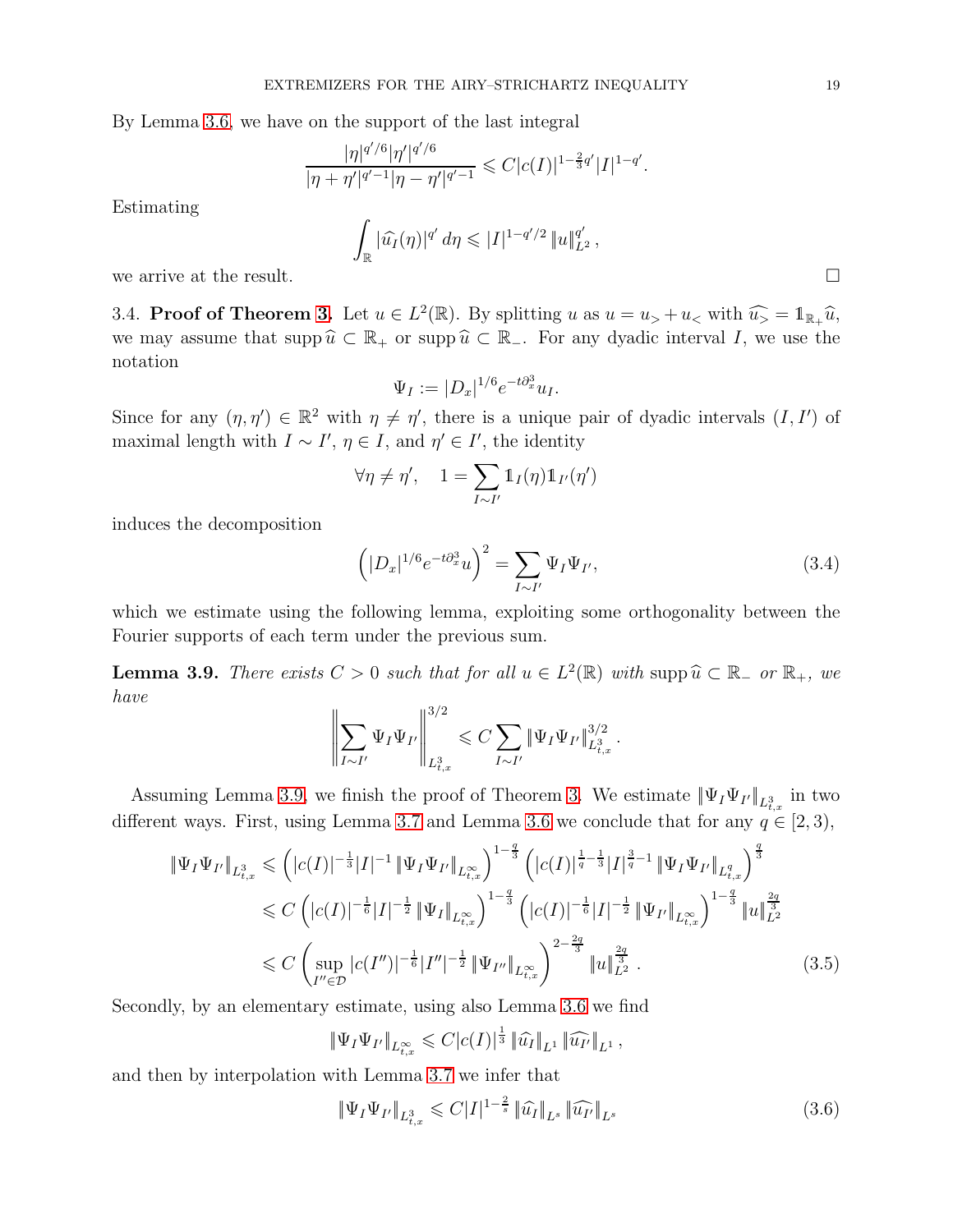By Lemma [3.6,](#page-16-1) we have on the support of the last integral

$$
\frac{|\eta|^{q'/6}|\eta'|^{q'/6}}{|\eta+\eta'|^{q'-1}|\eta-\eta'|^{q'-1}}\leqslant C|c(I)|^{1-\frac{2}{3}q'}|I|^{1-q'}
$$

Estimating

$$
\int_{\mathbb{R}} |\widehat{u_I}(\eta)|^{q'}\,d\eta \leqslant |I|^{1-q'/2}\,\|u\|_{L^2}^{q'},
$$
 we arrive at the result.  $\hfill \square$ 

.

3.4. **Proof of Theorem [3.](#page-14-2)** Let  $u \in L^2(\mathbb{R})$ . By splitting  $u$  as  $u = u_0 + u_<$  with  $\widehat{u_0} = \mathbb{1}_{\mathbb{R}_+} \widehat{u}$ , we may assume that supp  $\hat{u} \subset \mathbb{R}_+$  or supp  $\hat{u} \subset \mathbb{R}_+$ . For any dyadic interval I, we use the notation

$$
\Psi_I := |D_x|^{1/6} e^{-t \partial_x^3} u_I.
$$

Since for any  $(\eta, \eta') \in \mathbb{R}^2$  with  $\eta \neq \eta'$ , there is a unique pair of dyadic intervals  $(I, I')$  of maximal length with  $I \sim I'$ ,  $\eta \in I$ , and  $\eta' \in I'$ , the identity

$$
\forall \eta \neq \eta', \quad 1 = \sum_{I \sim I'} \mathbb{1}_I(\eta) \mathbb{1}_{I'}(\eta')
$$

induces the decomposition

<span id="page-18-1"></span>
$$
\left( |D_x|^{1/6} e^{-t \partial_x^3} u \right)^2 = \sum_{I \sim I'} \Psi_I \Psi_{I'}, \tag{3.4}
$$

which we estimate using the following lemma, exploiting some orthogonality between the Fourier supports of each term under the previous sum.

<span id="page-18-0"></span>**Lemma 3.9.** *There exists*  $C > 0$  *such that for all*  $u \in L^2(\mathbb{R})$  *with* supp $\hat{u} \subset \mathbb{R}_+$  *or*  $\mathbb{R}_+$ *, we have*

$$
\left\| \sum_{I \sim I'} \Psi_I \Psi_{I'} \right\|_{L^3_{t,x}}^{3/2} \leq C \sum_{I \sim I'} \|\Psi_I \Psi_{I'}\|_{L^3_{t,x}}^{3/2}.
$$

Assuming Lemma [3.9,](#page-18-0) we finish the proof of Theorem [3.](#page-14-2) We estimate  $\|\Psi_I\Psi_{I'}\|_{L^3_{t,x}}$  in two different ways. First, using Lemma [3.7](#page-17-0) and Lemma [3.6](#page-16-1) we conclude that for any  $q \in [2,3)$ ,

$$
\|\Psi_{I}\Psi_{I'}\|_{L_{t,x}^{3}} \leq (|c(I)|^{-\frac{1}{3}}|I|^{-1} \|\Psi_{I}\Psi_{I'}\|_{L_{t,x}^{\infty}})^{1-\frac{q}{3}} \left(|c(I)|^{\frac{1}{q}-\frac{1}{3}}|I|^{\frac{3}{q}-1} \|\Psi_{I}\Psi_{I'}\|_{L_{t,x}^{q}}\right)^{\frac{q}{3}} \n\leq C \left(|c(I)|^{-\frac{1}{6}}|I|^{-\frac{1}{2}} \|\Psi_{I}\|_{L_{t,x}^{\infty}}\right)^{1-\frac{q}{3}} \left(|c(I)|^{-\frac{1}{6}}|I|^{-\frac{1}{2}} \|\Psi_{I'}\|_{L_{t,x}^{\infty}}\right)^{1-\frac{q}{3}} \|u\|_{L^{2}}^{\frac{2q}{3}} \n\leq C \left(\sup_{I''\in\mathcal{D}} |c(I'')|^{-\frac{1}{6}}|I''|^{-\frac{1}{2}} \|\Psi_{I''}\|_{L_{t,x}^{\infty}}\right)^{2-\frac{2q}{3}} \|u\|_{L^{2}}^{\frac{2q}{3}}.
$$
\n(3.5)

Secondly, by an elementary estimate, using also Lemma [3.6](#page-16-1) we find

<span id="page-18-2"></span>
$$
\|\Psi_I\Psi_{I'}\|_{L^{\infty}_{t,x}} \leqslant C|c(I)|^{\frac{1}{3}} \|\widehat{u_I}\|_{L^1} \|\widehat{u_{I'}}\|_{L^1},
$$

and then by interpolation with Lemma [3.7](#page-17-0) we infer that

<span id="page-18-3"></span>
$$
\|\Psi_I\Psi_{I'}\|_{L^3_{t,x}} \leqslant C|I|^{1-\frac{2}{s}} \|\widehat{u_I}\|_{L^s} \|\widehat{u_{I'}}\|_{L^s}
$$
\n(3.6)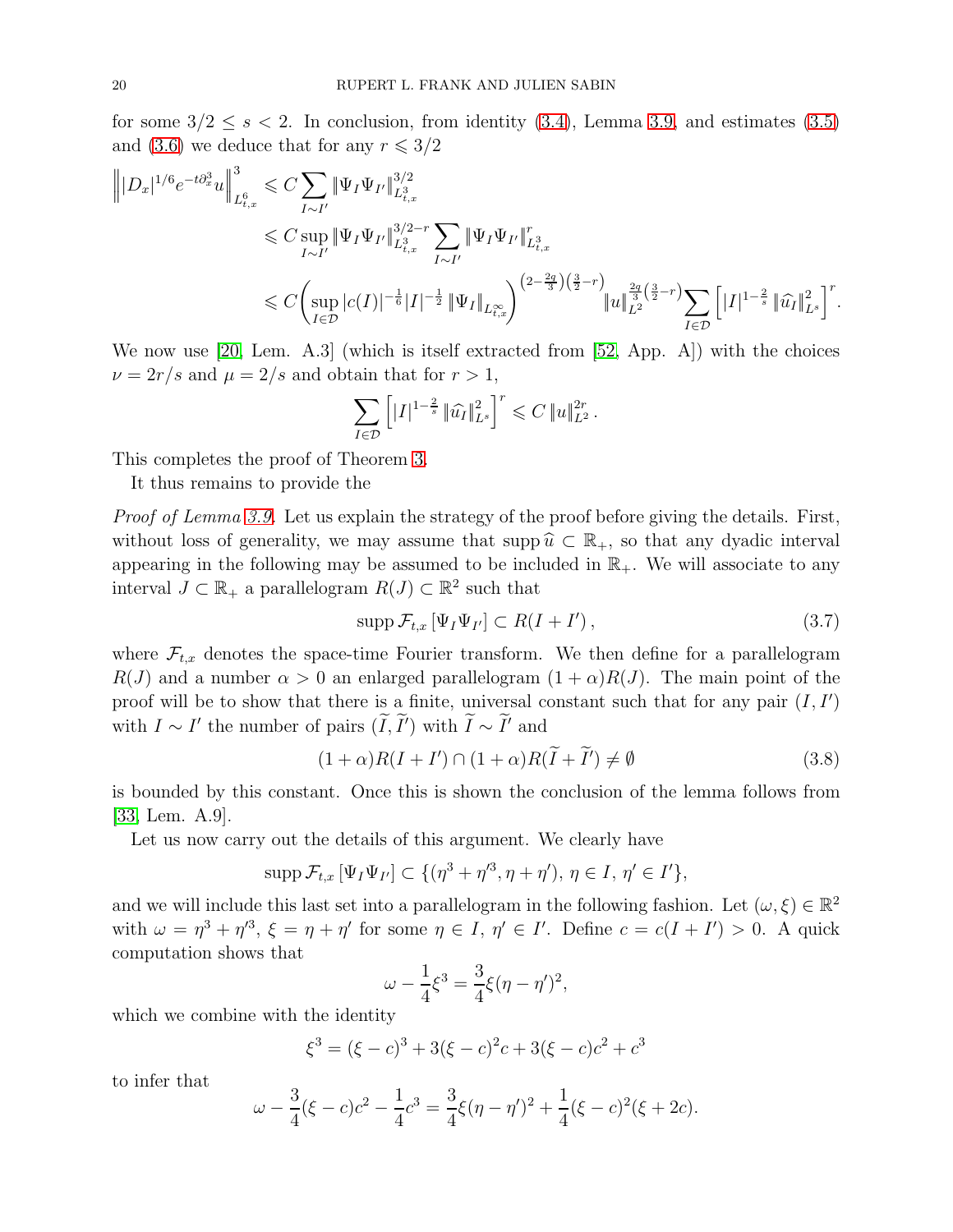for some  $3/2 \leq s < 2$ . In conclusion, from identity [\(3.4\)](#page-18-1), Lemma [3.9,](#page-18-0) and estimates [\(3.5\)](#page-18-2) and [\(3.6\)](#page-18-3) we deduce that for any  $r \leqslant 3/2$ 

$$
\label{eq:est} \begin{split} \left\||D_x|^{1/6}e^{-t\partial_x^3}u\right\|_{L_{t,x}^6}^3 &\leqslant C\sum_{I\sim I'}\|\Psi_I\Psi_{I'}\|_{L_{t,x}^3}^{3/2}\\ &\leqslant C\sup_{I\sim I'}\|\Psi_I\Psi_{I'}\|_{L_{t,x}^3}^{3/2-r}\sum_{I\sim I'}\|\Psi_I\Psi_{I'}\|_{L_{t,x}^3}^{r}\\ &\leqslant C\biggl(\sup_{I\in\mathcal D}|c(I)|^{-\frac{1}{6}}|I|^{-\frac{1}{2}}\|\Psi_I\|_{L_{t,x}^\infty}\biggr)^{\left(2-\frac{2q}{3}\right)\left(\frac{3}{2}-r\right)}\|u\|_{L^2}^{\frac{2q}{3}\left(\frac{3}{2}-r\right)}\sum_{I\in\mathcal D}\left[|I|^{1-\frac{2}{s}}\|\widehat{u_I}\|_{L^s}^2\right]^r. \end{split}
$$

We now use [\[20,](#page-35-8) Lem. A.3] (which is itself extracted from [\[52,](#page-37-5) App. A]) with the choices  $\nu = 2r/s$  and  $\mu = 2/s$  and obtain that for  $r > 1$ ,

$$
\sum_{I \in \mathcal{D}} \left[ |I|^{1-\frac{2}{s}} \|\widehat{u_I}\|_{L^s}^2 \right]^r \leqslant C \|u\|_{L^2}^{2r}.
$$

This completes the proof of Theorem [3.](#page-14-2)

It thus remains to provide the

*Proof of Lemma [3.9.](#page-18-0)* Let us explain the strategy of the proof before giving the details. First, without loss of generality, we may assume that supp  $\hat{u} \subset \mathbb{R}_{+}$ , so that any dyadic interval appearing in the following may be assumed to be included in  $\mathbb{R}_+$ . We will associate to any interval  $J \subset \mathbb{R}_+$  a parallelogram  $R(J) \subset \mathbb{R}^2$  such that

<span id="page-19-0"></span>
$$
\operatorname{supp} \mathcal{F}_{t,x} \left[ \Psi_I \Psi_{I'} \right] \subset R(I + I')\,,\tag{3.7}
$$

where  $\mathcal{F}_{t,x}$  denotes the space-time Fourier transform. We then define for a parallelogram  $R(J)$  and a number  $\alpha > 0$  an enlarged parallelogram  $(1 + \alpha)R(J)$ . The main point of the proof will be to show that there is a finite, universal constant such that for any pair  $(I, I')$ with  $I \sim I'$  the number of pairs  $(\overline{I}, \overline{I'})$  with  $\overline{I} \sim \overline{I'}$  and

<span id="page-19-1"></span>
$$
(1+\alpha)R(I+I') \cap (1+\alpha)R(\tilde{I}+\tilde{I}') \neq \emptyset
$$
\n(3.8)

is bounded by this constant. Once this is shown the conclusion of the lemma follows from [\[33,](#page-36-16) Lem. A.9].

Let us now carry out the details of this argument. We clearly have

$$
\mathrm{supp}\,\mathcal{F}_{t,x}\,[\Psi_I\Psi_{I'}]\subset \{(\eta^3+\eta'^3,\eta+\eta'),\,\eta\in I,\,\eta'\in I'\},\,
$$

and we will include this last set into a parallelogram in the following fashion. Let  $(\omega, \xi) \in \mathbb{R}^2$ with  $\omega = \eta^3 + \eta'^3$ ,  $\xi = \eta + \eta'$  for some  $\eta \in I$ ,  $\eta' \in I'$ . Define  $c = c(I + I') > 0$ . A quick computation shows that

$$
\omega - \frac{1}{4}\xi^3 = \frac{3}{4}\xi(\eta - \eta')^2,
$$

which we combine with the identity

$$
\xi^3 = (\xi - c)^3 + 3(\xi - c)^2 c + 3(\xi - c)c^2 + c^3
$$

to infer that

$$
\omega - \frac{3}{4}(\xi - c)c^2 - \frac{1}{4}c^3 = \frac{3}{4}\xi(\eta - \eta')^2 + \frac{1}{4}(\xi - c)^2(\xi + 2c).
$$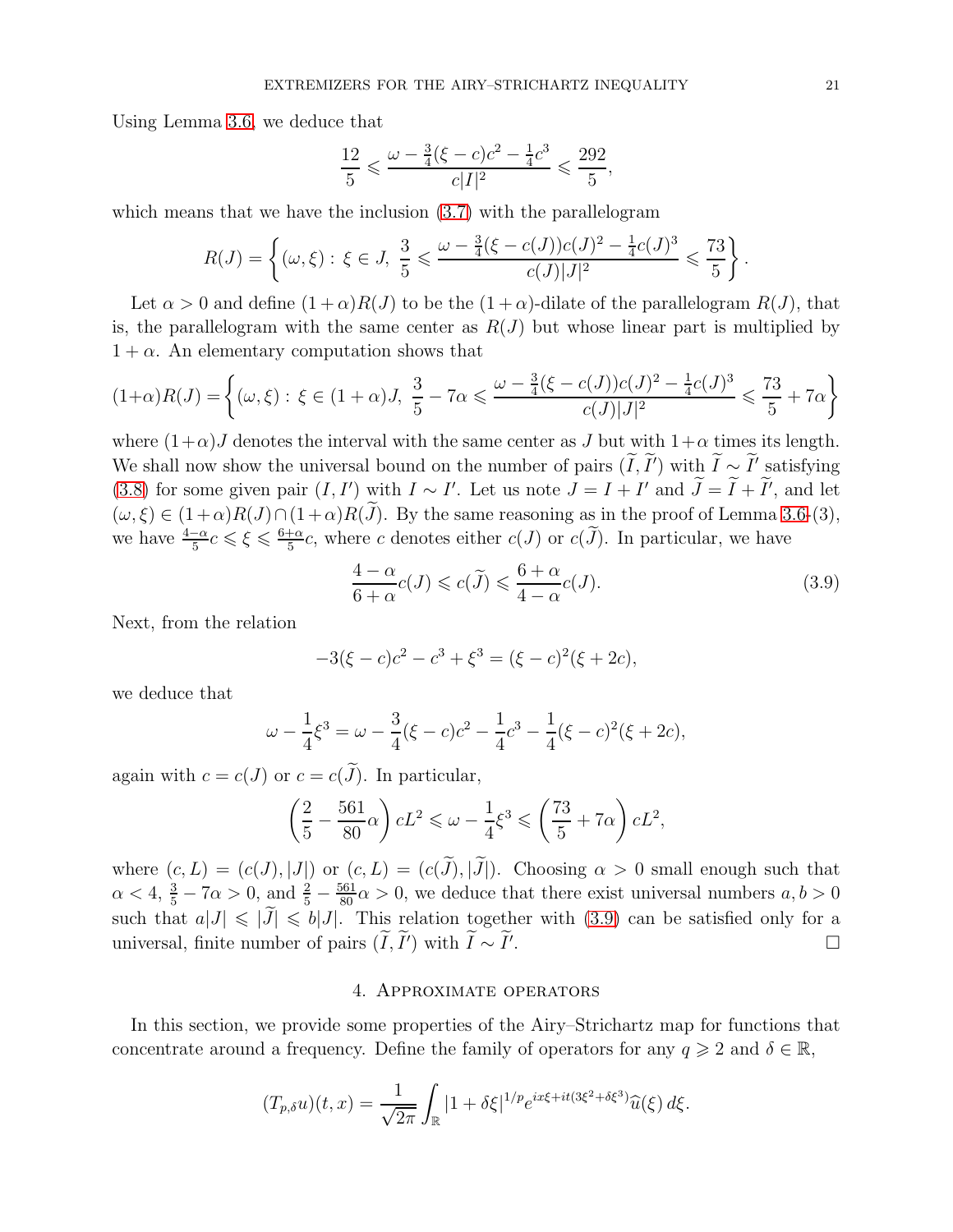Using Lemma [3.6,](#page-16-1) we deduce that

$$
\frac{12}{5} \leqslant \frac{\omega - \frac{3}{4}(\xi - c)c^2 - \frac{1}{4}c^3}{c|I|^2} \leqslant \frac{292}{5},
$$

which means that we have the inclusion  $(3.7)$  with the parallelogram

$$
R(J) = \left\{ (\omega, \xi) : \xi \in J, \ \frac{3}{5} \leq \frac{\omega - \frac{3}{4}(\xi - c(J))c(J)^2 - \frac{1}{4}c(J)^3}{c(J)|J|^2} \leq \frac{73}{5} \right\}.
$$

Let  $\alpha > 0$  and define  $(1 + \alpha)R(J)$  to be the  $(1 + \alpha)$ -dilate of the parallelogram  $R(J)$ , that is, the parallelogram with the same center as  $R(J)$  but whose linear part is multiplied by  $1 + \alpha$ . An elementary computation shows that

$$
(1+\alpha)R(J) = \left\{ (\omega,\xi) : \xi \in (1+\alpha)J, \frac{3}{5} - 7\alpha \leq \frac{\omega - \frac{3}{4}(\xi - c(J))c(J)^2 - \frac{1}{4}c(J)^3}{c(J)|J|^2} \leq \frac{73}{5} + 7\alpha \right\}
$$

where  $(1+\alpha)J$  denotes the interval with the same center as J but with  $1+\alpha$  times its length. We shall now show the universal bound on the number of pairs  $(I, I')$  with  $I \sim I'$  satisfying [\(3.8\)](#page-19-1) for some given pair  $(I, I')$  with  $I \sim I'$ . Let us note  $J = I + I'$  and  $J = I + I'$ , and let  $(\omega, \xi) \in (1+\alpha)R(J) \cap (1+\alpha)R(\tilde{J})$ . By the same reasoning as in the proof of Lemma [3.6-](#page-16-1)(3), we have  $\frac{4-\alpha}{5}c \leqslant \xi \leqslant \frac{6+\alpha}{5}$  $\frac{1}{5}$ c, where c denotes either c(J) or c(J). In particular, we have

<span id="page-20-1"></span>
$$
\frac{4-\alpha}{6+\alpha}c(J) \leqslant c(\widetilde{J}) \leqslant \frac{6+\alpha}{4-\alpha}c(J). \tag{3.9}
$$

Next, from the relation

$$
-3(\xi - c)c^2 - c^3 + \xi^3 = (\xi - c)^2(\xi + 2c),
$$

we deduce that

$$
\omega - \frac{1}{4}\xi^3 = \omega - \frac{3}{4}(\xi - c)c^2 - \frac{1}{4}c^3 - \frac{1}{4}(\xi - c)^2(\xi + 2c),
$$

again with  $c = c(J)$  or  $c = c(\tilde{J})$ . In particular,

$$
\left(\frac{2}{5} - \frac{561}{80}\alpha\right)cL^2 \leq \omega - \frac{1}{4}\xi^3 \leq \left(\frac{73}{5} + 7\alpha\right)cL^2,
$$

where  $(c, L) = (c(J), |J|)$  or  $(c, L) = (c(\tilde{J}), |\tilde{J}|)$ . Choosing  $\alpha > 0$  small enough such that  $\alpha < 4$ ,  $\frac{3}{5} - 7\alpha > 0$ , and  $\frac{2}{5} - \frac{561}{80}\alpha > 0$ , we deduce that there exist universal numbers  $a, b > 0$ such that  $a|J| \leq |\tilde{J}| \leq b|J|$ . This relation together with [\(3.9\)](#page-20-1) can be satisfied only for a universal, finite number of pairs  $(\tilde{I}, \tilde{I}')$  with  $\tilde{I} \sim \tilde{I}'$ . universal, finite number of pairs  $(\tilde{I}, \tilde{I}')$  with  $\tilde{I} \sim \tilde{I}'$ .

### 4. Approximate operators

<span id="page-20-0"></span>In this section, we provide some properties of the Airy–Strichartz map for functions that concentrate around a frequency. Define the family of operators for any  $q \geq 2$  and  $\delta \in \mathbb{R}$ ,

$$
(T_{p,\delta}u)(t,x) = \frac{1}{\sqrt{2\pi}} \int_{\mathbb{R}} |1+\delta\xi|^{1/p} e^{ix\xi + it(3\xi^2 + \delta\xi^3)} \widehat{u}(\xi) d\xi.
$$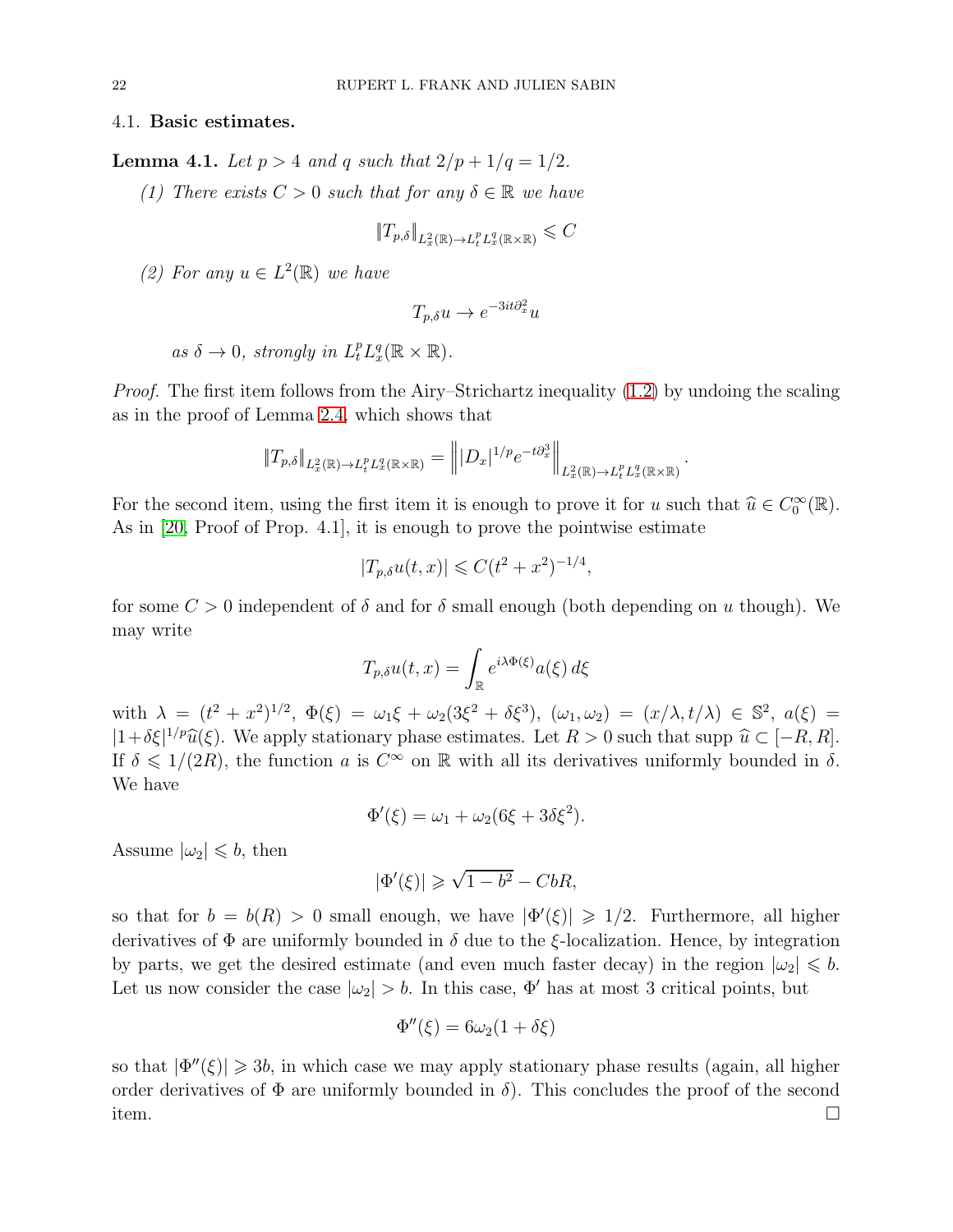#### 4.1. Basic estimates.

<span id="page-21-0"></span>**Lemma 4.1.** *Let*  $p > 4$  *and*  $q$  *such that*  $2/p + 1/q = 1/2$ *.* 

*(1) There exists*  $C > 0$  *such that for any*  $\delta \in \mathbb{R}$  *we have* 

$$
||T_{p,\delta}||_{L^2_x(\mathbb{R}) \to L^p_t L^q_x(\mathbb{R} \times \mathbb{R})} \leqslant C
$$

(2) For any  $u \in L^2(\mathbb{R})$  we have

$$
T_{p,\delta}u \to e^{-3it\partial_x^2}u
$$

```
as \delta \to 0, strongly in L_t^p L_x^q(\mathbb{R} \times \mathbb{R}).
```
*Proof.* The first item follows from the Airy–Strichartz inequality [\(1.2\)](#page-0-0) by undoing the scaling as in the proof of Lemma [2.4,](#page-7-1) which shows that

$$
\|T_{p,\delta}\|_{L^2_x(\mathbb{R})\to L^p_tL^q_x(\mathbb{R}\times\mathbb{R})}=\Big\||D_x|^{1/p}e^{-t\partial_x^3}\Big\|_{L^2_x(\mathbb{R})\to L^p_tL^q_x(\mathbb{R}\times\mathbb{R})}
$$

.

For the second item, using the first item it is enough to prove it for u such that  $\hat{u} \in C_0^{\infty}(\mathbb{R})$ . As in [\[20,](#page-35-8) Proof of Prop. 4.1], it is enough to prove the pointwise estimate

$$
|T_{p,\delta}u(t,x)| \leqslant C(t^2+x^2)^{-1/4},
$$

for some  $C > 0$  independent of  $\delta$  and for  $\delta$  small enough (both depending on u though). We may write

$$
T_{p,\delta}u(t,x) = \int_{\mathbb{R}} e^{i\lambda\Phi(\xi)}a(\xi) d\xi
$$

with  $\lambda = (t^2 + x^2)^{1/2}, \ \Phi(\xi) = \omega_1 \xi + \omega_2 (3\xi^2 + \delta \xi^3), \ (\omega_1, \omega_2) = (x/\lambda, t/\lambda) \in \mathbb{S}^2, \ a(\xi) =$  $|1+\delta\xi|^{1/p}\widehat{u}(\xi)$ . We apply stationary phase estimates. Let  $R > 0$  such that supp  $\widehat{u} \subset [-R, R]$ . If  $\delta \leq 1/(2R)$ , the function a is  $C^{\infty}$  on R with all its derivatives uniformly bounded in  $\delta$ . We have

$$
\Phi'(\xi) = \omega_1 + \omega_2(6\xi + 3\delta\xi^2).
$$

Assume  $|\omega_2| \leqslant b$ , then

$$
|\Phi'(\xi)| \geq \sqrt{1 - b^2} - CbR,
$$

so that for  $b = b(R) > 0$  small enough, we have  $|\Phi'(\xi)| \geq 1/2$ . Furthermore, all higher derivatives of  $\Phi$  are uniformly bounded in  $\delta$  due to the  $\xi$ -localization. Hence, by integration by parts, we get the desired estimate (and even much faster decay) in the region  $|\omega_2| \leqslant b$ . Let us now consider the case  $|\omega_2| > b$ . In this case,  $\Phi'$  has at most 3 critical points, but

$$
\Phi''(\xi) = 6\omega_2(1+\delta\xi)
$$

so that  $|\Phi''(\xi)| \geq 3b$ , in which case we may apply stationary phase results (again, all higher order derivatives of  $\Phi$  are uniformly bounded in  $\delta$ ). This concludes the proof of the second item.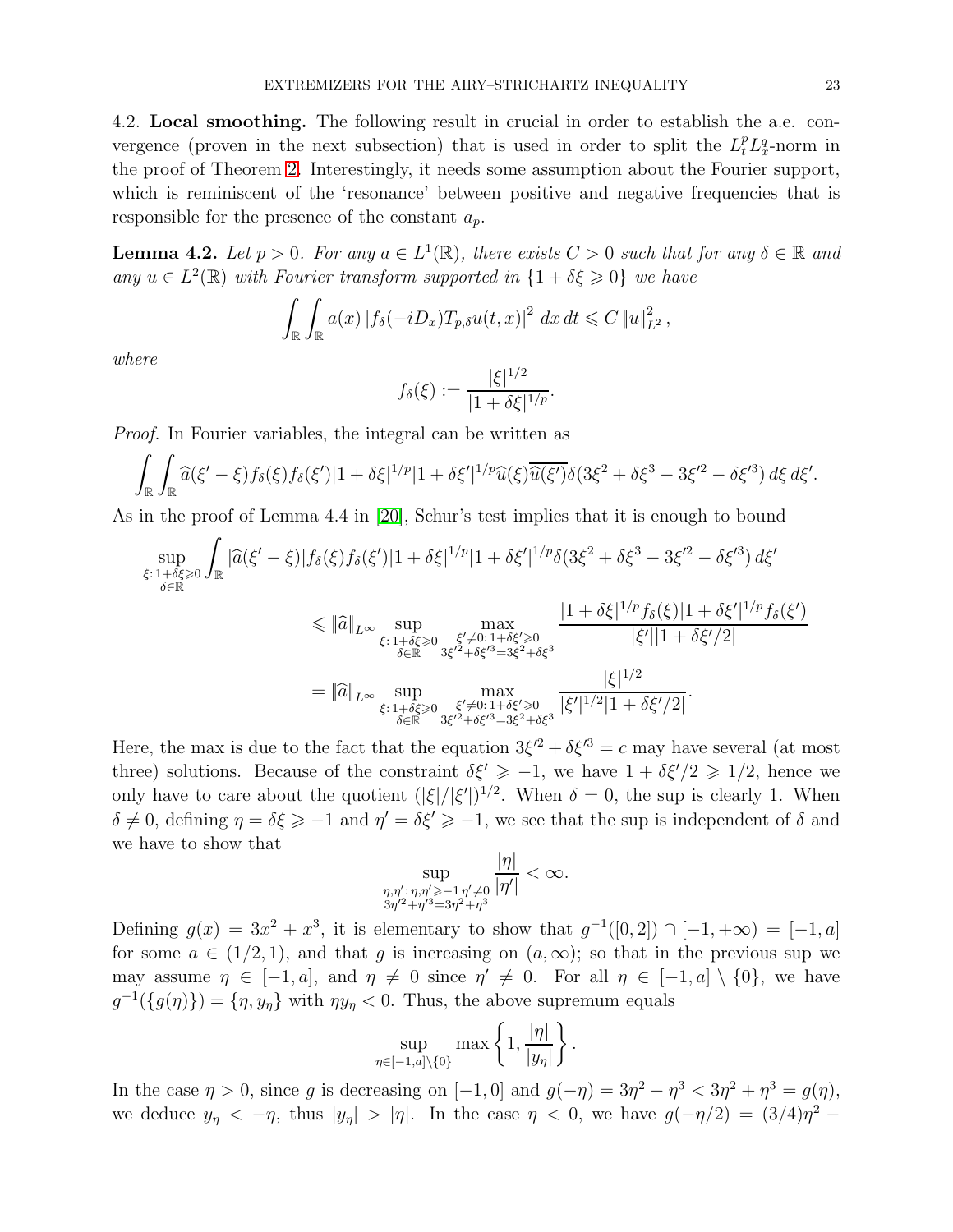4.2. Local smoothing. The following result in crucial in order to establish the a.e. convergence (proven in the next subsection) that is used in order to split the  $L_t^p L_x^q$ -norm in the proof of Theorem [2.](#page-6-0) Interestingly, it needs some assumption about the Fourier support, which is reminiscent of the 'resonance' between positive and negative frequencies that is responsible for the presence of the constant  $a_p$ .

<span id="page-22-0"></span>**Lemma 4.2.** Let  $p > 0$ . For any  $a \in L^1(\mathbb{R})$ , there exists  $C > 0$  such that for any  $\delta \in \mathbb{R}$  and  $any u \in L^2(\mathbb{R})$  *with Fourier transform supported in*  $\{1 + \delta \xi \geq 0\}$  *we have* 

$$
\int_{\mathbb{R}} \int_{\mathbb{R}} a(x) |f_{\delta}(-iD_x)T_{p,\delta}u(t,x)|^2 dx dt \leqslant C \|u\|_{L^2}^2,
$$

*where*

$$
f_{\delta}(\xi) := \frac{|\xi|^{1/2}}{|1 + \delta \xi|^{1/p}}.
$$

*Proof.* In Fourier variables, the integral can be written as

$$
\int_{\mathbb{R}}\int_{\mathbb{R}}\widehat{a}(\xi'-\xi)f_{\delta}(\xi)f_{\delta}(\xi')|1+\delta\xi|^{1/p}|1+\delta\xi'|^{1/p}\widehat{u}(\xi)\overline{\widehat{u}(\xi')}\delta(3\xi^2+\delta\xi^3-3\xi'^2-\delta\xi'^3)\,d\xi\,d\xi'.
$$

As in the proof of Lemma 4.4 in [\[20\]](#page-35-8), Schur's test implies that it is enough to bound

$$
\sup_{\xi: 1+\delta\xi \geq 0} \int_{\mathbb{R}} |\widehat{a}(\xi'-\xi)| f_{\delta}(\xi) f_{\delta}(\xi')| 1 + \delta\xi|^{1/p} |1 + \delta\xi'|^{1/p} \delta(3\xi^2 + \delta\xi^3 - 3\xi'^2 - \delta\xi'^3) d\xi'
$$
\n
$$
\leq |\widehat{a}|_{L^{\infty}} \sup_{\xi: 1+\delta\xi \geq 0} \max_{\xi' \neq 0: 1+\delta\xi' \geq 0 \atop \delta \in \mathbb{R}} \frac{|1 + \delta\xi|^{1/p} f_{\delta}(\xi)| 1 + \delta\xi'|^{1/p} f_{\delta}(\xi')|}{|\xi'||1 + \delta\xi'|^{2}}
$$
\n
$$
= |\widehat{a}|_{L^{\infty}} \sup_{\xi: 1+\delta\xi \geq 0} \max_{\xi' \neq 0: 1+\delta\xi' \geq 0 \atop \delta \in \mathbb{R}} \frac{|\xi|^{1/2}}{3\xi'^2 + \delta\xi'^3} \frac{|\xi|^{1/2}}{|\xi'|^{1/2} |1 + \delta\xi'|^{2}}.
$$

Here, the max is due to the fact that the equation  $3\xi'^2 + \delta \xi'^3 = c$  may have several (at most three) solutions. Because of the constraint  $\delta \xi' \geq -1$ , we have  $1 + \delta \xi'/2 \geq 1/2$ , hence we only have to care about the quotient  $(|\xi|/|\xi'|)^{1/2}$ . When  $\delta = 0$ , the sup is clearly 1. When  $\delta \neq 0$ , defining  $\eta = \delta \xi \geq -1$  and  $\eta' = \delta \xi' \geq -1$ , we see that the sup is independent of  $\delta$  and we have to show that  $| \cdot |$ 

$$
\sup_{\substack{\eta,\eta':\eta,\eta'\geqslant-1,\eta'\neq0\\3\eta'^2+\eta'^3=3\eta^2+\eta^3}}\frac{|\eta|}{|\eta'|}<\infty.
$$

Defining  $g(x) = 3x^2 + x^3$ , it is elementary to show that  $g^{-1}([0,2]) \cap [-1, +\infty) = [-1, a]$ for some  $a \in (1/2, 1)$ , and that g is increasing on  $(a, \infty)$ ; so that in the previous sup we may assume  $\eta \in [-1, a]$ , and  $\eta \neq 0$  since  $\eta' \neq 0$ . For all  $\eta \in [-1, a] \setminus \{0\}$ , we have  $g^{-1}(\lbrace g(\eta)\rbrace) = \lbrace \eta, y_{\eta} \rbrace$  with  $\eta y_{\eta} < 0$ . Thus, the above supremum equals

$$
\sup_{\eta \in [-1,a] \setminus \{0\}} \max\left\{1, \frac{|\eta|}{|y_\eta|}\right\}
$$

.

In the case  $\eta > 0$ , since g is decreasing on  $[-1, 0]$  and  $g(-\eta) = 3\eta^2 - \eta^3 < 3\eta^2 + \eta^3 = g(\eta)$ , we deduce  $y_{\eta} < -\eta$ , thus  $|y_{\eta}| > |\eta|$ . In the case  $\eta < 0$ , we have  $g(-\eta/2) = (3/4)\eta^2$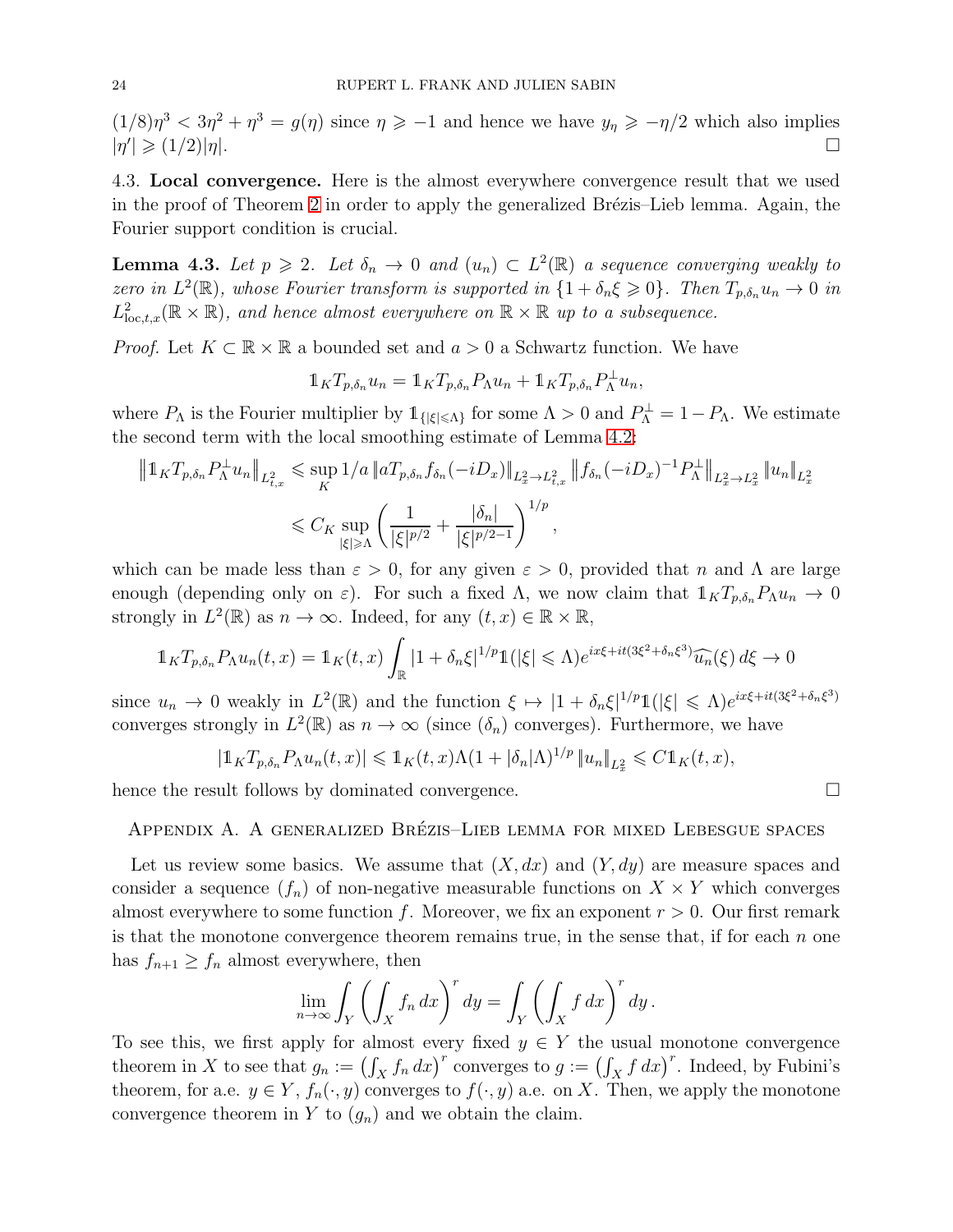$(1/8)\eta^3 < 3\eta^2 + \eta^3 = g(\eta)$  since  $\eta \ge -1$  and hence we have  $y_\eta \ge -\eta/2$  which also implies  $|\eta^\prime\>$  $|\geqslant (1/2)|\eta|.$ 

4.3. Local convergence. Here is the almost everywhere convergence result that we used in the proof of Theorem [2](#page-6-0) in order to apply the generalized Brézis–Lieb lemma. Again, the Fourier support condition is crucial.

<span id="page-23-1"></span>**Lemma 4.3.** Let  $p \ge 2$ . Let  $\delta_n \to 0$  and  $(u_n) \subset L^2(\mathbb{R})$  a sequence converging weakly to *zero in*  $L^2(\mathbb{R})$ *, whose Fourier transform is supported in*  $\{1 + \delta_n \xi \geq 0\}$ *. Then*  $T_{p,\delta_n} u_n \to 0$  *in*  $L^2_{\text{loc},t,x}(\mathbb{R} \times \mathbb{R})$ , and hence almost everywhere on  $\mathbb{R} \times \mathbb{R}$  up to a subsequence.

*Proof.* Let  $K \subset \mathbb{R} \times \mathbb{R}$  a bounded set and  $a > 0$  a Schwartz function. We have

$$
1_K T_{p,\delta_n} u_n = 1_K T_{p,\delta_n} P_\Lambda u_n + 1_K T_{p,\delta_n} P_\Lambda^\perp u_n,
$$

where  $P_{\Lambda}$  is the Fourier multiplier by  $\mathbb{1}_{\{|\xi| \leq \Lambda\}}$  for some  $\Lambda > 0$  and  $P_{\Lambda}^{\perp} = 1 - P_{\Lambda}$ . We estimate the second term with the local smoothing estimate of Lemma [4.2:](#page-22-0)

$$
\|1_K T_{p,\delta_n} P_\Lambda^{\perp} u_n\|_{L^2_{t,x}} \leq \sup_K 1/a \|aT_{p,\delta_n} f_{\delta_n}(-iD_x)\|_{L^2_x \to L^2_{t,x}} \|f_{\delta_n}(-iD_x)^{-1} P_\Lambda^{\perp}\|_{L^2_x \to L^2_x} \|u_n\|_{L^2_x}
$$
  

$$
\leq C_K \sup_{|\xi| \geq \Lambda} \left(\frac{1}{|\xi|^{p/2}} + \frac{|\delta_n|}{|\xi|^{p/2-1}}\right)^{1/p},
$$

which can be made less than  $\varepsilon > 0$ , for any given  $\varepsilon > 0$ , provided that n and  $\Lambda$  are large enough (depending only on  $\varepsilon$ ). For such a fixed  $\Lambda$ , we now claim that  $1_KT_{p,\delta_n}P_\Lambda u_n \to 0$ strongly in  $L^2(\mathbb{R})$  as  $n \to \infty$ . Indeed, for any  $(t, x) \in \mathbb{R} \times \mathbb{R}$ ,

$$
\mathbb{1}_{K}T_{p,\delta_n}P_\Lambda u_n(t,x) = \mathbb{1}_{K}(t,x)\int_{\mathbb{R}}|1+\delta_n\xi|^{1/p}\mathbb{1}(|\xi| \leq \Lambda)e^{ix\xi + it(3\xi^2 + \delta_n\xi^3)}\widehat{u_n}(\xi) d\xi \to 0
$$

since  $u_n \to 0$  weakly in  $L^2(\mathbb{R})$  and the function  $\xi \mapsto |1 + \delta_n \xi|^{1/p} \mathbb{1}(|\xi| \leq \Lambda) e^{ix\xi + it(3\xi^2 + \delta_n \xi^3)}$ converges strongly in  $L^2(\mathbb{R})$  as  $n \to \infty$  (since  $(\delta_n)$  converges). Furthermore, we have

$$
|\mathbb{1}_{K}T_{p,\delta_n}P_\Lambda u_n(t,x)| \leq \mathbb{1}_{K}(t,x)\Lambda(1+|\delta_n|\Lambda)^{1/p}||u_n||_{L^2_x} \leq C\mathbb{1}_{K}(t,x),
$$

<span id="page-23-0"></span>hence the result follows by dominated convergence.

### APPENDIX A. A GENERALIZED BRÉZIS–LIEB LEMMA FOR MIXED LEBESGUE SPACES

Let us review some basics. We assume that  $(X, dx)$  and  $(Y, dy)$  are measure spaces and consider a sequence  $(f_n)$  of non-negative measurable functions on  $X \times Y$  which converges almost everywhere to some function f. Moreover, we fix an exponent  $r > 0$ . Our first remark is that the monotone convergence theorem remains true, in the sense that, if for each  $n$  one has  $f_{n+1} \geq f_n$  almost everywhere, then

$$
\lim_{n \to \infty} \int_Y \left( \int_X f_n \, dx \right)^r dy = \int_Y \left( \int_X f \, dx \right)^r dy \, .
$$

To see this, we first apply for almost every fixed  $y \in Y$  the usual monotone convergence theorem in X to see that  $g_n := (\int_X f_n dx)^r$  converges to  $g := (\int_X f dx)^r$ . Indeed, by Fubini's theorem, for a.e.  $y \in Y$ ,  $f_n(\cdot, y)$  converges to  $f(\cdot, y)$  a.e. on X. Then, we apply the monotone convergence theorem in Y to  $(g_n)$  and we obtain the claim.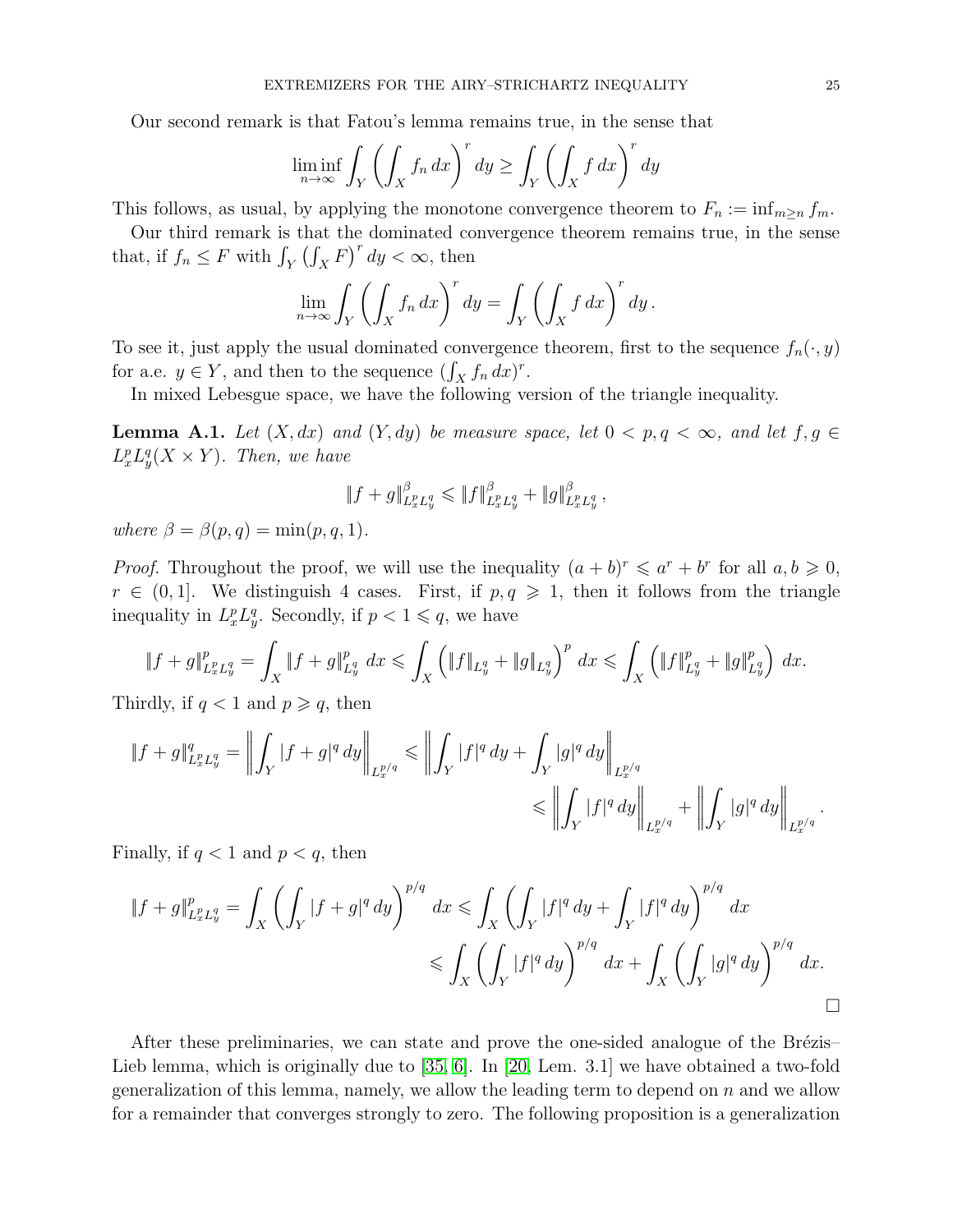Our second remark is that Fatou's lemma remains true, in the sense that

$$
\liminf_{n \to \infty} \int_Y \left( \int_X f_n \, dx \right)^r dy \ge \int_Y \left( \int_X f \, dx \right)^r dy
$$

This follows, as usual, by applying the monotone convergence theorem to  $F_n := \inf_{m \geq n} f_m$ .

Our third remark is that the dominated convergence theorem remains true, in the sense that, if  $f_n \leq F$  with  $\int_Y (\int_X F)^r dy < \infty$ , then

$$
\lim_{n \to \infty} \int_Y \left( \int_X f_n \, dx \right)^r dy = \int_Y \left( \int_X f \, dx \right)^r dy \, .
$$

To see it, just apply the usual dominated convergence theorem, first to the sequence  $f_n(\cdot, y)$ for a.e.  $y \in Y$ , and then to the sequence  $(\int_X f_n dx)^r$ .

In mixed Lebesgue space, we have the following version of the triangle inequality.

<span id="page-24-0"></span>**Lemma A.1.** Let  $(X, dx)$  and  $(Y, dy)$  be measure space, let  $0 < p, q < \infty$ , and let  $f, g \in$  $L_x^p L_y^q(X \times Y)$ *. Then, we have* 

$$
\|f+g\|_{L_x^p L_y^q}^{\beta} \le \|f\|_{L_x^p L_y^q}^{\beta} + \|g\|_{L_x^p L_y^q}^{\beta},
$$

*where*  $\beta = \beta(p, q) = \min(p, q, 1)$ *.* 

*Proof.* Throughout the proof, we will use the inequality  $(a + b)^r \leq a^r + b^r$  for all  $a, b \geq 0$ ,  $r \in (0, 1]$ . We distinguish 4 cases. First, if  $p, q \geq 1$ , then it follows from the triangle inequality in  $L_x^p L_y^q$ . Secondly, if  $p < 1 \leqslant q$ , we have

$$
\|f+g\|_{L^p_xL^q_y}^p = \int_X \|f+g\|_{L^q_y}^p \, dx \leqslant \int_X \left( \|f\|_{L^q_y} + \|g\|_{L^q_y} \right)^p \, dx \leqslant \int_X \left( \|f\|_{L^q_y}^p + \|g\|_{L^q_y}^p \right) \, dx.
$$

Thirdly, if  $q < 1$  and  $p \geqslant q$ , then

$$
\begin{aligned} \|f+g\|_{L^p_xL^q_y}^q=\left\|\int_Y |f+g|^q\,dy\right\|_{L^{p/q}_x}\leqslant \left\|\int_Y |f|^q\,dy+\int_Y |g|^q\,dy\right\|_{L^{p/q}_x} \\ \leqslant \left\|\int_Y |f|^q\,dy\right\|_{L^{p/q}_x}+\left\|\int_Y |g|^q\,dy\right\|_{L^{p/q}_x}.\end{aligned}
$$

Finally, if  $q < 1$  and  $p < q$ , then

$$
\begin{aligned} \|f+g\|_{L^p_xL^q_y}^p &= \int_X \left(\int_Y |f+g|^q \, dy\right)^{p/q} \, dx \le \int_X \left(\int_Y |f|^q \, dy + \int_Y |f|^q \, dy\right)^{p/q} \, dx \\ &\le \int_X \left(\int_Y |f|^q \, dy\right)^{p/q} \, dx + \int_X \left(\int_Y |g|^q \, dy\right)^{p/q} \, dx. \end{aligned}
$$

After these preliminaries, we can state and prove the one-sided analogue of the Brézis– Lieb lemma, which is originally due to [\[35,](#page-36-15) [6\]](#page-35-16). In [\[20,](#page-35-8) Lem. 3.1] we have obtained a two-fold generalization of this lemma, namely, we allow the leading term to depend on  $n$  and we allow for a remainder that converges strongly to zero. The following proposition is a generalization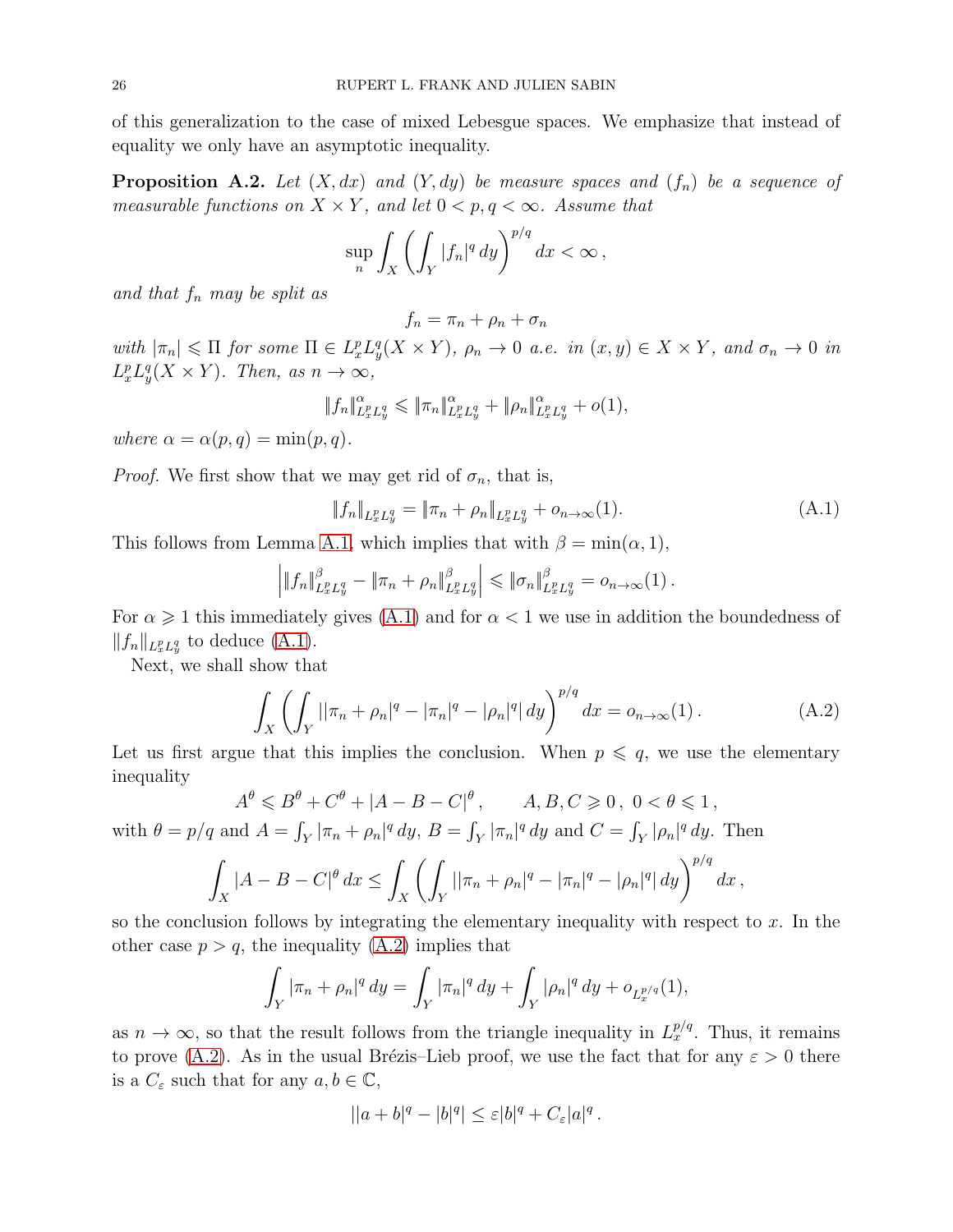of this generalization to the case of mixed Lebesgue spaces. We emphasize that instead of equality we only have an asymptotic inequality.

<span id="page-25-0"></span>**Proposition A.2.** Let  $(X, dx)$  and  $(Y, dy)$  be measure spaces and  $(f_n)$  be a sequence of *measurable functions on*  $X \times Y$ *, and let*  $0 \lt p, q \lt \infty$ *. Assume that* 

$$
\sup_n \int_X \left( \int_Y |f_n|^q \, dy \right)^{p/q} \, dx < \infty \,,
$$

*and that* f<sup>n</sup> *may be split as*

 $f_n = \pi_n + \rho_n + \sigma_n$ 

 $with |\pi_n| \leq \Pi$  *for some*  $\Pi \in L_x^p L_y^q(X \times Y)$ *,*  $\rho_n \to 0$  *a.e. in*  $(x, y) \in X \times Y$ *, and*  $\sigma_n \to 0$  *in*  $L_x^p L_y^q(X \times Y)$ *. Then, as*  $n \to \infty$ *,* 

$$
||f_n||_{L_x^p L_y^q}^{\alpha} \le ||\pi_n||_{L_x^p L_y^q}^{\alpha} + ||\rho_n||_{L_x^p L_y^q}^{\alpha} + o(1),
$$

*where*  $\alpha = \alpha(p, q) = \min(p, q)$ .

*Proof.* We first show that we may get rid of  $\sigma_n$ , that is,

<span id="page-25-1"></span>
$$
||f_n||_{L_x^p L_y^q} = ||\pi_n + \rho_n||_{L_x^p L_y^q} + o_{n \to \infty}(1).
$$
\n(A.1)

This follows from Lemma [A.1,](#page-24-0) which implies that with  $\beta = \min(\alpha, 1)$ ,

$$
\left| \|f_n\|_{L^p_x L^q_y}^{\beta} - \|\pi_n + \rho_n\|_{L^p_x L^q_y}^{\beta} \right| \leq \|\sigma_n\|_{L^p_x L^q_y}^{\beta} = o_{n \to \infty}(1) .
$$

For  $\alpha \geq 1$  this immediately gives [\(A.1\)](#page-25-1) and for  $\alpha < 1$  we use in addition the boundedness of  $||f_n||_{L_x^p L_y^q}$  to deduce  $(A.1)$ .

Next, we shall show that

<span id="page-25-2"></span>
$$
\int_X \left( \int_Y ||\pi_n + \rho_n|^q - |\pi_n|^q - |\rho_n|^q | dy \right)^{p/q} dx = o_{n \to \infty}(1).
$$
 (A.2)

Let us first argue that this implies the conclusion. When  $p \leq q$ , we use the elementary inequality

$$
A^{\theta} \leq B^{\theta} + C^{\theta} + |A - B - C|^{\theta}, \qquad A, B, C \geq 0, \ 0 < \theta \leq 1
$$

with  $\theta = p/q$  and  $A = \int_Y |\pi_n + \rho_n|^q dy$ ,  $B = \int_Y |\pi_n|^q dy$  and  $C = \int_Y |\rho_n|^q dy$ . Then

$$
\int_X |A - B - C|^{\theta} dx \le \int_X \left( \int_Y ||\pi_n + \rho_n|^q - |\pi_n|^q - |\rho_n|^q \right) dy \right)^{p/q} dx,
$$

so the conclusion follows by integrating the elementary inequality with respect to  $x$ . In the other case  $p > q$ , the inequality [\(A.2\)](#page-25-2) implies that

$$
\int_Y |\pi_n + \rho_n|^q \, dy = \int_Y |\pi_n|^q \, dy + \int_Y |\rho_n|^q \, dy + o_{L_x^{p/q}}(1),
$$

as  $n \to \infty$ , so that the result follows from the triangle inequality in  $L_x^{p/q}$ . Thus, it remains to prove [\(A.2\)](#page-25-2). As in the usual Brézis–Lieb proof, we use the fact that for any  $\varepsilon > 0$  there is a  $C_{\varepsilon}$  such that for any  $a, b \in \mathbb{C}$ ,

$$
||a+b|^q-|b|^q|\leq \varepsilon |b|^q+C_{\varepsilon}|a|^q.
$$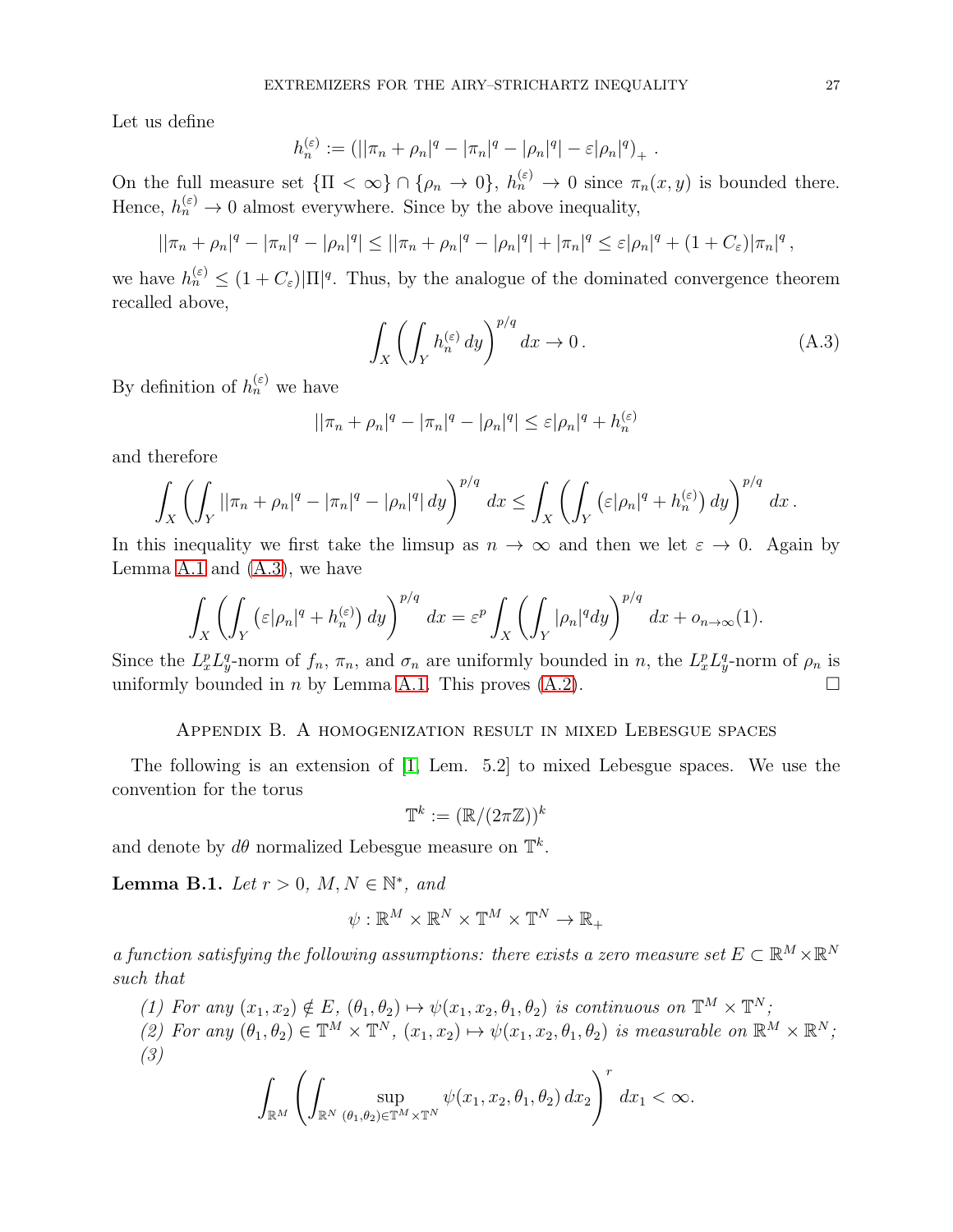Let us define

$$
h_n^{(\varepsilon)} := (||\pi_n + \rho_n|^q - |\pi_n|^q - |\rho_n|^q - \varepsilon |\rho_n|^q)_+
$$

On the full measure set  $\{\Pi < \infty\} \cap \{\rho_n \to 0\}$ ,  $h_n^{(\varepsilon)} \to 0$  since  $\pi_n(x, y)$  is bounded there. Hence,  $h_n^{(\varepsilon)} \to 0$  almost everywhere. Since by the above inequality,

$$
||\pi_n + \rho_n|^q - |\pi_n|^q - |\rho_n|^q| \le ||\pi_n + \rho_n|^q - |\rho_n|^q + |\pi_n|^q \le \varepsilon |\rho_n|^q + (1 + C_{\varepsilon}) |\pi_n|^q,
$$

we have  $h_n^{(\varepsilon)} \leq (1+C_{\varepsilon})|\Pi|^q$ . Thus, by the analogue of the dominated convergence theorem recalled above,

<span id="page-26-1"></span>
$$
\int_{X} \left( \int_{Y} h_n^{(\varepsilon)} dy \right)^{p/q} dx \to 0.
$$
\n(A.3)

.

By definition of  $h_n^{(\varepsilon)}$  we have

$$
||\pi_n + \rho_n|^q - |\pi_n|^q - |\rho_n|^q| \le \varepsilon |\rho_n|^q + h_n^{(\varepsilon)}
$$

and therefore

$$
\int_X \left( \int_Y ||\pi_n + \rho_n|^q - |\pi_n|^q - |\rho_n|^q | dy \right)^{p/q} dx \le \int_X \left( \int_Y \left( \varepsilon |\rho_n|^q + h_n^{(\varepsilon)} \right) dy \right)^{p/q} dx.
$$

In this inequality we first take the limsup as  $n \to \infty$  and then we let  $\varepsilon \to 0$ . Again by Lemma  $A.1$  and  $(A.3)$ , we have

$$
\int_X \left( \int_Y \left( \varepsilon |\rho_n|^q + h_n^{(\varepsilon)} \right) dy \right)^{p/q} dx = \varepsilon^p \int_X \left( \int_Y |\rho_n|^q dy \right)^{p/q} dx + o_{n \to \infty}(1).
$$

Since the  $L_x^p L_y^q$ -norm of  $f_n$ ,  $\pi_n$ , and  $\sigma_n$  are uniformly bounded in n, the  $L_x^p L_y^q$ -norm of  $\rho_n$  is uniformly bounded in *n* by Lemma [A.1.](#page-24-0) This proves  $(A.2)$ .

## Appendix B. A homogenization result in mixed Lebesgue spaces

The following is an extension of [\[1,](#page-35-21) Lem. 5.2] to mixed Lebesgue spaces. We use the convention for the torus

$$
\mathbb{T}^k:=(\mathbb{R}/(2\pi\mathbb{Z}))^k
$$

and denote by  $d\theta$  normalized Lebesgue measure on  $\mathbb{T}^k$ .

<span id="page-26-0"></span>**Lemma B.1.** *Let*  $r > 0$ *,*  $M, N \in \mathbb{N}^*$ *, and* 

$$
\psi: \mathbb{R}^M \times \mathbb{R}^N \times \mathbb{T}^M \times \mathbb{T}^N \to \mathbb{R}_+
$$

*a function satisfying the following assumptions: there exists a zero measure set*  $E \subset \mathbb{R}^M \times \mathbb{R}^N$ *such that*

- *(1) For any*  $(x_1, x_2) \notin E$ ,  $(\theta_1, \theta_2) \mapsto \psi(x_1, x_2, \theta_1, \theta_2)$  *is continuous on*  $\mathbb{T}^M \times \mathbb{T}^N$ ;
- (2) For any  $(\theta_1, \theta_2) \in \mathbb{T}^M \times \mathbb{T}^N$ ,  $(x_1, x_2) \mapsto \psi(x_1, x_2, \theta_1, \theta_2)$  *is measurable on*  $\mathbb{R}^M \times \mathbb{R}^N$ ; *(3)*

$$
\int_{\mathbb{R}^M} \left( \int_{\mathbb{R}^N} \sup_{(\theta_1,\theta_2)\in \mathbb{T}^M \times \mathbb{T}^N} \psi(x_1,x_2,\theta_1,\theta_2) \, dx_2 \right)^r \, dx_1 < \infty.
$$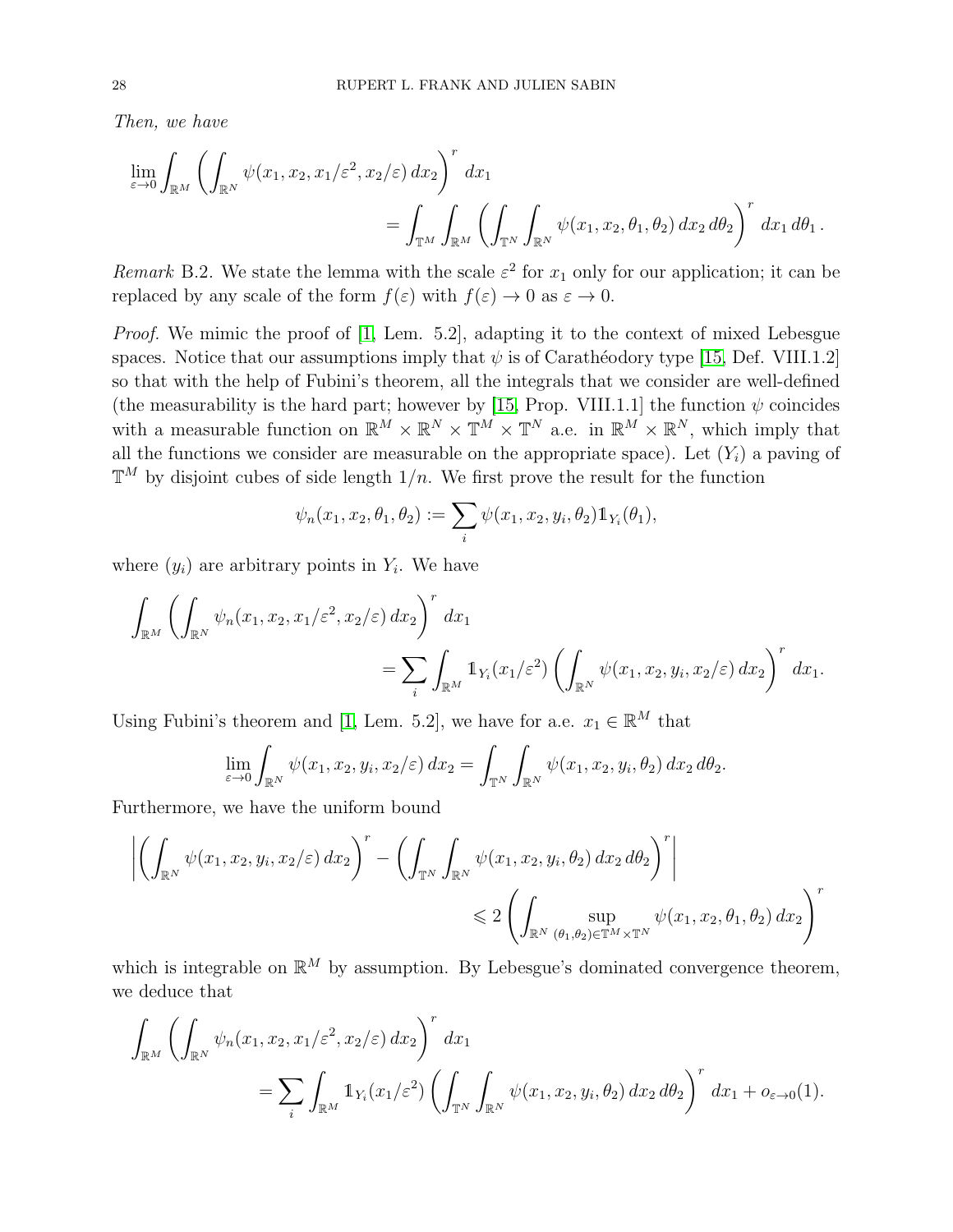*Then, we have*

$$
\lim_{\varepsilon \to 0} \int_{\mathbb{R}^M} \left( \int_{\mathbb{R}^N} \psi(x_1, x_2, x_1/\varepsilon^2, x_2/\varepsilon) dx_2 \right)^r dx_1
$$
\n
$$
= \int_{\mathbb{T}^M} \int_{\mathbb{R}^M} \left( \int_{\mathbb{T}^N} \int_{\mathbb{R}^N} \psi(x_1, x_2, \theta_1, \theta_2) dx_2 d\theta_2 \right)^r dx_1 d\theta_1.
$$

*Remark* B.2. We state the lemma with the scale  $\varepsilon^2$  for  $x_1$  only for our application; it can be replaced by any scale of the form  $f(\varepsilon)$  with  $f(\varepsilon) \to 0$  as  $\varepsilon \to 0$ .

*Proof.* We mimic the proof of [\[1,](#page-35-21) Lem. 5.2], adapting it to the context of mixed Lebesgue spaces. Notice that our assumptions imply that  $\psi$  is of Carathéodory type [\[15,](#page-35-22) Def. VIII.1.2] so that with the help of Fubini's theorem, all the integrals that we consider are well-defined (the measurability is the hard part; however by [\[15,](#page-35-22) Prop. VIII.1.1] the function  $\psi$  coincides with a measurable function on  $\mathbb{R}^M \times \mathbb{R}^N \times \mathbb{T}^M \times \mathbb{T}^N$  a.e. in  $\mathbb{R}^M \times \mathbb{R}^N$ , which imply that all the functions we consider are measurable on the appropriate space). Let  $(Y_i)$  a paving of  $\mathbb{T}^M$  by disjoint cubes of side length  $1/n$ . We first prove the result for the function

$$
\psi_n(x_1, x_2, \theta_1, \theta_2) := \sum_i \psi(x_1, x_2, y_i, \theta_2) \mathbb{1}_{Y_i}(\theta_1),
$$

where  $(y_i)$  are arbitrary points in  $Y_i$ . We have

$$
\int_{\mathbb{R}^M} \left( \int_{\mathbb{R}^N} \psi_n(x_1, x_2, x_1/\varepsilon^2, x_2/\varepsilon) dx_2 \right)^r dx_1
$$
\n
$$
= \sum_i \int_{\mathbb{R}^M} \mathbb{1}_{Y_i}(x_1/\varepsilon^2) \left( \int_{\mathbb{R}^N} \psi(x_1, x_2, y_i, x_2/\varepsilon) dx_2 \right)^r dx_1.
$$

Using Fubini's theorem and [\[1,](#page-35-21) Lem. 5.2], we have for a.e.  $x_1 \in \mathbb{R}^M$  that

$$
\lim_{\varepsilon \to 0} \int_{\mathbb{R}^N} \psi(x_1, x_2, y_i, x_2/\varepsilon) dx_2 = \int_{\mathbb{T}^N} \int_{\mathbb{R}^N} \psi(x_1, x_2, y_i, \theta_2) dx_2 d\theta_2.
$$

Furthermore, we have the uniform bound

$$
\left| \left( \int_{\mathbb{R}^N} \psi(x_1, x_2, y_i, x_2/\varepsilon) dx_2 \right)^r - \left( \int_{\mathbb{R}^N} \int_{\mathbb{R}^N} \psi(x_1, x_2, y_i, \theta_2) dx_2 d\theta_2 \right)^r \right|
$$
  
\$\leqslant 2 \left( \int\_{\mathbb{R}^N} \sup\_{(\theta\_1, \theta\_2) \in \mathbb{T}^M \times \mathbb{T}^N} \psi(x\_1, x\_2, \theta\_1, \theta\_2) dx\_2 \right)^r\$

which is integrable on  $\mathbb{R}^M$  by assumption. By Lebesgue's dominated convergence theorem, we deduce that

$$
\int_{\mathbb{R}^M} \left( \int_{\mathbb{R}^N} \psi_n(x_1, x_2, x_1/\varepsilon^2, x_2/\varepsilon) dx_2 \right)^r dx_1
$$
\n
$$
= \sum_i \int_{\mathbb{R}^M} \mathbb{1}_{Y_i}(x_1/\varepsilon^2) \left( \int_{\mathbb{T}^N} \int_{\mathbb{R}^N} \psi(x_1, x_2, y_i, \theta_2) dx_2 d\theta_2 \right)^r dx_1 + o_{\varepsilon \to 0}(1).
$$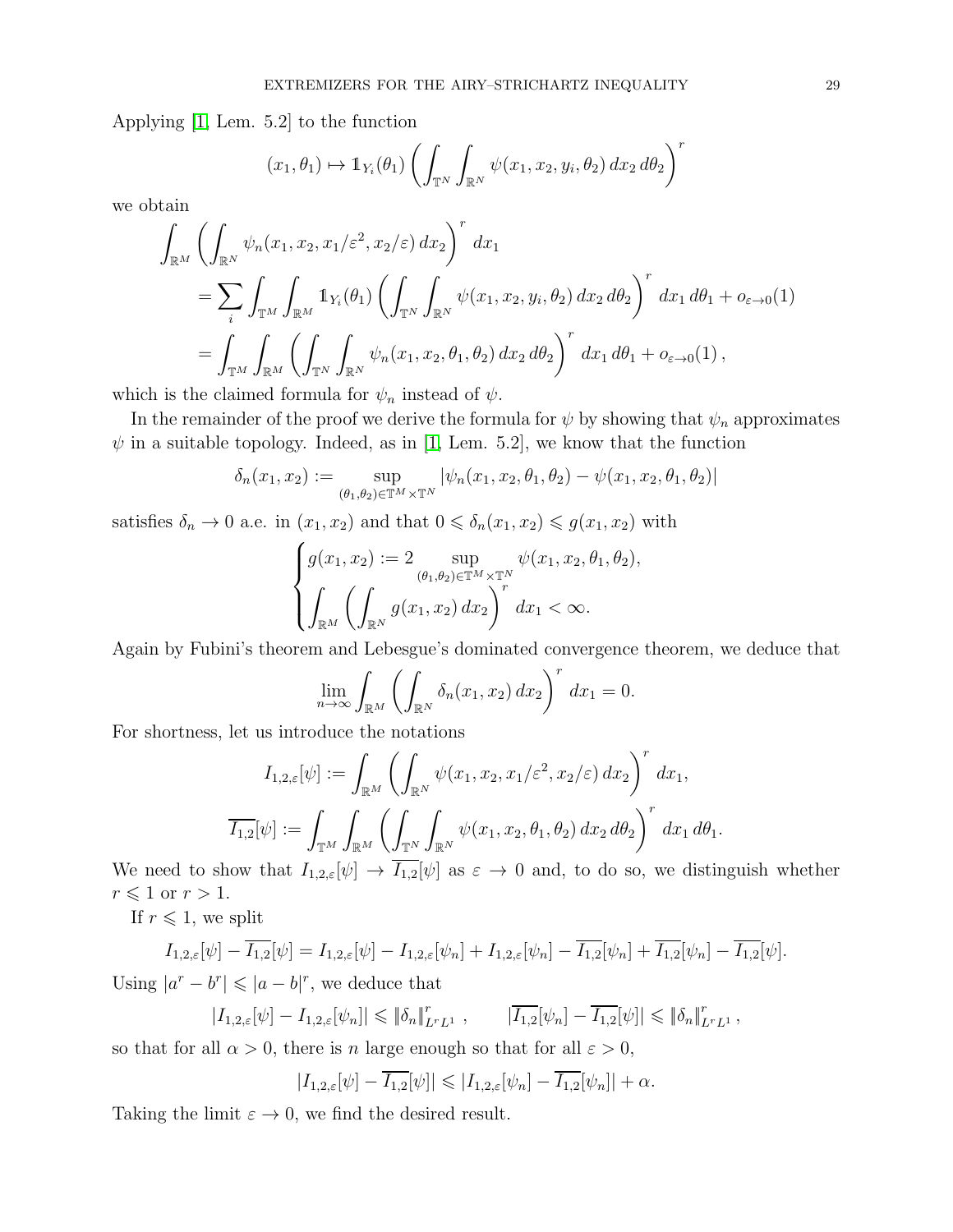Applying [\[1,](#page-35-21) Lem. 5.2] to the function

$$
(x_1, \theta_1) \mapsto \mathbb{1}_{Y_i}(\theta_1) \left( \int_{\mathbb{T}^N} \int_{\mathbb{R}^N} \psi(x_1, x_2, y_i, \theta_2) dx_2 d\theta_2 \right)^r
$$

we obtain

$$
\int_{\mathbb{R}^M} \left( \int_{\mathbb{R}^N} \psi_n(x_1, x_2, x_1/\varepsilon^2, x_2/\varepsilon) dx_2 \right)^r dx_1
$$
\n
$$
= \sum_i \int_{\mathbb{T}^M} \int_{\mathbb{R}^M} \mathbb{1}_{Y_i}(\theta_1) \left( \int_{\mathbb{T}^N} \int_{\mathbb{R}^N} \psi(x_1, x_2, y_i, \theta_2) dx_2 d\theta_2 \right)^r dx_1 d\theta_1 + o_{\varepsilon \to 0}(1)
$$
\n
$$
= \int_{\mathbb{T}^M} \int_{\mathbb{R}^M} \left( \int_{\mathbb{T}^N} \int_{\mathbb{R}^N} \psi_n(x_1, x_2, \theta_1, \theta_2) dx_2 d\theta_2 \right)^r dx_1 d\theta_1 + o_{\varepsilon \to 0}(1),
$$

which is the claimed formula for  $\psi_n$  instead of  $\psi$ .

In the remainder of the proof we derive the formula for  $\psi$  by showing that  $\psi_n$  approximates  $\psi$  in a suitable topology. Indeed, as in [\[1,](#page-35-21) Lem. 5.2], we know that the function

$$
\delta_n(x_1, x_2) := \sup_{(\theta_1, \theta_2) \in \mathbb{T}^M \times \mathbb{T}^N} |\psi_n(x_1, x_2, \theta_1, \theta_2) - \psi(x_1, x_2, \theta_1, \theta_2)|
$$

satisfies  $\delta_n \to 0$  a.e. in  $(x_1, x_2)$  and that  $0 \le \delta_n(x_1, x_2) \le g(x_1, x_2)$  with

$$
\begin{cases} g(x_1, x_2) := 2 \sup_{(\theta_1, \theta_2) \in \mathbb{T}^M \times \mathbb{T}^N} \psi(x_1, x_2, \theta_1, \theta_2), \\ \int_{\mathbb{R}^M} \left( \int_{\mathbb{R}^N} g(x_1, x_2) dx_2 \right)^r dx_1 < \infty. \end{cases}
$$

Again by Fubini's theorem and Lebesgue's dominated convergence theorem, we deduce that

$$
\lim_{n \to \infty} \int_{\mathbb{R}^M} \left( \int_{\mathbb{R}^N} \delta_n(x_1, x_2) \, dx_2 \right)^r \, dx_1 = 0.
$$

For shortness, let us introduce the notations

$$
I_{1,2,\varepsilon}[\psi] := \int_{\mathbb{R}^M} \left( \int_{\mathbb{R}^N} \psi(x_1, x_2, x_1/\varepsilon^2, x_2/\varepsilon) \, dx_2 \right)^r dx_1,
$$
  

$$
\overline{I_{1,2}}[\psi] := \int_{\mathbb{T}^M} \int_{\mathbb{R}^M} \left( \underline{\int_{\mathbb{T}^N} \int_{\mathbb{R}^N} \psi(x_1, x_2, \theta_1, \theta_2) \, dx_2 \, d\theta_2} \right)^r dx_1 \, d\theta_1.
$$

We need to show that  $I_{1,2,\varepsilon}[\psi] \to \overline{I_{1,2}}[\psi]$  as  $\varepsilon \to 0$  and, to do so, we distinguish whether  $r \leqslant 1$  or  $r > 1$ .

If  $r \leq 1$ , we split

$$
I_{1,2,\varepsilon}[\psi] - \overline{I_{1,2}}[\psi] = I_{1,2,\varepsilon}[\psi] - I_{1,2,\varepsilon}[\psi_n] + I_{1,2,\varepsilon}[\psi_n] - \overline{I_{1,2}}[\psi_n] + \overline{I_{1,2}}[\psi_n] - \overline{I_{1,2}}[\psi].
$$

Using  $|a^r - b^r| \leq |a - b|^r$ , we deduce that

$$
|I_{1,2,\varepsilon}[\psi] - I_{1,2,\varepsilon}[\psi_n]| \leq \|\delta_n\|_{L^r L^1}^r , \qquad |\overline{I_{1,2}}[\psi_n] - \overline{I_{1,2}}[\psi]| \leq \|\delta_n\|_{L^r L^1}^r ,
$$

so that for all  $\alpha > 0$ , there is n large enough so that for all  $\varepsilon > 0$ ,

$$
|I_{1,2,\varepsilon}[\psi] - \overline{I_{1,2}}[\psi]| \leqslant |I_{1,2,\varepsilon}[\psi_n] - \overline{I_{1,2}}[\psi_n]| + \alpha.
$$

Taking the limit  $\varepsilon \to 0$ , we find the desired result.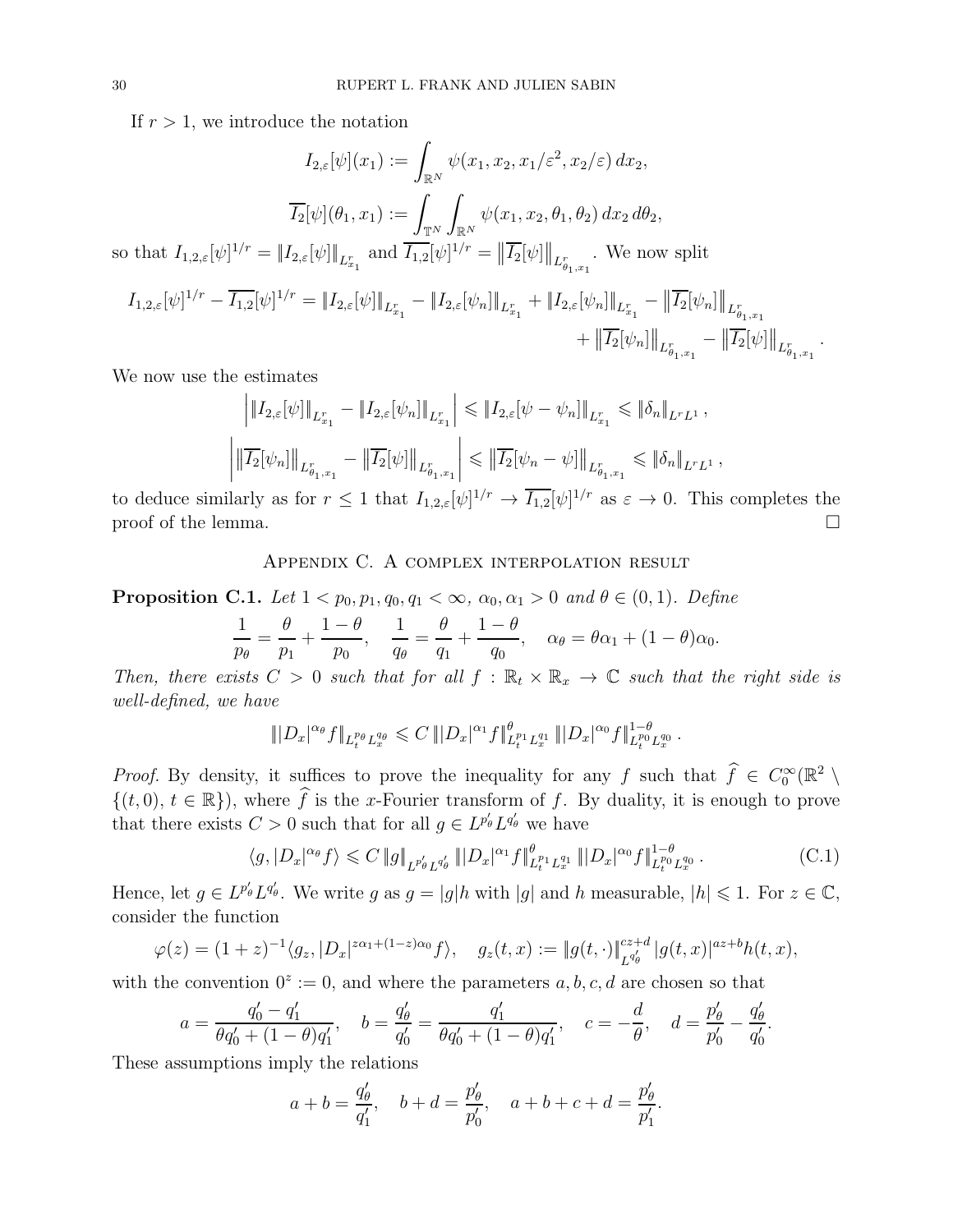If  $r > 1$ , we introduce the notation

$$
I_{2,\varepsilon}[\psi](x_1) := \int_{\mathbb{R}^N} \psi(x_1, x_2, x_1/\varepsilon^2, x_2/\varepsilon) dx_2,
$$

$$
\overline{I_2}[\psi](\theta_1, x_1) := \int_{\mathbb{R}^N} \int_{\mathbb{R}^N} \psi(x_1, x_2, \theta_1, \theta_2) dx_2 d\theta_2,
$$

$$
f' = \|I_{2,\varepsilon}[\psi]\|_{L^r_{x_1}} \text{ and } \overline{I_{1,2}}[\psi]^{1/r} = \|\overline{I_2}[\psi]\|_{L^r_{x_1}}. \text{ We now show}
$$

so that  $I_{1,2,\varepsilon}[\psi]^{1/2}$  $^{1/r}=\left\Vert I_{2,\varepsilon}[\psi]\right\Vert _{L_{x}^{r}}$  $x_1$  $\frac{1}{2}$  $\frac{1}{2}$  $\parallel$  $L^r_{\theta_1,x_1}$ split

$$
I_{1,2,\varepsilon}[\psi]^{1/r} - \overline{I_{1,2}}[\psi]^{1/r} = \|I_{2,\varepsilon}[\psi]\|_{L_{x_1}^r} - \|I_{2,\varepsilon}[\psi_n]\|_{L_{x_1}^r} + \|I_{2,\varepsilon}[\psi_n]\|_{L_{x_1}^r} - \|\overline{I_2}[\psi_n]\|_{L_{\theta_1,x_1}^r} + \|\overline{I_2}[\psi_n]\|_{L_{\theta_1,x_1}^r} - \|\overline{I_2}[\psi]\|_{L_{\theta_1,x_1}^r}.
$$

We now use the estimates

$$
\left| \|I_{2,\varepsilon}[\psi]\|_{L_{x_1}^r} - \|I_{2,\varepsilon}[\psi_n]\|_{L_{x_1}^r} \right| \leqslant \|I_{2,\varepsilon}[\psi - \psi_n]\|_{L_{x_1}^r} \leqslant \|\delta_n\|_{L^r L^1},
$$
\n
$$
\left| \|\overline{I_2}[\psi_n]\|_{L_{\theta_1,x_1}^r} - \|\overline{I_2}[\psi]\|_{L_{\theta_1,x_1}^r} \right| \leqslant \|\overline{I_2}[\psi_n - \psi]\|_{L_{\theta_1,x_1}^r} \leqslant \|\delta_n\|_{L^r L^1},
$$

to deduce similarly as for  $r \leq 1$  that  $I_{1,2,\varepsilon}[\psi]^{1/r} \to \overline{I_{1,2}}[\psi]^{1/r}$  as  $\varepsilon \to 0$ . This completes the proof of the lemma.  $\Box$ 

## Appendix C. A complex interpolation result

<span id="page-29-0"></span>**Proposition C.1.** *Let*  $1 < p_0, p_1, q_0, q_1 < \infty$ ,  $\alpha_0, \alpha_1 > 0$  *and*  $\theta \in (0, 1)$ *. Define* 

$$
\frac{1}{p_{\theta}} = \frac{\theta}{p_1} + \frac{1-\theta}{p_0}, \quad \frac{1}{q_{\theta}} = \frac{\theta}{q_1} + \frac{1-\theta}{q_0}, \quad \alpha_{\theta} = \theta\alpha_1 + (1-\theta)\alpha_0.
$$

*Then, there exists*  $C > 0$  *such that for all*  $f : \mathbb{R}_t \times \mathbb{R}_x \to \mathbb{C}$  *such that the right side is well-defined, we have*

$$
||D_x|^{\alpha_\theta} f||_{L_t^{p_\theta}L_x^{q_\theta}} \leqslant C ||D_x|^{\alpha_1} f||_{L_t^{p_1}L_x^{q_1}}^{\theta} ||D_x|^{\alpha_0} f||_{L_t^{p_0}L_x^{q_0}}^{1-\theta}.
$$

*Proof.* By density, it suffices to prove the inequality for any f such that  $\hat{f} \in C_0^{\infty}(\mathbb{R}^2 \setminus \mathbb{R}^2)$  $\{(t, 0), t \in \mathbb{R}\}\)$ , where  $\widehat{f}$  is the x-Fourier transform of f. By duality, it is enough to prove that there exists  $C > 0$  such that for all  $g \in L^{p'_\theta} L^{q'_\theta}$  we have

<span id="page-29-1"></span>
$$
\langle g, |D_x|^{\alpha_\theta} f \rangle \leq C \|g\|_{L^{p_\theta'} L^{q_\theta'}} \| |D_x|^{\alpha_1} f \|_{L_t^{p_1} L_x^{q_1}}^{q} \| |D_x|^{\alpha_0} f \|_{L_t^{p_0} L_x^{q_0}}^{1-\theta} . \tag{C.1}
$$

Hence, let  $g \in L^{p'_\theta} L^{q'_\theta}$ . We write g as  $g = |g| h$  with  $|g|$  and h measurable,  $|h| \leq 1$ . For  $z \in \mathbb{C}$ , consider the function

$$
\varphi(z) = (1+z)^{-1} \langle g_z, |D_x|^{z\alpha_1 + (1-z)\alpha_0} f \rangle, \quad g_z(t,x) := \|g(t, \cdot)\|_{L^{q_\theta'}}^{cz+d} |g(t,x)|^{az+b} h(t,x),
$$

with the convention  $0^z := 0$ , and where the parameters  $a, b, c, d$  are chosen so that

$$
a = \frac{q'_0 - q'_1}{\theta q'_0 + (1 - \theta) q'_1}
$$
,  $b = \frac{q'_\theta}{q'_0} = \frac{q'_1}{\theta q'_0 + (1 - \theta) q'_1}$ ,  $c = -\frac{d}{\theta}$ ,  $d = \frac{p'_\theta}{p'_0} - \frac{q'_\theta}{q'_0}$ .

These assumptions imply the relations

$$
a + b = \frac{q'_{\theta}}{q'_{1}}, \quad b + d = \frac{p'_{\theta}}{p'_{0}}, \quad a + b + c + d = \frac{p'_{\theta}}{p'_{1}}.
$$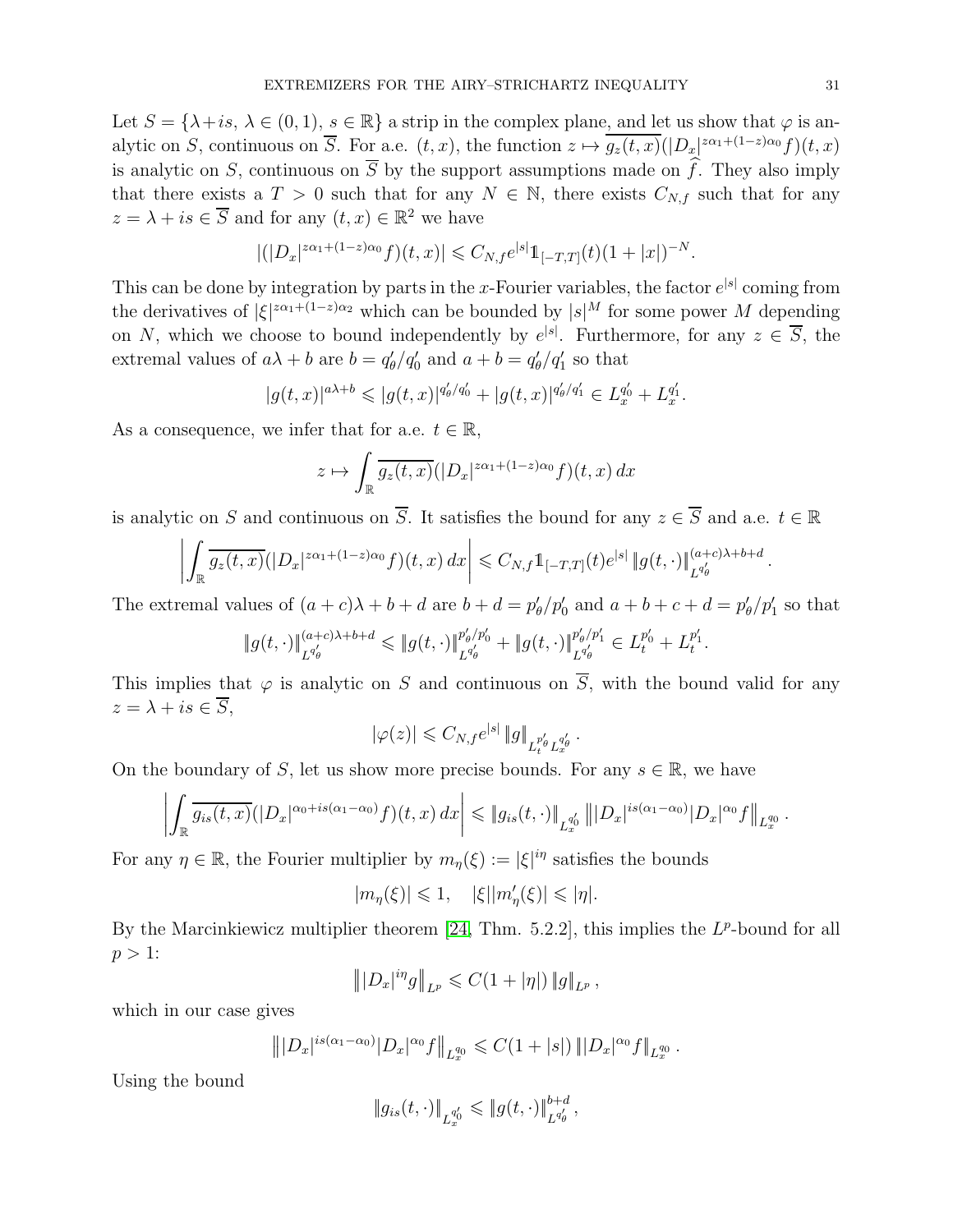Let  $S = \{\lambda + is, \lambda \in (0, 1), s \in \mathbb{R}\}\$ a strip in the complex plane, and let us show that  $\varphi$  is analytic on S, continuous on  $\overline{S}$ . For a.e.  $(t, x)$ , the function  $z \mapsto g_z(t, x)(|D_x|^{z\alpha_1+(1-z)\alpha_0}f)(t, x)$ is analytic on S, continuous on  $\overline{S}$  by the support assumptions made on  $\hat{f}$ . They also imply that there exists a  $T > 0$  such that for any  $N \in \mathbb{N}$ , there exists  $C_{N,f}$  such that for any  $z = \lambda + is \in \overline{S}$  and for any  $(t, x) \in \mathbb{R}^2$  we have

$$
|(|D_x|^{z\alpha_1+(1-z)\alpha_0}f)(t,x)| \leq C_{N,f}e^{|s|}\mathbb{1}_{[-T,T]}(t)(1+|x|)^{-N}.
$$

This can be done by integration by parts in the x-Fourier variables, the factor  $e^{|s|}$  coming from the derivatives of  $|\xi|^{z\alpha_1+(1-z)\alpha_2}$  which can be bounded by  $|s|^M$  for some power M depending on N, which we choose to bound independently by  $e^{|s|}$ . Furthermore, for any  $z \in \overline{S}$ , the extremal values of  $a\lambda + b$  are  $b = q'_{\theta}/q'_{0}$  and  $a + b = q'_{\theta}/q'_{1}$  so that

$$
|g(t,x)|^{a\lambda+b} \leqslant |g(t,x)|^{q'_{\theta}/q'_{0}} + |g(t,x)|^{q'_{\theta}/q'_{1}} \in L_{x}^{q'_{0}} + L_{x}^{q'_{1}}.
$$

As a consequence, we infer that for a.e.  $t \in \mathbb{R}$ ,

$$
z \mapsto \int_{\mathbb{R}} \overline{g_z(t,x)} (|D_x|^{z\alpha_1 + (1-z)\alpha_0} f)(t,x) dx
$$

is analytic on S and continuous on  $\overline{S}$ . It satisfies the bound for any  $z \in \overline{S}$  and a.e.  $t \in \mathbb{R}$ 

$$
\left| \int_{\mathbb{R}} \overline{g_z(t,x)} (|D_x|^{z\alpha_1 + (1-z)\alpha_0} f)(t,x) \, dx \right| \leq C_{N,f} \mathbb{1}_{[-T,T]}(t) e^{|s|} \, \|g(t,\cdot)\|_{L^{q_\theta'}(t)}^{(a+c)\lambda + b + d}
$$

The extremal values of  $(a + c)\lambda + b + d$  are  $b + d = p'_{\theta}/p'_{0}$  and  $a + b + c + d = p'_{\theta}/p'_{1}$  so that

$$
\|g(t,\cdot)\|_{L^{q_\theta'}}^{(a+c)\lambda+b+d} \leqslant \|g(t,\cdot)\|_{L^{q_\theta'}}^{p_\theta' / p_0'} + \|g(t,\cdot)\|_{L^{q_\theta'}}^{p_\theta' / p_1'} \in L_t^{p_0'} + L_t^{p_1'}.
$$

This implies that  $\varphi$  is analytic on S and continuous on  $\overline{S}$ , with the bound valid for any  $z = \lambda + is \in \overline{S}$ ,

$$
|\varphi(z)| \leqslant C_{N,f} e^{|s|} \|g\|_{L_t^{p_\theta'} L_x^{q_\theta'}}.
$$

On the boundary of S, let us show more precise bounds. For any  $s \in \mathbb{R}$ , we have

$$
\left| \int_{\mathbb{R}} \overline{g_{is}(t,x)} (|D_x|^{\alpha_0+is(\alpha_1-\alpha_0)}f)(t,x) \, dx \right| \leqslant \|g_{is}(t,\cdot)\|_{L_x^{q_0'}} \left\| |D_x|^{is(\alpha_1-\alpha_0)} |D_x|^{\alpha_0}f \right\|_{L_x^{q_0}}
$$

For any  $\eta \in \mathbb{R}$ , the Fourier multiplier by  $m_{\eta}(\xi) := |\xi|^{i\eta}$  satisfies the bounds

$$
|m_\eta(\xi)|\leqslant 1,\quad |\xi||m_\eta'(\xi)|\leqslant |\eta|.
$$

By the Marcinkiewicz multiplier theorem  $[24, Thm. 5.2.2]$ , this implies the  $L^p$ -bound for all  $p > 1$ :

$$
\left\| |D_x|^{i\eta} g \right\|_{L^p} \leqslant C (1 + |\eta|) \left\| g \right\|_{L^p},
$$

which in our case gives

$$
\| |D_x|^{is(\alpha_1-\alpha_0)} |D_x|^{\alpha_0} f \|_{L_x^{q_0}} \leqslant C(1+|s|) \| |D_x|^{\alpha_0} f \|_{L_x^{q_0}}.
$$

Using the bound

$$
\|g_{is}(t,\cdot)\|_{L_x^{q'_0}} \leqslant \|g(t,\cdot)\|_{L^{q'_\theta}}^{b+d},
$$

.

.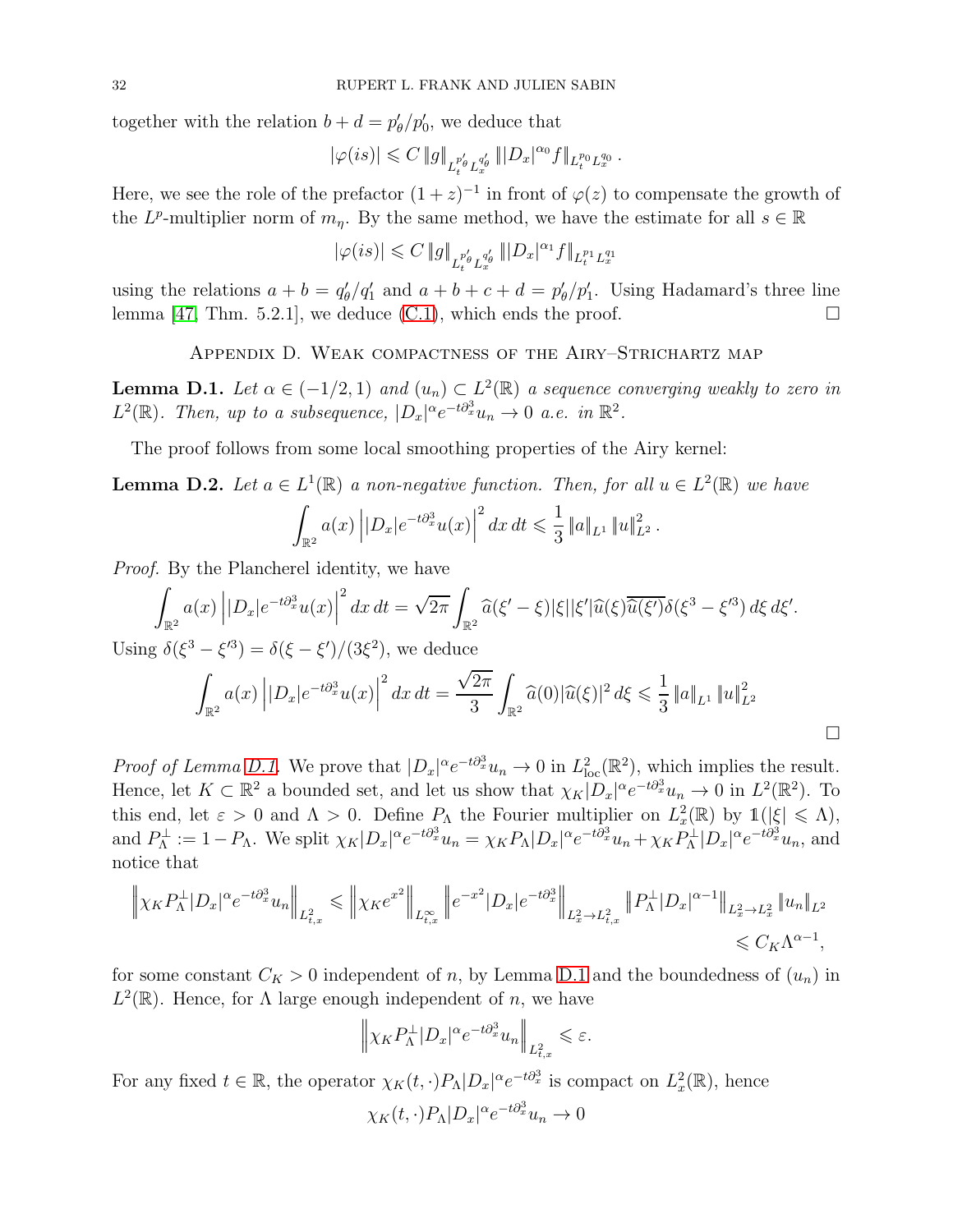together with the relation  $b + d = p'_{\theta}/p'_{0}$ , we deduce that

$$
|\varphi(is)|\leqslant C\,\|g\|_{L_t^{p_\theta'}L_x^{q_\theta'}}\,\| |D_x|^{\alpha_0} f\|_{L_t^{p_0}L_x^{q_0}}\,.
$$

Here, we see the role of the prefactor  $(1+z)^{-1}$  in front of  $\varphi(z)$  to compensate the growth of the  $L^p$ -multiplier norm of  $m_\eta$ . By the same method, we have the estimate for all  $s \in \mathbb{R}$ 

$$
|\varphi(is)|\leqslant C\,\|g\|_{L_t^{p_\theta'}L_x^{q_\theta'}}\,\|D_x|^{\alpha_1}f\|_{L_t^{p_1}L_x^{q_1}}
$$

using the relations  $a + b = q'_\theta/q'_1$  and  $a + b + c + d = p'_\theta/p'_1$ . Using Hadamard's three line lemma [\[47,](#page-36-22) Thm. 5.2.1], we deduce [\(C.1\)](#page-29-1), which ends the proof.  $\Box$ 

Appendix D. Weak compactness of the Airy–Strichartz map

<span id="page-31-0"></span>**Lemma D.1.** Let  $\alpha \in (-1/2, 1)$  and  $(u_n) \subset L^2(\mathbb{R})$  a sequence converging weakly to zero in  $L^2(\mathbb{R})$ . Then, up to a subsequence,  $|D_x|^{\alpha}e^{-t\partial_x^3}u_n \to 0$  a.e. in  $\mathbb{R}^2$ .

The proof follows from some local smoothing properties of the Airy kernel:

**Lemma D.2.** Let  $a \in L^1(\mathbb{R})$  a non-negative function. Then, for all  $u \in L^2(\mathbb{R})$  we have Z  $\int_{\mathbb{R}^2}a(x)\left||D_x|e^{-t\partial_x^3}u(x)\right|$  $\frac{2}{a} dx dt \leqslant \frac{1}{2}$  $\frac{1}{3} \|a\|_{L^1} \|u\|_{L^2}^2$ .

*Proof.* By the Plancherel identity, we have

$$
\int_{\mathbb{R}^2} a(x) \left| |D_x| e^{-t \partial_x^3} u(x) \right|^2 dx dt = \sqrt{2\pi} \int_{\mathbb{R}^2} \widehat{a}(\xi' - \xi) |\xi| |\xi'| \widehat{u}(\xi) \overline{\widehat{u}(\xi')} \delta(\xi^3 - \xi'^3) d\xi d\xi'.
$$

Using  $\delta(\xi^3 - \xi^{\prime 3}) = \delta(\xi - \xi')/(3\xi^2)$ , we deduce

$$
\int_{\mathbb{R}^2} a(x) \left| |D_x| e^{-t \partial_x^3} u(x) \right|^2 dx dt = \frac{\sqrt{2\pi}}{3} \int_{\mathbb{R}^2} \widehat{a}(0) |\widehat{u}(\xi)|^2 d\xi \leq \frac{1}{3} \|a\|_{L^1} \|u\|_{L^2}^2
$$

 $\Box$ 

*Proof of Lemma [D.1.](#page-31-0)* We prove that  $|D_x|^{\alpha}e^{-t\partial_x^3}u_n \to 0$  in  $L^2_{loc}(\mathbb{R}^2)$ , which implies the result. Hence, let  $K \subset \mathbb{R}^2$  a bounded set, and let us show that  $\chi_K |D_x|^\alpha e^{-t \partial_x^3} u_n \to 0$  in  $L^2(\mathbb{R}^2)$ . To this end, let  $\varepsilon > 0$  and  $\Lambda > 0$ . Define  $P_{\Lambda}$  the Fourier multiplier on  $L_x^2(\mathbb{R})$  by  $1(|\xi| \leq \Lambda)$ , and  $P_{\Lambda}^{\perp} := 1 - P_{\Lambda}$ . We split  $\chi_K |D_x|^{\alpha} e^{-t \partial_x^3} u_n = \chi_K P_{\Lambda} |D_x|^{\alpha} e^{-t \partial_x^3} u_n + \chi_K P_{\Lambda}^{\perp} |D_x|^{\alpha} e^{-t \partial_x^3} u_n$ , and notice that

$$
\left\| \chi_K P_\Lambda^\perp |D_x|^\alpha e^{-t \partial_x^3} u_n \right\|_{L^2_{t,x}} \leqslant \left\| \chi_K e^{x^2} \right\|_{L^\infty_{t,x}} \left\| e^{-x^2} |D_x| e^{-t \partial_x^3} \right\|_{L^2_x \to L^2_{t,x}} \left\| P_\Lambda^\perp |D_x|^{\alpha-1} \right\|_{L^2_x \to L^2_x} \|u_n\|_{L^2_{t,x}} \leqslant C_K \Lambda^{\alpha-1},
$$

for some constant  $C_K > 0$  independent of n, by Lemma [D.1](#page-31-0) and the boundedness of  $(u_n)$  in  $L^2(\mathbb{R})$ . Hence, for  $\Lambda$  large enough independent of n, we have

$$
\left\|\chi_K P_\Lambda^\perp|D_x|^\alpha e^{-t\partial_x^3}u_n\right\|_{L^2_{t,x}}\leqslant\varepsilon.
$$

For any fixed  $t \in \mathbb{R}$ , the operator  $\chi_K(t, \cdot) P_\Lambda |D_x|^\alpha e^{-t \partial_x^3}$  is compact on  $L^2_x(\mathbb{R})$ , hence

$$
\chi_K(t,\cdot)P_\Lambda|D_x|^\alpha e^{-t\partial_x^3}u_n \to 0
$$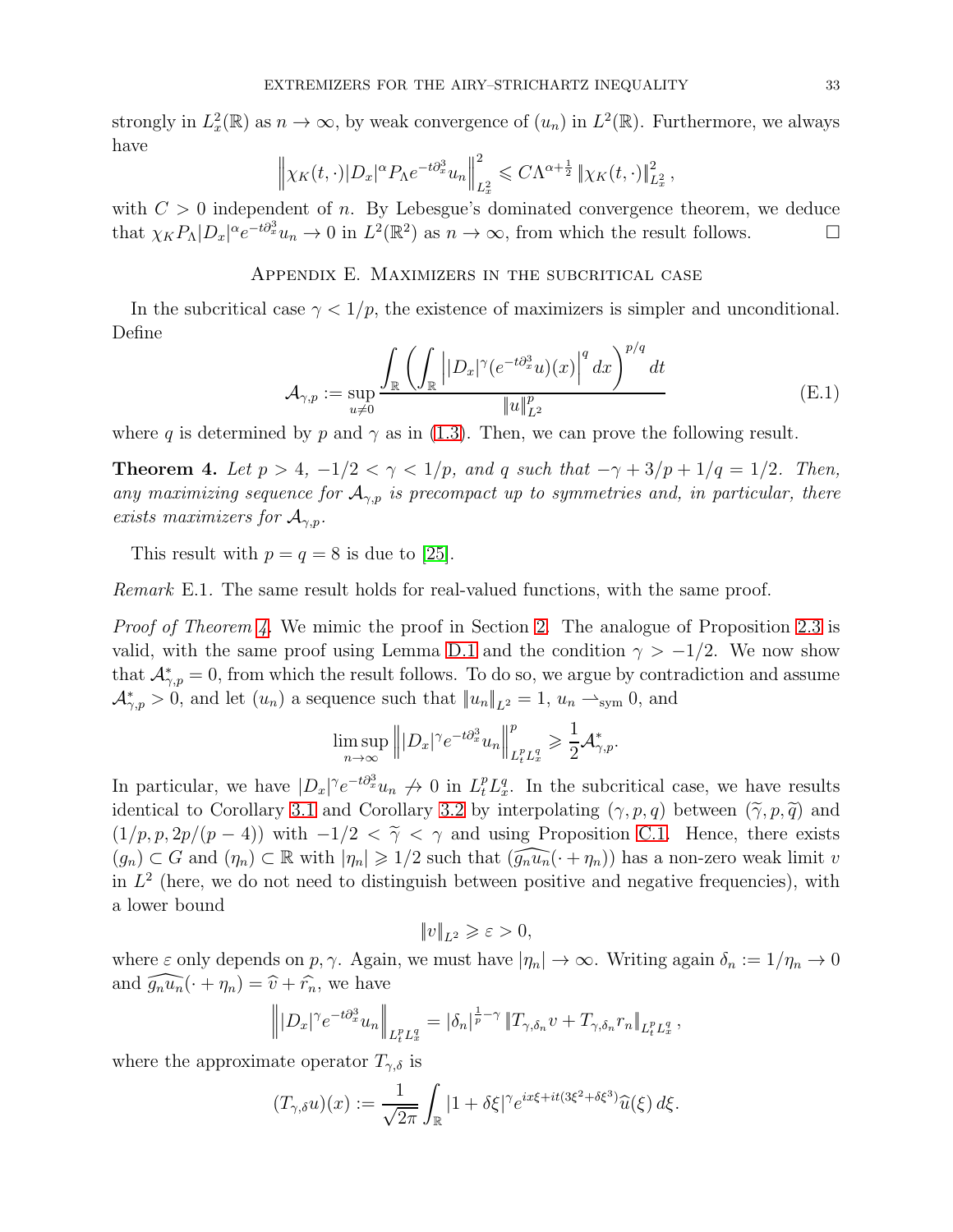strongly in  $L_x^2(\mathbb{R})$  as  $n \to \infty$ , by weak convergence of  $(u_n)$  in  $L^2(\mathbb{R})$ . Furthermore, we always have

$$
\left\|\chi_K(t,\cdot)|D_x|^{\alpha}P_\Lambda e^{-t\partial_x^3}u_n\right\|_{L^2_x}^2 \leqslant C\Lambda^{\alpha+\frac{1}{2}}\left\|\chi_K(t,\cdot)\right\|_{L^2_x}^2,
$$

<span id="page-32-0"></span>with  $C > 0$  independent of n. By Lebesgue's dominated convergence theorem, we deduce that  $\chi_K P_\Lambda |D_x|^\alpha e^{-t\partial_x^3} u_n \to 0$  in  $L^2(\mathbb{R}^2)$  as  $n \to \infty$ , from which the result follows.

# Appendix E. Maximizers in the subcritical case

In the subcritical case  $\gamma < 1/p$ , the existence of maximizers is simpler and unconditional. Define

$$
\mathcal{A}_{\gamma,p} := \sup_{u \neq 0} \frac{\int_{\mathbb{R}} \left( \int_{\mathbb{R}} \left| |D_x|^{\gamma} (e^{-t \partial_x^3} u)(x) \right|^q dx \right)^{p/q} dt}{\|u\|_{L^2}^p}
$$
(E.1)

where q is determined by p and  $\gamma$  as in [\(1.3\)](#page-0-2). Then, we can prove the following result.

<span id="page-32-1"></span>**Theorem 4.** Let  $p > 4$ ,  $-1/2 < \gamma < 1/p$ , and q such that  $-\gamma + 3/p + 1/q = 1/2$ . Then, *any maximizing sequence for*  $A_{\gamma,p}$  *is precompact up to symmetries and, in particular, there exists maximizers for*  $A_{\gamma,p}$ *.* 

This result with  $p = q = 8$  is due to [\[25\]](#page-36-23).

*Remark* E.1. The same result holds for real-valued functions, with the same proof.

*Proof of Theorem [4.](#page-32-1)* We mimic the proof in Section [2.](#page-5-0) The analogue of Proposition [2.3](#page-6-2) is valid, with the same proof using Lemma [D.1](#page-31-0) and the condition  $\gamma > -1/2$ . We now show that  $\mathcal{A}_{\gamma,p}^*=0$ , from which the result follows. To do so, we argue by contradiction and assume  $\mathcal{A}_{\gamma,p}^* > 0$ , and let  $(u_n)$  a sequence such that  $||u_n||_{L^2} = 1$ ,  $u_n \rightharpoonup_{sym} 0$ , and

$$
\limsup_{n\to\infty} \left\| |D_x|^{\gamma} e^{-t\partial_x^3} u_n \right\|_{L_t^p L_x^q}^p \ge \frac{1}{2} \mathcal{A}_{\gamma,p}^*.
$$

In particular, we have  $|D_x|^{\gamma}e^{-t\partial_x^3}u_n \nrightarrow 0$  in  $L_t^p L_x^q$ . In the subcritical case, we have results identical to Corollary [3.1](#page-14-4) and Corollary [3.2](#page-15-0) by interpolating  $(\gamma, p, q)$  between  $(\tilde{\gamma}, p, \tilde{q})$  and  $(1/p, p, 2p/(p-4))$  with  $-1/2 < \tilde{\gamma} < \gamma$  and using Proposition [C.1.](#page-29-0) Hence, there exists  $(g_n) \subset G$  and  $(\eta_n) \subset \mathbb{R}$  with  $|\eta_n| \geq 1/2$  such that  $(\widehat{g_n u_n}(\cdot + \eta_n))$  has a non-zero weak limit v in  $L^2$  (here, we do not need to distinguish between positive and negative frequencies), with a lower bound

$$
\|v\|_{L^2}\geqslant \varepsilon>0,
$$

where  $\varepsilon$  only depends on  $p, \gamma$ . Again, we must have  $|\eta_n| \to \infty$ . Writing again  $\delta_n := 1/\eta_n \to 0$ and  $\widehat{g_n u_n}(\cdot + \eta_n) = \widehat{v} + \widehat{r_n}$ , we have

$$
\left\||D_x|^{\gamma}e^{-t\partial_x^3}u_n\right\|_{L_t^pL_x^q}=\left|\delta_n\right|^{\frac{1}{p}-\gamma}\left\|T_{\gamma,\delta_n}v+T_{\gamma,\delta_n}r_n\right\|_{L_t^pL_x^q},
$$

where the approximate operator  $T_{\gamma,\delta}$  is

$$
(T_{\gamma,\delta}u)(x) := \frac{1}{\sqrt{2\pi}} \int_{\mathbb{R}} |1 + \delta\xi|^{\gamma} e^{ix\xi + it(3\xi^2 + \delta\xi^3)} \widehat{u}(\xi) d\xi.
$$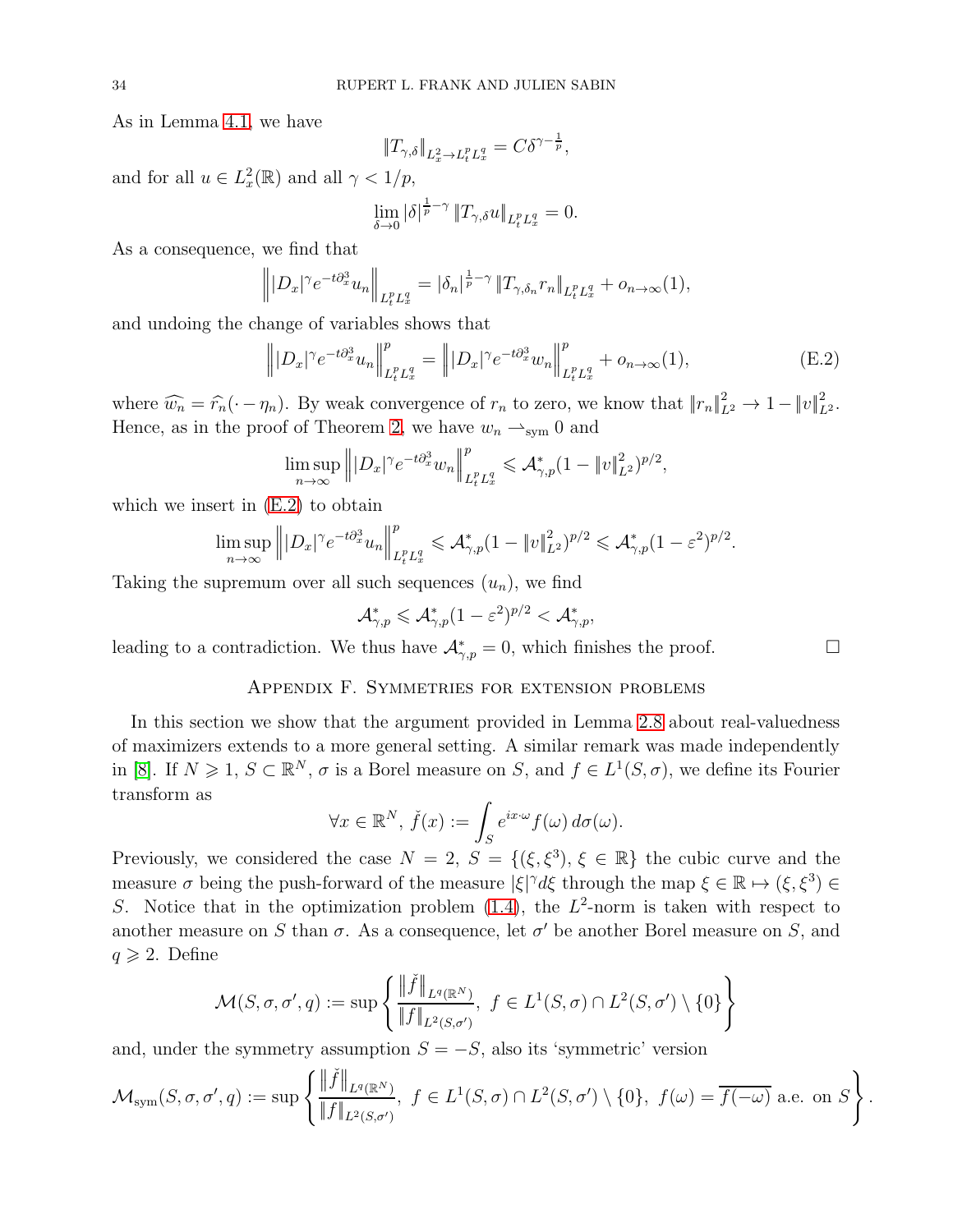As in Lemma [4.1,](#page-21-0) we have

$$
||T_{\gamma,\delta}||_{L^2_x \to L^p_t L^q_x} = C\delta^{\gamma - \frac{1}{p}},
$$

and for all  $u \in L_x^2(\mathbb{R})$  and all  $\gamma < 1/p$ ,

$$
\lim_{\delta \to 0} |\delta|^{\frac{1}{p}-\gamma} \|T_{\gamma,\delta}u\|_{L_t^p L_x^q} = 0.
$$

As a consequence, we find that

$$
\left\| |D_x|^{\gamma} e^{-t \partial_x^3} u_n \right\|_{L_t^p L_x^q} = |\delta_n|^{\frac{1}{p} - \gamma} \|T_{\gamma, \delta_n} r_n\|_{L_t^p L_x^q} + o_{n \to \infty}(1),
$$

and undoing the change of variables shows that

<span id="page-33-1"></span>
$$
\left\| |D_x|^{\gamma} e^{-t \partial_x^3} u_n \right\|_{L_t^p L_x^q}^p = \left\| |D_x|^{\gamma} e^{-t \partial_x^3} w_n \right\|_{L_t^p L_x^q}^p + o_{n \to \infty}(1), \tag{E.2}
$$

where  $\widehat{w_n} = \widehat{r_n}(\cdot - \eta_n)$ . By weak convergence of  $r_n$  to zero, we know that  $||r_n||_{L^2}^2 \to 1 - ||v||_{L^2}^2$ . Hence, as in the proof of Theorem [2,](#page-6-0) we have  $w_n \rightharpoonup_{sym} 0$  and

$$
\limsup_{n\to\infty}\left\||D_x|^{\gamma}e^{-t\partial_x^3}w_n\right\|_{L_t^pL_x^q}^p\leqslant \mathcal{A}^*_{\gamma,p}(1-\|v\|_{L^2}^2)^{p/2},
$$

which we insert in  $(E.2)$  to obtain

$$
\limsup_{n\to\infty}\left\||D_x|^{\gamma}e^{-t\partial_x^3}u_n\right\|_{L_t^pL_x^q}^p\leqslant \mathcal{A}^*_{\gamma,p}(1-\|v\|_{L^2}^2)^{p/2}\leqslant \mathcal{A}^*_{\gamma,p}(1-\varepsilon^2)^{p/2}.
$$

Taking the supremum over all such sequences  $(u_n)$ , we find

$$
\mathcal{A}_{\gamma,p}^*\leqslant \mathcal{A}_{\gamma,p}^*(1-\varepsilon^2)^{p/2}<\mathcal{A}_{\gamma,p}^*,
$$

<span id="page-33-0"></span>leading to a contradiction. We thus have  $\mathcal{A}_{\gamma,p}^* = 0$ , which finishes the proof.

# Appendix F. Symmetries for extension problems

In this section we show that the argument provided in Lemma [2.8](#page-13-0) about real-valuedness of maximizers extends to a more general setting. A similar remark was made independently in [\[8\]](#page-35-10). If  $N \geq 1$ ,  $S \subset \mathbb{R}^N$ ,  $\sigma$  is a Borel measure on S, and  $f \in L^1(S, \sigma)$ , we define its Fourier transform as

$$
\forall x \in \mathbb{R}^N, \, \check{f}(x) := \int_S e^{ix \cdot \omega} f(\omega) \, d\sigma(\omega).
$$

Previously, we considered the case  $N = 2$ ,  $S = \{(\xi, \xi^3), \xi \in \mathbb{R}\}\$  the cubic curve and the measure  $\sigma$  being the push-forward of the measure  $|\xi|^{\gamma} d\xi$  through the map  $\xi \in \mathbb{R} \mapsto (\xi, \xi^3) \in$ S. Notice that in the optimization problem  $(1.4)$ , the  $L^2$ -norm is taken with respect to another measure on S than  $\sigma$ . As a consequence, let  $\sigma'$  be another Borel measure on S, and  $q \geqslant 2$ . Define

$$
\mathcal{M}(S, \sigma, \sigma', q) := \sup \left\{ \frac{\|\check{f}\|_{L^q(\mathbb{R}^N)}}{\|f\|_{L^2(S, \sigma')}} , \ f \in L^1(S, \sigma) \cap L^2(S, \sigma') \setminus \{0\} \right\}
$$

and, under the symmetry assumption  $S = -S$ , also its 'symmetric' version

$$
\mathcal{M}_{\text{sym}}(S,\sigma,\sigma',q):=\sup\left\{\frac{\|\check{f}\|_{L^{q}(\mathbb{R}^N)}}{\|f\|_{L^{2}(S,\sigma')}}\!,\ f\in L^{1}(S,\sigma)\cap L^{2}(S,\sigma')\setminus\{0\},\ f(\omega)=\overline{f(-\omega)}\ \text{a.e. on}\ S\right\}.
$$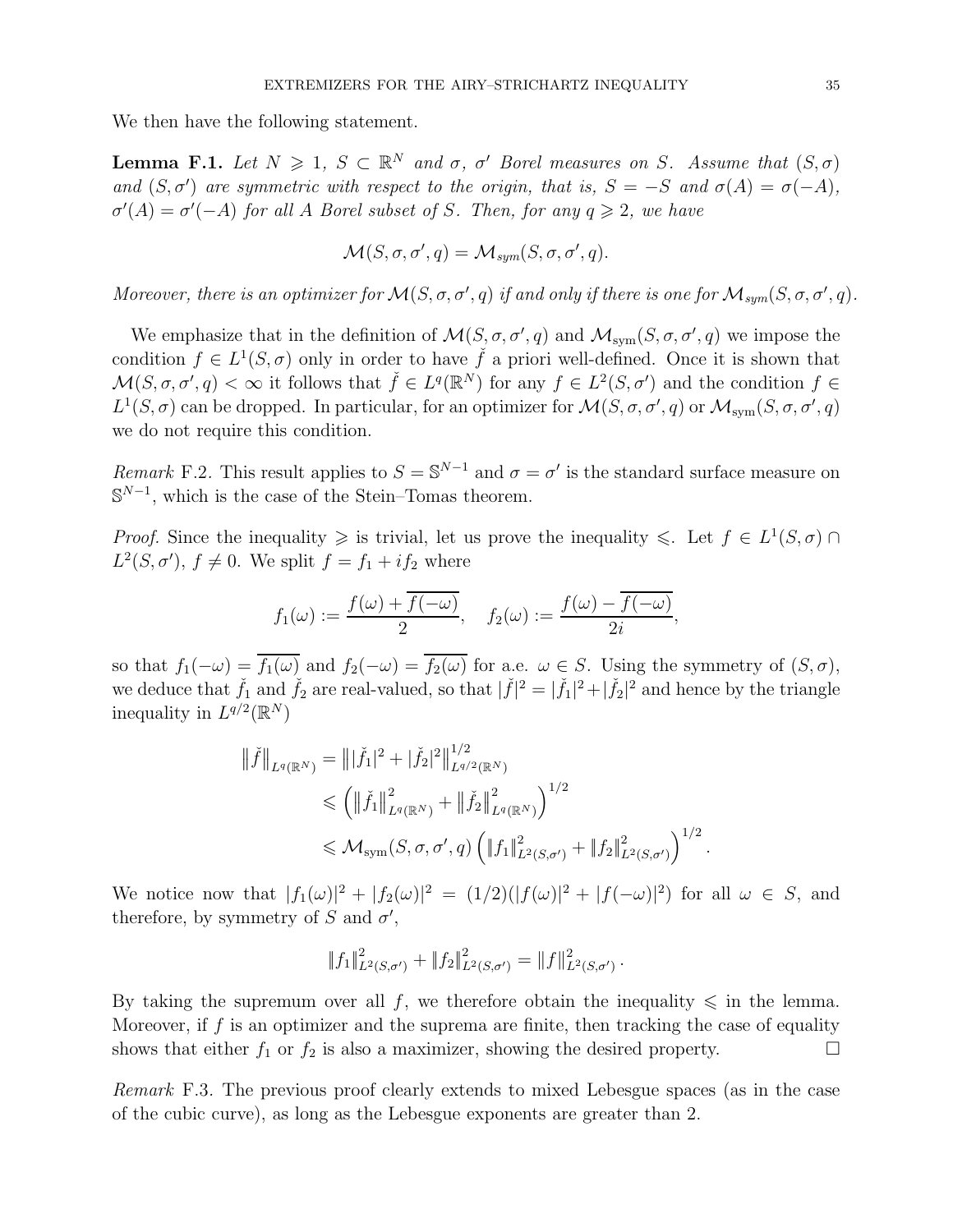We then have the following statement.

**Lemma F.1.** Let  $N \geq 1$ ,  $S \subset \mathbb{R}^N$  and  $\sigma$ ,  $\sigma'$  Borel measures on S. Assume that  $(S, \sigma)$ *and*  $(S, \sigma')$  *are symmetric with respect to the origin, that is,*  $S = -S$  *and*  $\sigma(A) = \sigma(-A)$ *,*  $\sigma'(A) = \sigma'(-A)$  *for all A Borel subset of S. Then, for any*  $q \geq 2$ *, we have* 

$$
\mathcal{M}(S, \sigma, \sigma', q) = \mathcal{M}_{sym}(S, \sigma, \sigma', q).
$$

*Moreover, there is an optimizer for*  $\mathcal{M}(S, \sigma, \sigma', q)$  *if and only if there is one for*  $\mathcal{M}_{sym}(S, \sigma, \sigma', q)$ *.* 

We emphasize that in the definition of  $\mathcal{M}(S, \sigma, \sigma', q)$  and  $\mathcal{M}_{sym}(S, \sigma, \sigma', q)$  we impose the condition  $f \in L^1(S, \sigma)$  only in order to have  $\check{f}$  a priori well-defined. Once it is shown that  $\mathcal{M}(S,\sigma,\sigma',q) < \infty$  it follows that  $\check{f} \in L^q(\mathbb{R}^N)$  for any  $f \in L^2(S,\sigma')$  and the condition  $f \in$  $L^1(S, \sigma)$  can be dropped. In particular, for an optimizer for  $\mathcal{M}(S, \sigma, \sigma', q)$  or  $\mathcal{M}_{sym}(S, \sigma, \sigma', q)$ we do not require this condition.

*Remark* F.2. This result applies to  $S = \mathbb{S}^{N-1}$  and  $\sigma = \sigma'$  is the standard surface measure on  $\mathbb{S}^{N-1}$ , which is the case of the Stein–Tomas theorem.

*Proof.* Since the inequality  $\geq$  is trivial, let us prove the inequality  $\leq$ . Let  $f \in L^1(S, \sigma)$  $L^2(S, \sigma')$ ,  $f \neq 0$ . We split  $f = f_1 + if_2$  where

$$
f_1(\omega) := \frac{f(\omega) + \overline{f(-\omega)}}{2}, \quad f_2(\omega) := \frac{f(\omega) - \overline{f(-\omega)}}{2i},
$$

so that  $f_1(-\omega) = \overline{f_1(\omega)}$  and  $f_2(-\omega) = \overline{f_2(\omega)}$  for a.e.  $\omega \in S$ . Using the symmetry of  $(S, \sigma)$ , we deduce that  $\check{f}_1$  and  $\check{f}_2$  are real-valued, so that  $|\check{f}|^2 = |\check{f}_1|^2 + |\check{f}_2|^2$  and hence by the triangle inequality in  $L^{q/2}(\mathbb{R}^N)$ 

$$
\|\check{f}\|_{L^{q}(\mathbb{R}^{N})} = \| |\check{f}_{1}|^{2} + |\check{f}_{2}|^{2} \|\|_{L^{q/2}(\mathbb{R}^{N})}^{1/2}
$$
  
\$\leq \left( \|\check{f}\_{1}\|\_{L^{q}(\mathbb{R}^{N})}^{2} + \|\check{f}\_{2}\|\_{L^{q}(\mathbb{R}^{N})}^{2} \right)^{1/2}\$  
\$\leq M\_{\text{sym}}(S, \sigma, \sigma', q) \left( \|f\_{1}\|\_{L^{2}(S, \sigma')}^{2} + \|f\_{2}\|\_{L^{2}(S, \sigma')}^{2} \right)^{1/2}\$.

We notice now that  $|f_1(\omega)|^2 + |f_2(\omega)|^2 = (1/2)(|f(\omega)|^2 + |f(-\omega)|^2)$  for all  $\omega \in S$ , and therefore, by symmetry of S and  $\sigma'$ ,

$$
||f_1||_{L^2(S,\sigma')}^2 + ||f_2||_{L^2(S,\sigma')}^2 = ||f||_{L^2(S,\sigma')}^2.
$$

By taking the supremum over all f, we therefore obtain the inequality  $\leq$  in the lemma. Moreover, if  $f$  is an optimizer and the suprema are finite, then tracking the case of equality shows that either  $f_1$  or  $f_2$  is also a maximizer, showing the desired property.

*Remark* F.3*.* The previous proof clearly extends to mixed Lebesgue spaces (as in the case of the cubic curve), as long as the Lebesgue exponents are greater than 2.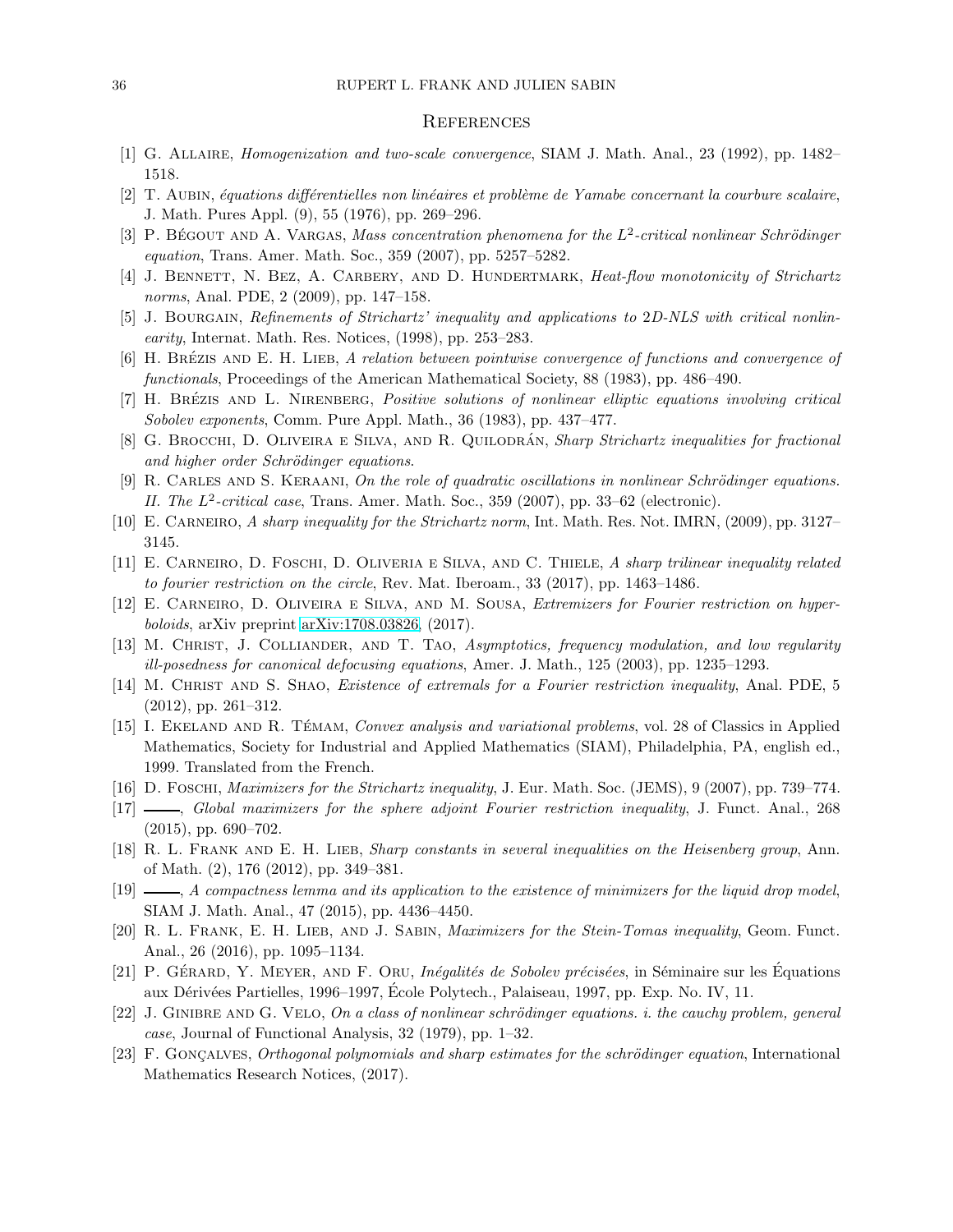#### **REFERENCES**

- <span id="page-35-21"></span><span id="page-35-12"></span>[1] G. Allaire, Homogenization and two-scale convergence, SIAM J. Math. Anal., 23 (1992), pp. 1482– 1518.
- <span id="page-35-20"></span>[2] T. AUBIN, équations différentielles non linéaires et problème de Yamabe concernant la courbure scalaire, J. Math. Pures Appl. (9), 55 (1976), pp. 269–296.
- <span id="page-35-2"></span>[3] P. BÉGOUT AND A. VARGAS, Mass concentration phenomena for the  $L^2$ -critical nonlinear Schrödinger equation, Trans. Amer. Math. Soc., 359 (2007), pp. 5257–5282.
- <span id="page-35-18"></span>[4] J. BENNETT, N. BEZ, A. CARBERY, AND D. HUNDERTMARK, Heat-flow monotonicity of Strichartz norms, Anal. PDE, 2 (2009), pp. 147–158.
- <span id="page-35-16"></span>[5] J. BOURGAIN, Refinements of Strichartz' inequality and applications to 2D-NLS with critical nonlinearity, Internat. Math. Res. Notices, (1998), pp. 253–283.
- <span id="page-35-11"></span>[6] H. BRÉZIS AND E. H. LIEB, A relation between pointwise convergence of functions and convergence of functionals, Proceedings of the American Mathematical Society, 88 (1983), pp. 486–490.
- <span id="page-35-10"></span>[7] H. BRÉZIS AND L. NIRENBERG, Positive solutions of nonlinear elliptic equations involving critical Sobolev exponents, Comm. Pure Appl. Math., 36 (1983), pp. 437–477.
- <span id="page-35-19"></span>[8] G. BROCCHI, D. OLIVEIRA E SILVA, AND R. QUILODRÁN, Sharp Strichartz inequalities for fractional and higher order Schrödinger equations.
- [9] R. CARLES AND S. KERAANI, On the role of quadratic oscillations in nonlinear Schrödinger equations. II. The L<sup>2</sup>-critical case, Trans. Amer. Math. Soc., 359 (2007), pp. 33-62 (electronic).
- <span id="page-35-6"></span><span id="page-35-4"></span>[10] E. Carneiro, A sharp inequality for the Strichartz norm, Int. Math. Res. Not. IMRN, (2009), pp. 3127– 3145.
- <span id="page-35-9"></span>[11] E. CARNEIRO, D. FOSCHI, D. OLIVERIA E SILVA, AND C. THIELE, A sharp trilinear inequality related to fourier restriction on the circle, Rev. Mat. Iberoam., 33 (2017), pp. 1463–1486.
- <span id="page-35-13"></span>[12] E. Carneiro, D. Oliveira e Silva, and M. Sousa, Extremizers for Fourier restriction on hyperboloids, arXiv preprint [arXiv:1708.03826,](http://arxiv.org/abs/1708.03826) (2017).
- <span id="page-35-7"></span>[13] M. CHRIST, J. COLLIANDER, AND T. TAO, Asymptotics, frequency modulation, and low regularity ill-posedness for canonical defocusing equations, Amer. J. Math., 125 (2003), pp. 1235–1293.
- [14] M. CHRIST AND S. SHAO, *Existence of extremals for a Fourier restriction inequality*, Anal. PDE, 5 (2012), pp. 261–312.
- <span id="page-35-22"></span>[15] I. EKELAND AND R. TÉMAM, Convex analysis and variational problems, vol. 28 of Classics in Applied Mathematics, Society for Industrial and Applied Mathematics (SIAM), Philadelphia, PA, english ed., 1999. Translated from the French.
- <span id="page-35-5"></span><span id="page-35-1"></span>[16] D. Foschi, Maximizers for the Strichartz inequality, J. Eur. Math. Soc. (JEMS), 9 (2007), pp. 739–774.
- <span id="page-35-14"></span>[17] , Global maximizers for the sphere adjoint Fourier restriction inequality, J. Funct. Anal., 268 (2015), pp. 690–702.
- <span id="page-35-15"></span>[18] R. L. FRANK AND E. H. LIEB, Sharp constants in several inequalities on the Heisenberg group, Ann. of Math. (2), 176 (2012), pp. 349–381.
- [19]  $\_\_\_\_\_\$  A compactness lemma and its application to the existence of minimizers for the liquid drop model, SIAM J. Math. Anal., 47 (2015), pp. 4436–4450.
- <span id="page-35-8"></span>[20] R. L. FRANK, E. H. LIEB, AND J. SABIN, *Maximizers for the Stein-Tomas inequality*, Geom. Funct. Anal., 26 (2016), pp. 1095–1134.
- <span id="page-35-17"></span><span id="page-35-0"></span>[21] P. GÉRARD, Y. MEYER, AND F. ORU, *Inégalités de Sobolev précisées*, in Séminaire sur les Équations aux Dérivées Partielles, 1996–1997, École Polytech., Palaiseau, 1997, pp. Exp. No. IV, 11.
- $[22]$  J. GINIBRE AND G. VELO, On a class of nonlinear schrödinger equations. i. the cauchy problem, general case, Journal of Functional Analysis, 32 (1979), pp. 1–32.
- <span id="page-35-3"></span>[23] F. GONCALVES, Orthogonal polynomials and sharp estimates for the schrödinger equation, International Mathematics Research Notices, (2017).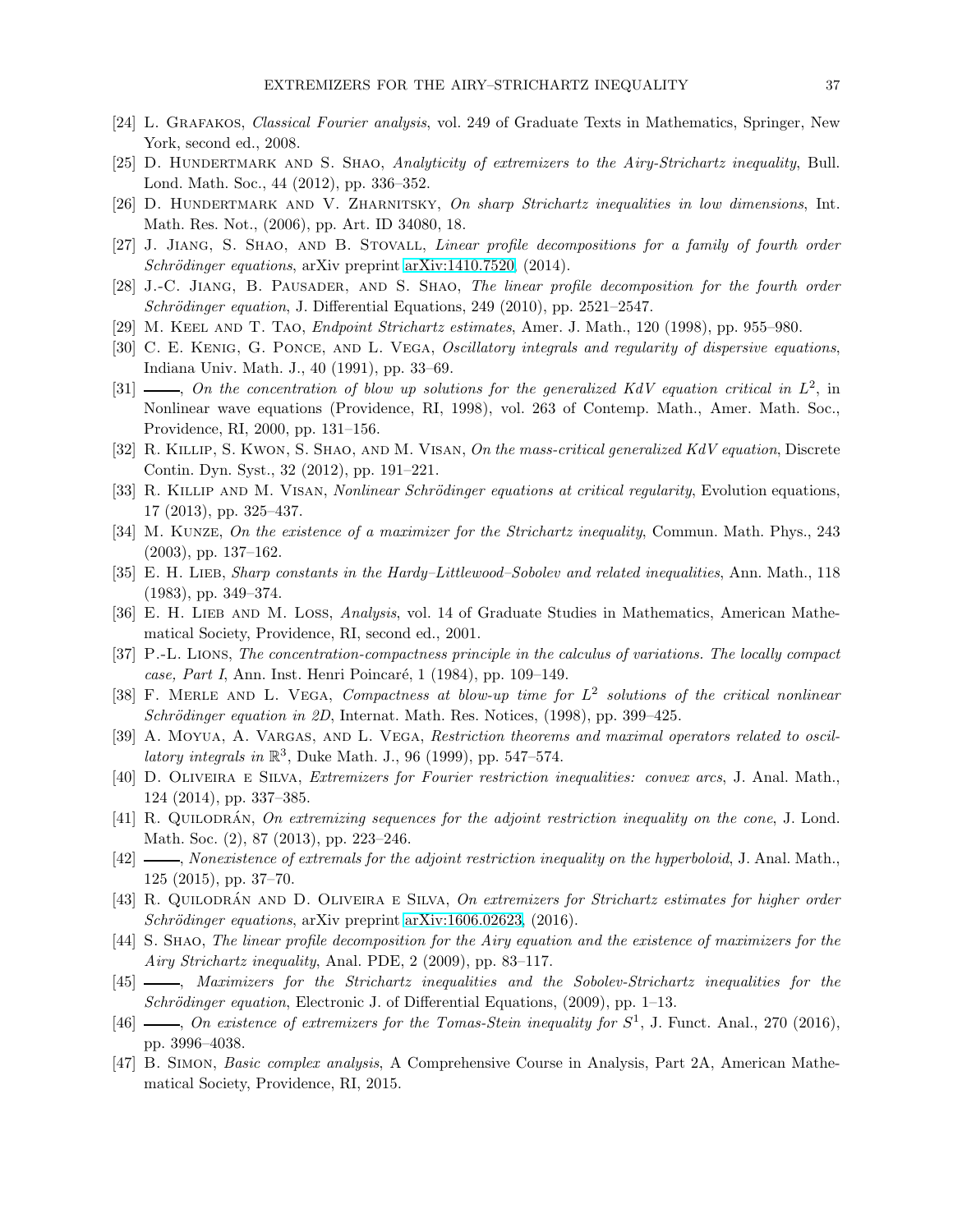- <span id="page-36-23"></span><span id="page-36-21"></span>[24] L. GRAFAKOS, *Classical Fourier analysis*, vol. 249 of Graduate Texts in Mathematics, Springer, New York, second ed., 2008.
- <span id="page-36-2"></span>[25] D. HUNDERTMARK AND S. SHAO, Analyticity of extremizers to the Airy-Strichartz inequality, Bull. Lond. Math. Soc., 44 (2012), pp. 336–352.
- <span id="page-36-7"></span>[26] D. HUNDERTMARK AND V. ZHARNITSKY, On sharp Strichartz inequalities in low dimensions, Int. Math. Res. Not., (2006), pp. Art. ID 34080, 18.
- <span id="page-36-6"></span>[27] J. Jiang, S. Shao, and B. Stovall, Linear profile decompositions for a family of fourth order Schrödinger equations, arXiv preprint [arXiv:1410.7520,](http://arxiv.org/abs/1410.7520) (2014).
- <span id="page-36-1"></span>[28] J.-C. Jiang, B. Pausader, and S. Shao, The linear profile decomposition for the fourth order  $Schrödinger equation, J. Differential Equations, 249 (2010), pp. 2521-2547.$
- <span id="page-36-0"></span>[29] M. KEEL AND T. TAO, *Endpoint Strichartz estimates*, Amer. J. Math., 120 (1998), pp. 955–980.
- [30] C. E. KENIG, G. PONCE, AND L. VEGA, Oscillatory integrals and regularity of dispersive equations, Indiana Univ. Math. J., 40 (1991), pp. 33–69.
- <span id="page-36-20"></span>[31]  $\longrightarrow$ , On the concentration of blow up solutions for the generalized KdV equation critical in  $L^2$ , in Nonlinear wave equations (Providence, RI, 1998), vol. 263 of Contemp. Math., Amer. Math. Soc., Providence, RI, 2000, pp. 131–156.
- <span id="page-36-16"></span><span id="page-36-14"></span>[32] R. KILLIP, S. KWON, S. SHAO, AND M. VISAN, On the mass-critical generalized KdV equation, Discrete Contin. Dyn. Syst., 32 (2012), pp. 191–221.
- <span id="page-36-3"></span>[33] R. KILLIP AND M. VISAN, *Nonlinear Schrödinger equations at critical regularity*, Evolution equations, 17 (2013), pp. 325–437.
- <span id="page-36-15"></span>[34] M. Kunze, On the existence of a maximizer for the Strichartz inequality, Commun. Math. Phys., 243 (2003), pp. 137–162.
- <span id="page-36-12"></span>[35] E. H. LIEB, Sharp constants in the Hardy–Littlewood–Sobolev and related inequalities, Ann. Math., 118 (1983), pp. 349–374.
- <span id="page-36-13"></span>[36] E. H. LIEB AND M. LOSS, Analysis, vol. 14 of Graduate Studies in Mathematics, American Mathematical Society, Providence, RI, second ed., 2001.
- [37] P.-L. Lions, The concentration-compactness principle in the calculus of variations. The locally compact case, Part I, Ann. Inst. Henri Poincaré, 1 (1984), pp. 109–149.
- <span id="page-36-19"></span>[38] F. MERLE AND L. VEGA, Compactness at blow-up time for  $L^2$  solutions of the critical nonlinear Schrödinger equation in 2D, Internat. Math. Res. Notices,  $(1998)$ , pp. 399–425.
- <span id="page-36-18"></span><span id="page-36-17"></span>[39] A. MOYUA, A. VARGAS, AND L. VEGA, Restriction theorems and maximal operators related to oscillatory integrals in  $\mathbb{R}^3$ , Duke Math. J., 96 (1999), pp. 547–574.
- [40] D. Oliveira e Silva, Extremizers for Fourier restriction inequalities: convex arcs, J. Anal. Math., 124 (2014), pp. 337–385.
- <span id="page-36-9"></span><span id="page-36-5"></span>[41] R. QUILODRÁN, On extremizing sequences for the adjoint restriction inequality on the cone, J. Lond. Math. Soc. (2), 87 (2013), pp. 223–246.
- [42]  $\longrightarrow$ , Nonexistence of extremals for the adjoint restriction inequality on the hyperboloid, J. Anal. Math., 125 (2015), pp. 37–70.
- <span id="page-36-10"></span>[43] R. QUILODRÁN AND D. OLIVEIRA E SILVA, On extremizers for Strichartz estimates for higher order  $Schrödinger equations, arXiv preprint arXiv:1606.02623, (2016).$  $Schrödinger equations, arXiv preprint arXiv:1606.02623, (2016).$  $Schrödinger equations, arXiv preprint arXiv:1606.02623, (2016).$
- <span id="page-36-11"></span>[44] S. Shao, The linear profile decomposition for the Airy equation and the existence of maximizers for the Airy Strichartz inequality, Anal. PDE, 2 (2009), pp. 83–117.
- <span id="page-36-4"></span>[45]  $\longrightarrow$ , Maximizers for the Strichartz inequalities and the Sobolev-Strichartz inequalities for the Schrödinger equation, Electronic J. of Differential Equations, (2009), pp. 1–13.
- <span id="page-36-8"></span>[46]  $\_\_\_\_\_\_\_\_\_\_\_\_\_\_\_\_\_\_\_\_\.\_$  Cn existence of extremizers for the Tomas-Stein inequality for  $S^1$ , J. Funct. Anal., 270 (2016), pp. 3996–4038.
- <span id="page-36-22"></span>[47] B. Simon, Basic complex analysis, A Comprehensive Course in Analysis, Part 2A, American Mathematical Society, Providence, RI, 2015.